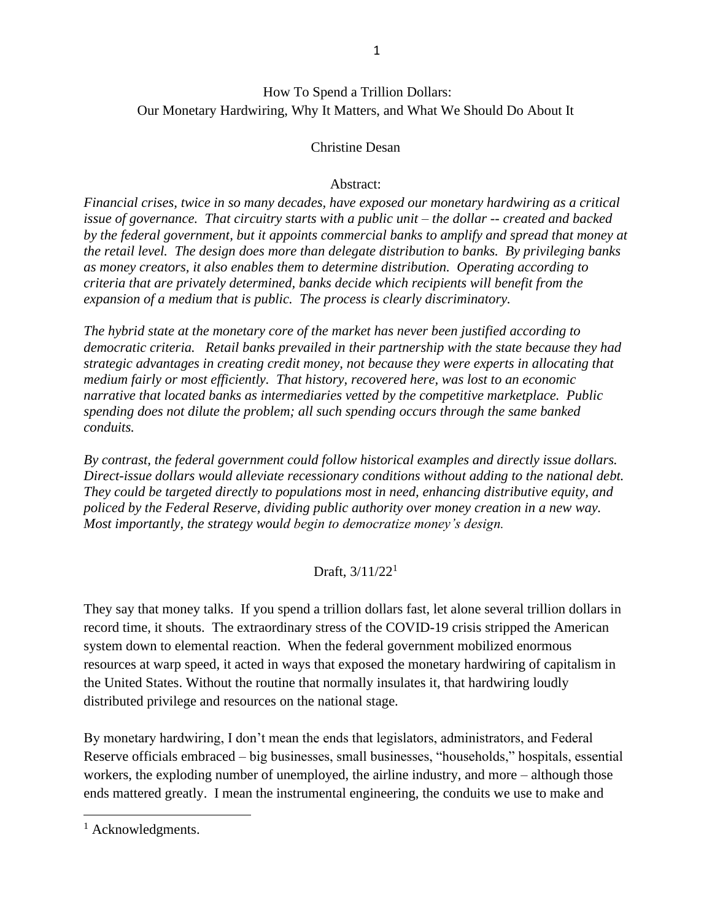## How To Spend a Trillion Dollars: Our Monetary Hardwiring, Why It Matters, and What We Should Do About It

### Christine Desan

#### Abstract:

*Financial crises, twice in so many decades, have exposed our monetary hardwiring as a critical issue of governance. That circuitry starts with a public unit – the dollar -- created and backed by the federal government, but it appoints commercial banks to amplify and spread that money at the retail level. The design does more than delegate distribution to banks. By privileging banks as money creators, it also enables them to determine distribution. Operating according to criteria that are privately determined, banks decide which recipients will benefit from the expansion of a medium that is public. The process is clearly discriminatory.*

*The hybrid state at the monetary core of the market has never been justified according to democratic criteria. Retail banks prevailed in their partnership with the state because they had strategic advantages in creating credit money, not because they were experts in allocating that medium fairly or most efficiently. That history, recovered here, was lost to an economic narrative that located banks as intermediaries vetted by the competitive marketplace. Public spending does not dilute the problem; all such spending occurs through the same banked conduits.* 

*By contrast, the federal government could follow historical examples and directly issue dollars. Direct-issue dollars would alleviate recessionary conditions without adding to the national debt. They could be targeted directly to populations most in need, enhancing distributive equity, and policed by the Federal Reserve, dividing public authority over money creation in a new way. Most importantly, the strategy would begin to democratize money's design.*

### Draft, 3/11/22<sup>1</sup>

They say that money talks. If you spend a trillion dollars fast, let alone several trillion dollars in record time, it shouts. The extraordinary stress of the COVID-19 crisis stripped the American system down to elemental reaction. When the federal government mobilized enormous resources at warp speed, it acted in ways that exposed the monetary hardwiring of capitalism in the United States. Without the routine that normally insulates it, that hardwiring loudly distributed privilege and resources on the national stage.

By monetary hardwiring, I don't mean the ends that legislators, administrators, and Federal Reserve officials embraced – big businesses, small businesses, "households," hospitals, essential workers, the exploding number of unemployed, the airline industry, and more – although those ends mattered greatly. I mean the instrumental engineering, the conduits we use to make and

<sup>&</sup>lt;sup>1</sup> Acknowledgments.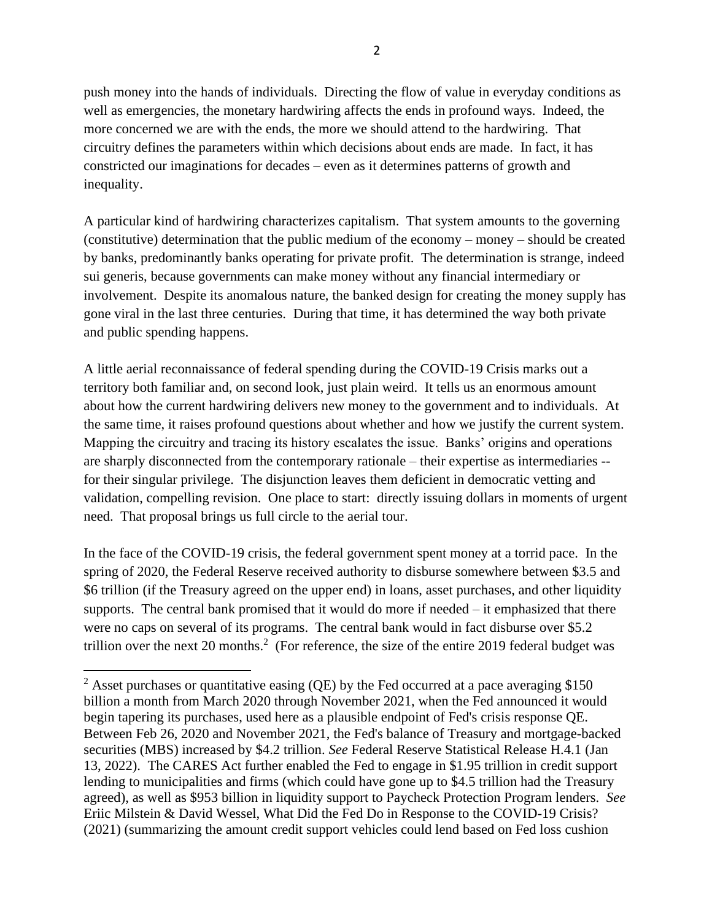push money into the hands of individuals. Directing the flow of value in everyday conditions as well as emergencies, the monetary hardwiring affects the ends in profound ways. Indeed, the more concerned we are with the ends, the more we should attend to the hardwiring. That circuitry defines the parameters within which decisions about ends are made. In fact, it has constricted our imaginations for decades – even as it determines patterns of growth and inequality.

A particular kind of hardwiring characterizes capitalism. That system amounts to the governing (constitutive) determination that the public medium of the economy – money – should be created by banks, predominantly banks operating for private profit. The determination is strange, indeed sui generis, because governments can make money without any financial intermediary or involvement. Despite its anomalous nature, the banked design for creating the money supply has gone viral in the last three centuries. During that time, it has determined the way both private and public spending happens.

A little aerial reconnaissance of federal spending during the COVID-19 Crisis marks out a territory both familiar and, on second look, just plain weird. It tells us an enormous amount about how the current hardwiring delivers new money to the government and to individuals. At the same time, it raises profound questions about whether and how we justify the current system. Mapping the circuitry and tracing its history escalates the issue. Banks' origins and operations are sharply disconnected from the contemporary rationale – their expertise as intermediaries - for their singular privilege. The disjunction leaves them deficient in democratic vetting and validation, compelling revision. One place to start: directly issuing dollars in moments of urgent need. That proposal brings us full circle to the aerial tour.

In the face of the COVID-19 crisis, the federal government spent money at a torrid pace. In the spring of 2020, the Federal Reserve received authority to disburse somewhere between \$3.5 and \$6 trillion (if the Treasury agreed on the upper end) in loans, asset purchases, and other liquidity supports. The central bank promised that it would do more if needed – it emphasized that there were no caps on several of its programs. The central bank would in fact disburse over \$5.2 trillion over the next 20 months.<sup>2</sup> (For reference, the size of the entire 2019 federal budget was

<span id="page-1-0"></span><sup>&</sup>lt;sup>2</sup> Asset purchases or quantitative easing (QE) by the Fed occurred at a pace averaging \$150 billion a month from March 2020 through November 2021, when the Fed announced it would begin tapering its purchases, used here as a plausible endpoint of Fed's crisis response QE. Between Feb 26, 2020 and November 2021, the Fed's balance of Treasury and mortgage-backed securities (MBS) increased by \$4.2 trillion. *See* Federal Reserve Statistical Release H.4.1 (Jan 13, 2022). The CARES Act further enabled the Fed to engage in \$1.95 trillion in credit support lending to municipalities and firms (which could have gone up to \$4.5 trillion had the Treasury agreed), as well as \$953 billion in liquidity support to Paycheck Protection Program lenders. *See* Eriic Milstein & David Wessel, What Did the Fed Do in Response to the COVID-19 Crisis? (2021) (summarizing the amount credit support vehicles could lend based on Fed loss cushion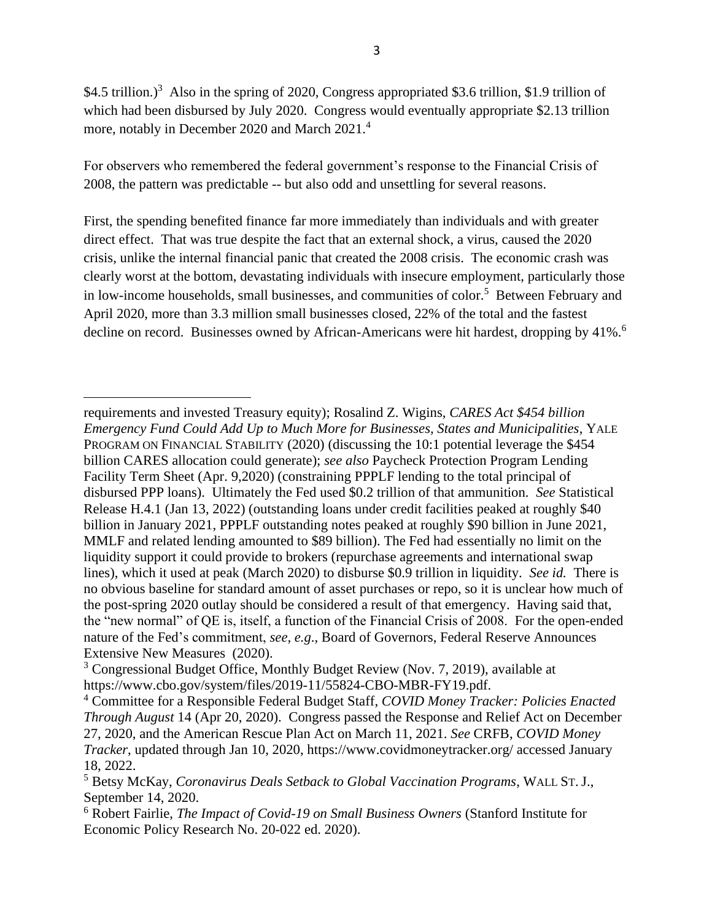<span id="page-2-1"></span><span id="page-2-0"></span>\$4.5 trillion.)<sup>3</sup> Also in the spring of 2020, Congress appropriated \$3.6 trillion, \$1.9 trillion of which had been disbursed by July 2020. Congress would eventually appropriate \$2.13 trillion more, notably in December 2020 and March 2021.<sup>4</sup>

For observers who remembered the federal government's response to the Financial Crisis of 2008, the pattern was predictable -- but also odd and unsettling for several reasons.

First, the spending benefited finance far more immediately than individuals and with greater direct effect. That was true despite the fact that an external shock, a virus, caused the 2020 crisis, unlike the internal financial panic that created the 2008 crisis. The economic crash was clearly worst at the bottom, devastating individuals with insecure employment, particularly those in low-income households, small businesses, and communities of color.<sup>5</sup> Between February and April 2020, more than 3.3 million small businesses closed, 22% of the total and the fastest decline on record. Businesses owned by African-Americans were hit hardest, dropping by 41%.<sup>6</sup>

requirements and invested Treasury equity); Rosalind Z. Wigins, *CARES Act \$454 billion Emergency Fund Could Add Up to Much More for Businesses, States and Municipalities*, YALE PROGRAM ON FINANCIAL STABILITY (2020) (discussing the 10:1 potential leverage the \$454 billion CARES allocation could generate); *see also* Paycheck Protection Program Lending Facility Term Sheet (Apr. 9,2020) (constraining PPPLF lending to the total principal of disbursed PPP loans). Ultimately the Fed used \$0.2 trillion of that ammunition. *See* Statistical Release H.4.1 (Jan 13, 2022) (outstanding loans under credit facilities peaked at roughly \$40 billion in January 2021, PPPLF outstanding notes peaked at roughly \$90 billion in June 2021, MMLF and related lending amounted to \$89 billion). The Fed had essentially no limit on the liquidity support it could provide to brokers (repurchase agreements and international swap lines), which it used at peak (March 2020) to disburse \$0.9 trillion in liquidity. *See id.* There is no obvious baseline for standard amount of asset purchases or repo, so it is unclear how much of the post-spring 2020 outlay should be considered a result of that emergency. Having said that, the "new normal" of QE is, itself, a function of the Financial Crisis of 2008. For the open-ended nature of the Fed's commitment, *see, e.g*., Board of Governors, Federal Reserve Announces Extensive New Measures (2020).

<sup>3</sup> Congressional Budget Office, Monthly Budget Review (Nov. 7, 2019), available at [https://www.cbo.gov/system/files/2019-11/55824-CBO-MBR-FY19.pdf.](https://www.cbo.gov/system/files/2019-11/55824-CBO-MBR-FY19.pdf)

<sup>4</sup> Committee for a Responsible Federal Budget Staff, *COVID Money Tracker: Policies Enacted Through August* 14 (Apr 20, 2020). Congress passed the Response and Relief Act on December 27, 2020, and the American Rescue Plan Act on March 11, 2021. *See* CRFB, *COVID Money Tracker*, updated through Jan 10, 2020, https://www.covidmoneytracker.org/ accessed January 18, 2022.

<sup>5</sup> Betsy McKay, *Coronavirus Deals Setback to Global Vaccination Programs*, WALL ST. J., September 14, 2020.

<sup>6</sup> Robert Fairlie, *The Impact of Covid-19 on Small Business Owners* (Stanford Institute for Economic Policy Research No. 20-022 ed. 2020).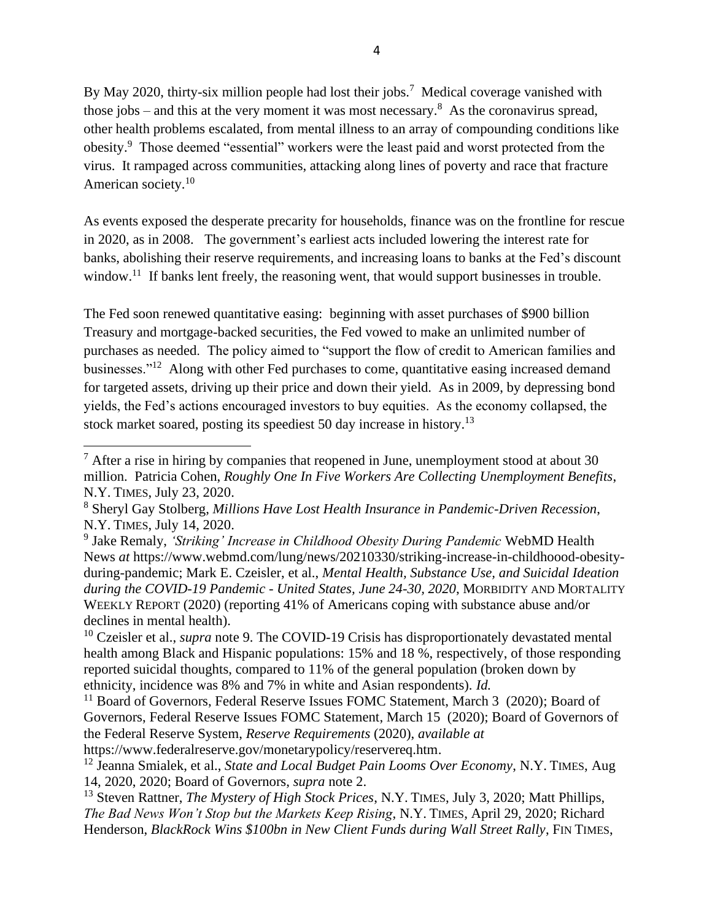<span id="page-3-0"></span>By May 2020, thirty-six million people had lost their jobs.<sup>7</sup> Medical coverage vanished with those jobs – and this at the very moment it was most necessary.<sup>8</sup> As the coronavirus spread, other health problems escalated, from mental illness to an array of compounding conditions like obesity.<sup>9</sup> Those deemed "essential" workers were the least paid and worst protected from the virus. It rampaged across communities, attacking along lines of poverty and race that fracture American society.<sup>10</sup>

As events exposed the desperate precarity for households, finance was on the frontline for rescue in 2020, as in 2008. The government's earliest acts included lowering the interest rate for banks, abolishing their reserve requirements, and increasing loans to banks at the Fed's discount window.<sup>11</sup> If banks lent freely, the reasoning went, that would support businesses in trouble.

The Fed soon renewed quantitative easing: beginning with asset purchases of \$900 billion Treasury and mortgage-backed securities, the Fed vowed to make an unlimited number of purchases as needed. The policy aimed to "support the flow of credit to American families and businesses."<sup>12</sup> Along with other Fed purchases to come, quantitative easing increased demand for targeted assets, driving up their price and down their yield. As in 2009, by depressing bond yields, the Fed's actions encouraged investors to buy equities. As the economy collapsed, the stock market soared, posting its speediest 50 day increase in history.<sup>13</sup>

 $<sup>7</sup>$  After a rise in hiring by companies that reopened in June, unemployment stood at about 30</sup> million. Patricia Cohen, *Roughly One In Five Workers Are Collecting Unemployment Benefits*, N.Y. TIMES, July 23, 2020.

<sup>8</sup> Sheryl Gay Stolberg, *Millions Have Lost Health Insurance in Pandemic-Driven Recession*, N.Y. TIMES, July 14, 2020.

<sup>9</sup> Jake Remaly, *'Striking' Increase in Childhood Obesity During Pandemic* WebMD Health News *at* https://www.webmd.com/lung/news/20210330/striking-increase-in-childhoood-obesityduring-pandemic; Mark E. Czeisler, et al., *Mental Health, Substance Use, and Suicidal Ideation during the COVID-19 Pandemic - United States, June 24-30, 2020*, MORBIDITY AND MORTALITY WEEKLY REPORT (2020) (reporting 41% of Americans coping with substance abuse and/or declines in mental health).

<sup>&</sup>lt;sup>10</sup> Czeisler et al., *supra* note [9.](#page-3-0) The COVID-19 Crisis has disproportionately devastated mental health among Black and Hispanic populations: 15% and 18 %, respectively, of those responding reported suicidal thoughts, compared to 11% of the general population (broken down by ethnicity, incidence was 8% and 7% in white and Asian respondents). *Id.*

<sup>&</sup>lt;sup>11</sup> Board of Governors, Federal Reserve Issues FOMC Statement, March 3 (2020); Board of Governors, Federal Reserve Issues FOMC Statement, March 15 (2020); Board of Governors of the Federal Reserve System, *Reserve Requirements* (2020), *available at* https://www.federalreserve.gov/monetarypolicy/reservereq.htm.

<sup>12</sup> Jeanna Smialek, et al., *State and Local Budget Pain Looms Over Economy*, N.Y. TIMES, Aug 14, 2020, 2020; Board of Governors, *supra* note 2.

<sup>13</sup> Steven Rattner, *The Mystery of High Stock Prices*, N.Y. TIMES, July 3, 2020; Matt Phillips, *The Bad News Won't Stop but the Markets Keep Rising*, N.Y. TIMES, April 29, 2020; Richard Henderson, *BlackRock Wins \$100bn in New Client Funds during Wall Street Rally*, FIN TIMES,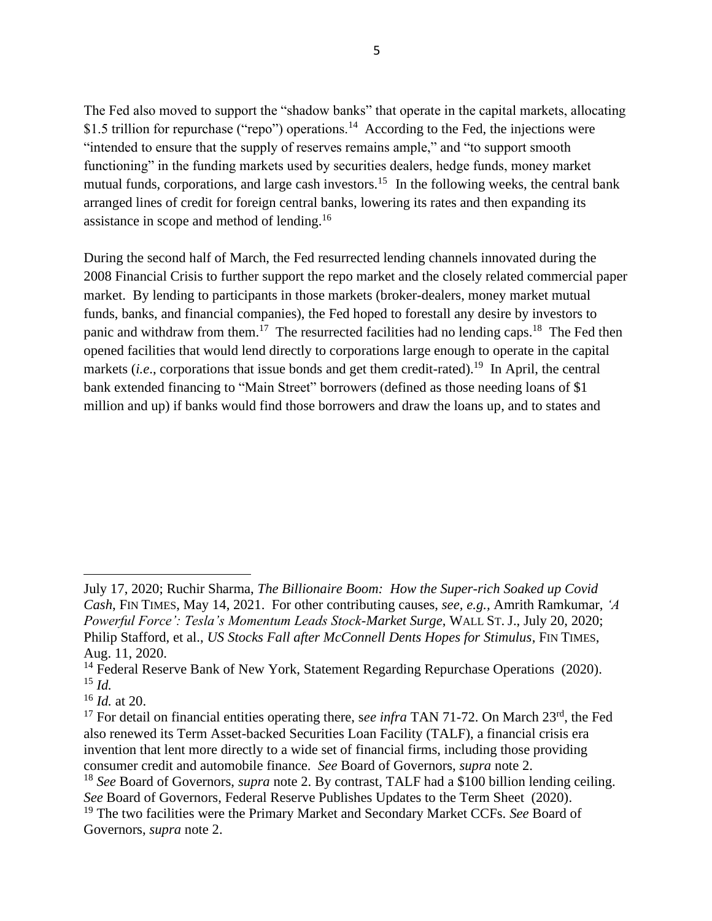The Fed also moved to support the "shadow banks" that operate in the capital markets, allocating \$1.5 trillion for repurchase ("repo") operations.<sup>14</sup> According to the Fed, the injections were "intended to ensure that the supply of reserves remains ample," and "to support smooth functioning" in the funding markets used by securities dealers, hedge funds, money market mutual funds, corporations, and large cash investors.<sup>15</sup> In the following weeks, the central bank arranged lines of credit for foreign central banks, lowering its rates and then expanding its assistance in scope and method of lending.<sup>16</sup>

During the second half of March, the Fed resurrected lending channels innovated during the 2008 Financial Crisis to further support the repo market and the closely related commercial paper market. By lending to participants in those markets (broker-dealers, money market mutual funds, banks, and financial companies), the Fed hoped to forestall any desire by investors to panic and withdraw from them.<sup>17</sup> The resurrected facilities had no lending caps.<sup>18</sup> The Fed then opened facilities that would lend directly to corporations large enough to operate in the capital markets (*i.e.*, corporations that issue bonds and get them credit-rated).<sup>19</sup> In April, the central bank extended financing to "Main Street" borrowers (defined as those needing loans of \$1 million and up) if banks would find those borrowers and draw the loans up, and to states and

July 17, 2020; Ruchir Sharma, *The Billionaire Boom: How the Super-rich Soaked up Covid Cash*, FIN TIMES, May 14, 2021. For other contributing causes, *see, e.g.,* Amrith Ramkumar, *'A Powerful Force': Tesla's Momentum Leads Stock-Market Surge*, WALL ST. J., July 20, 2020; Philip Stafford, et al., *US Stocks Fall after McConnell Dents Hopes for Stimulus*, FIN TIMES, Aug. 11, 2020.

<sup>&</sup>lt;sup>14</sup> Federal Reserve Bank of New York, Statement Regarding Repurchase Operations (2020). <sup>15</sup> *Id.*

<sup>16</sup> *Id.* at 20.

<sup>&</sup>lt;sup>17</sup> For detail on financial entities operating there, see *infra* TAN 71-72. On March 23<sup>rd</sup>, the Fed also renewed its Term Asset-backed Securities Loan Facility (TALF), a financial crisis era invention that lent more directly to a wide set of financial firms, including those providing consumer credit and automobile finance. *See* Board of Governors, *supra* note [2.](#page-1-0)

<sup>18</sup> *See* Board of Governors, *supra* note [2.](#page-1-0) By contrast, TALF had a \$100 billion lending ceiling. *See* Board of Governors, Federal Reserve Publishes Updates to the Term Sheet (2020).

<sup>19</sup> The two facilities were the Primary Market and Secondary Market CCFs. *See* Board of Governors, *supra* note [2.](#page-1-0)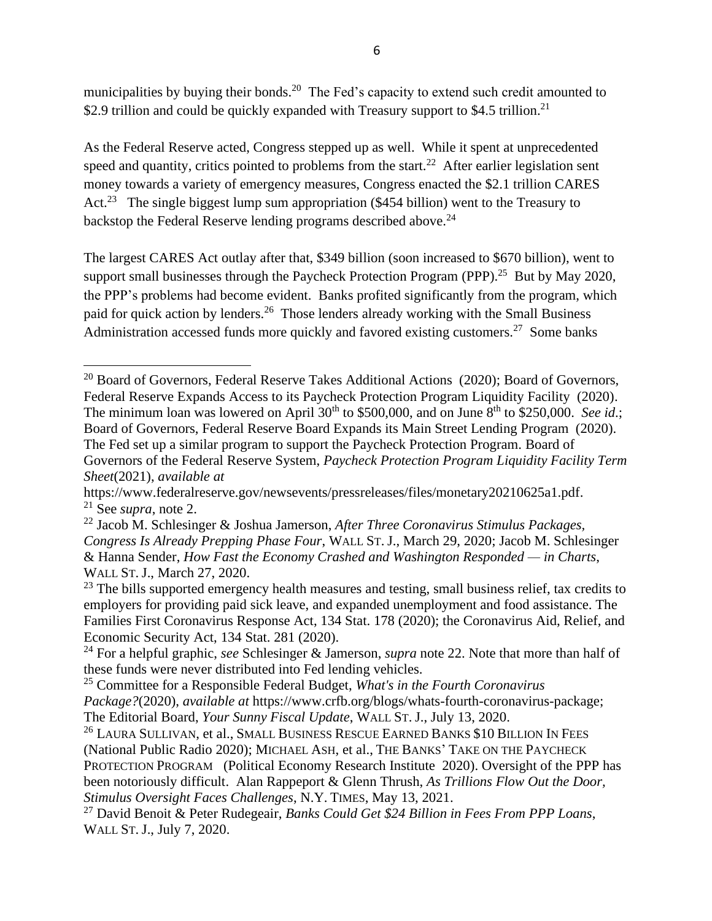municipalities by buying their bonds.<sup>20</sup> The Fed's capacity to extend such credit amounted to \$2.9 trillion and could be quickly expanded with Treasury support to \$4.5 trillion.<sup>21</sup>

<span id="page-5-0"></span>As the Federal Reserve acted, Congress stepped up as well. While it spent at unprecedented speed and quantity, critics pointed to problems from the start.<sup>22</sup> After earlier legislation sent money towards a variety of emergency measures, Congress enacted the \$2.1 trillion CARES Act.<sup>23</sup> The single biggest lump sum appropriation (\$454 billion) went to the Treasury to backstop the Federal Reserve lending programs described above. $^{24}$ 

The largest CARES Act outlay after that, \$349 billion (soon increased to \$670 billion), went to support small businesses through the Paycheck Protection Program (PPP).<sup>25</sup> But by May 2020, the PPP's problems had become evident. Banks profited significantly from the program, which paid for quick action by lenders.<sup>26</sup> Those lenders already working with the Small Business Administration accessed funds more quickly and favored existing customers.<sup>27</sup> Some banks

<sup>&</sup>lt;sup>20</sup> Board of Governors, Federal Reserve Takes Additional Actions (2020); Board of Governors, Federal Reserve Expands Access to its Paycheck Protection Program Liquidity Facility (2020). The minimum loan was lowered on April  $30<sup>th</sup>$  to \$500,000, and on June  $8<sup>th</sup>$  to \$250,000. *See id.*; Board of Governors, Federal Reserve Board Expands its Main Street Lending Program (2020). The Fed set up a similar program to support the Paycheck Protection Program. Board of Governors of the Federal Reserve System, *Paycheck Protection Program Liquidity Facility Term Sheet*(2021), *available at*

https://www.federalreserve.gov/newsevents/pressreleases/files/monetary20210625a1.pdf. <sup>21</sup> See *supra*, note [2.](#page-1-0)

<sup>22</sup> Jacob M. Schlesinger & Joshua Jamerson, *After Three Coronavirus Stimulus Packages, Congress Is Already Prepping Phase Four*, WALL ST. J., March 29, 2020; Jacob M. Schlesinger & Hanna Sender, *How Fast the Economy Crashed and Washington Responded — in Charts*, WALL ST. J., March 27, 2020.

 $23$  The bills supported emergency health measures and testing, small business relief, tax credits to employers for providing paid sick leave, and expanded unemployment and food assistance. The Families First Coronavirus Response Act, 134 Stat. 178 (2020); the Coronavirus Aid, Relief, and Economic Security Act, 134 Stat. 281 (2020).

<sup>24</sup> For a helpful graphic, *see* Schlesinger & Jamerson, *supra* note [22.](#page-5-0) Note that more than half of these funds were never distributed into Fed lending vehicles.

<sup>25</sup> Committee for a Responsible Federal Budget, *What's in the Fourth Coronavirus Package?*(2020), *available at* https://www.crfb.org/blogs/whats-fourth-coronavirus-package; The Editorial Board, *Your Sunny Fiscal Update*, WALL ST. J., July 13, 2020.

<sup>&</sup>lt;sup>26</sup> LAURA SULLIVAN, et al., SMALL BUSINESS RESCUE EARNED BANKS \$10 BILLION IN FEES (National Public Radio 2020); MICHAEL ASH, et al., THE BANKS' TAKE ON THE PAYCHECK PROTECTION PROGRAM (Political Economy Research Institute 2020). Oversight of the PPP has been notoriously difficult. Alan Rappeport & Glenn Thrush, *As Trillions Flow Out the Door, Stimulus Oversight Faces Challenges*, N.Y. TIMES, May 13, 2021.

<sup>27</sup> David Benoit & Peter Rudegeair, *Banks Could Get \$24 Billion in Fees From PPP Loans*, WALL ST. J., July 7, 2020.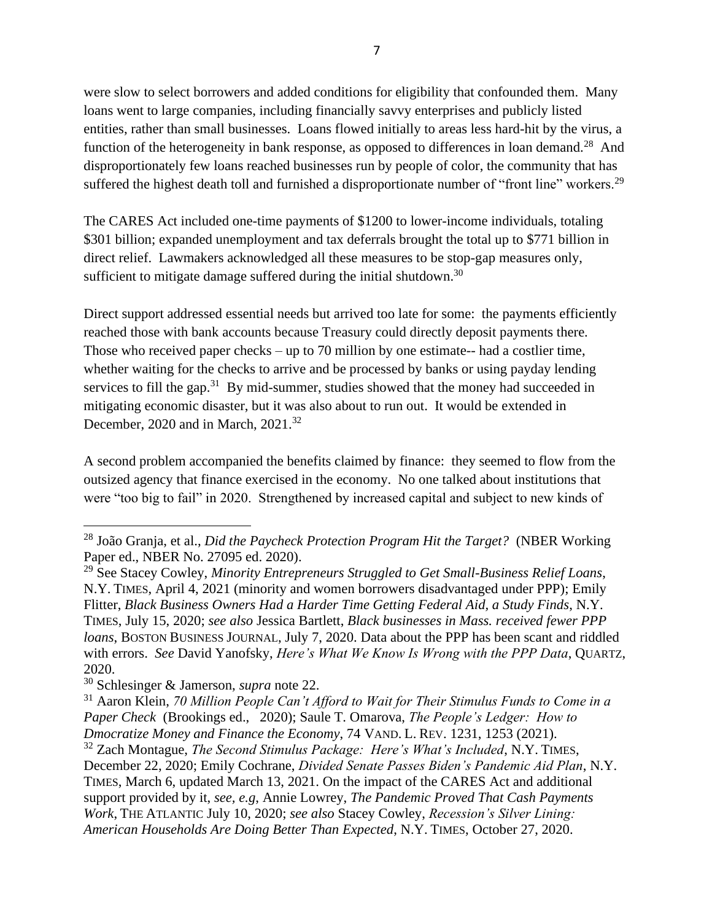were slow to select borrowers and added conditions for eligibility that confounded them. Many loans went to large companies, including financially savvy enterprises and publicly listed entities, rather than small businesses. Loans flowed initially to areas less hard-hit by the virus, a function of the heterogeneity in bank response, as opposed to differences in loan demand.<sup>28</sup> And disproportionately few loans reached businesses run by people of color, the community that has suffered the highest death toll and furnished a disproportionate number of "front line" workers.<sup>29</sup>

<span id="page-6-0"></span>The CARES Act included one-time payments of \$1200 to lower-income individuals, totaling \$301 billion; expanded unemployment and tax deferrals brought the total up to \$771 billion in direct relief. Lawmakers acknowledged all these measures to be stop-gap measures only, sufficient to mitigate damage suffered during the initial shutdown.<sup>30</sup>

Direct support addressed essential needs but arrived too late for some: the payments efficiently reached those with bank accounts because Treasury could directly deposit payments there. Those who received paper checks – up to 70 million by one estimate-- had a costlier time, whether waiting for the checks to arrive and be processed by banks or using payday lending services to fill the gap.<sup>31</sup> By mid-summer, studies showed that the money had succeeded in mitigating economic disaster, but it was also about to run out. It would be extended in December, 2020 and in March, 2021.<sup>32</sup>

A second problem accompanied the benefits claimed by finance: they seemed to flow from the outsized agency that finance exercised in the economy. No one talked about institutions that were "too big to fail" in 2020. Strengthened by increased capital and subject to new kinds of

<sup>28</sup> João Granja, et al., *Did the Paycheck Protection Program Hit the Target?* (NBER Working Paper ed., NBER No. 27095 ed. 2020).

<sup>29</sup> See Stacey Cowley, *Minority Entrepreneurs Struggled to Get Small-Business Relief Loans*, N.Y. TIMES, April 4, 2021 (minority and women borrowers disadvantaged under PPP); Emily Flitter, *Black Business Owners Had a Harder Time Getting Federal Aid, a Study Finds*, N.Y. TIMES, July 15, 2020; *see also* Jessica Bartlett, *Black businesses in Mass. received fewer PPP loans*, BOSTON BUSINESS JOURNAL, July 7, 2020. Data about the PPP has been scant and riddled with errors. *See* David Yanofsky, *Here's What We Know Is Wrong with the PPP Data*, QUARTZ, 2020.

<sup>30</sup> Schlesinger & Jamerson, *supra* note [22.](#page-5-0)

<sup>31</sup> Aaron Klein, *70 Million People Can't Afford to Wait for Their Stimulus Funds to Come in a Paper Check* (Brookings ed., 2020); Saule T. Omarova, *The People's Ledger: How to Dmocratize Money and Finance the Economy*, 74 VAND. L. REV. 1231, 1253 (2021).

<sup>32</sup> Zach Montague, *The Second Stimulus Package: Here's What's Included*, N.Y. TIMES, December 22, 2020; Emily Cochrane, *Divided Senate Passes Biden's Pandemic Aid Plan*, N.Y. TIMES, March 6, updated March 13, 2021. On the impact of the CARES Act and additional support provided by it, *see, e.g*, Annie Lowrey, *The Pandemic Proved That Cash Payments Work*, THE ATLANTIC July 10, 2020; *see also* Stacey Cowley, *Recession's Silver Lining: American Households Are Doing Better Than Expected*, N.Y. TIMES, October 27, 2020.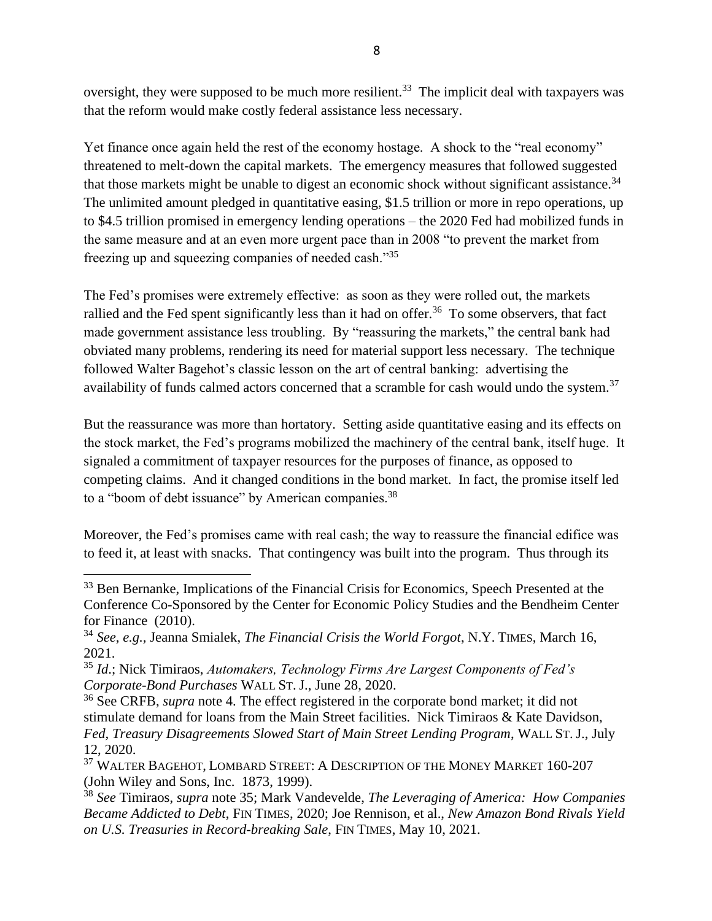oversight, they were supposed to be much more resilient.<sup>33</sup> The implicit deal with taxpayers was that the reform would make costly federal assistance less necessary.

Yet finance once again held the rest of the economy hostage. A shock to the "real economy" threatened to melt-down the capital markets. The emergency measures that followed suggested that those markets might be unable to digest an economic shock without significant assistance.<sup>34</sup> The unlimited amount pledged in quantitative easing, \$1.5 trillion or more in repo operations, up to \$4.5 trillion promised in emergency lending operations – the 2020 Fed had mobilized funds in the same measure and at an even more urgent pace than in 2008 "to prevent the market from freezing up and squeezing companies of needed cash."<sup>35</sup>

<span id="page-7-0"></span>The Fed's promises were extremely effective: as soon as they were rolled out, the markets rallied and the Fed spent significantly less than it had on offer.<sup>36</sup> To some observers, that fact made government assistance less troubling. By "reassuring the markets," the central bank had obviated many problems, rendering its need for material support less necessary. The technique followed Walter Bagehot's classic lesson on the art of central banking: advertising the availability of funds calmed actors concerned that a scramble for cash would undo the system.<sup>37</sup>

<span id="page-7-1"></span>But the reassurance was more than hortatory. Setting aside quantitative easing and its effects on the stock market, the Fed's programs mobilized the machinery of the central bank, itself huge. It signaled a commitment of taxpayer resources for the purposes of finance, as opposed to competing claims. And it changed conditions in the bond market. In fact, the promise itself led to a "boom of debt issuance" by American companies.<sup>38</sup>

Moreover, the Fed's promises came with real cash; the way to reassure the financial edifice was to feed it, at least with snacks. That contingency was built into the program. Thus through its

<sup>&</sup>lt;sup>33</sup> Ben Bernanke, Implications of the Financial Crisis for Economics, Speech Presented at the Conference Co-Sponsored by the Center for Economic Policy Studies and the Bendheim Center for Finance (2010).

<sup>34</sup> *See*, *e.g.,* Jeanna Smialek, *The Financial Crisis the World Forgot*, N.Y. TIMES, March 16, 2021.

<sup>35</sup> *Id*.; Nick Timiraos, *Automakers, Technology Firms Are Largest Components of Fed's Corporate-Bond Purchases* WALL ST. J., June 28, 2020.

<sup>36</sup> See CRFB, *supra* note [4.](#page-2-0) The effect registered in the corporate bond market; it did not stimulate demand for loans from the Main Street facilities. Nick Timiraos & Kate Davidson, *Fed, Treasury Disagreements Slowed Start of Main Street Lending Program*, WALL ST. J., July 12, 2020.

<sup>&</sup>lt;sup>37</sup> WALTER BAGEHOT, LOMBARD STREET: A DESCRIPTION OF THE MONEY MARKET 160-207 (John Wiley and Sons, Inc. 1873, 1999).

<sup>38</sup> *See* Timiraos, *supra* note [35;](#page-7-0) Mark Vandevelde, *The Leveraging of America: How Companies Became Addicted to Debt*, FIN TIMES, 2020; Joe Rennison, et al., *New Amazon Bond Rivals Yield on U.S. Treasuries in Record-breaking Sale*, FIN TIMES, May 10, 2021.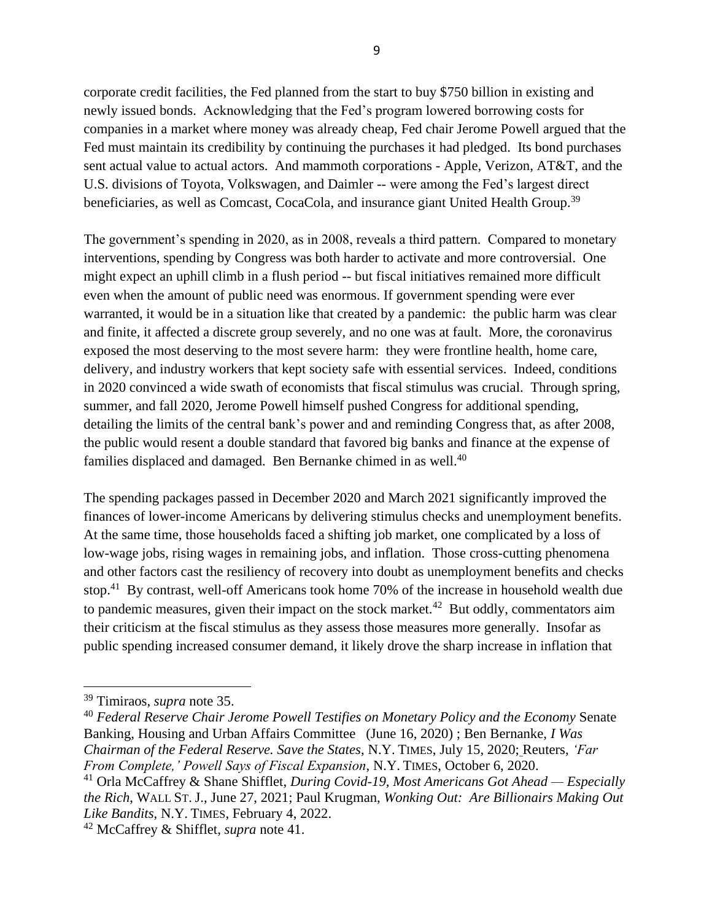corporate credit facilities, the Fed planned from the start to buy \$750 billion in existing and newly issued bonds. Acknowledging that the Fed's program lowered borrowing costs for companies in a market where money was already cheap, Fed chair Jerome Powell argued that the Fed must maintain its credibility by continuing the purchases it had pledged. Its bond purchases sent actual value to actual actors. And mammoth corporations - Apple, Verizon, AT&T, and the U.S. divisions of Toyota, Volkswagen, and Daimler -- were among the Fed's largest direct beneficiaries, as well as Comcast, CocaCola, and insurance giant United Health Group.<sup>39</sup>

The government's spending in 2020, as in 2008, reveals a third pattern. Compared to monetary interventions, spending by Congress was both harder to activate and more controversial. One might expect an uphill climb in a flush period -- but fiscal initiatives remained more difficult even when the amount of public need was enormous. If government spending were ever warranted, it would be in a situation like that created by a pandemic: the public harm was clear and finite, it affected a discrete group severely, and no one was at fault. More, the coronavirus exposed the most deserving to the most severe harm: they were frontline health, home care, delivery, and industry workers that kept society safe with essential services. Indeed, conditions in 2020 convinced a wide swath of economists that fiscal stimulus was crucial. Through spring, summer, and fall 2020, Jerome Powell himself pushed Congress for additional spending, detailing the limits of the central bank's power and and reminding Congress that, as after 2008, the public would resent a double standard that favored big banks and finance at the expense of families displaced and damaged. Ben Bernanke chimed in as well.<sup>40</sup>

The spending packages passed in December 2020 and March 2021 significantly improved the finances of lower-income Americans by delivering stimulus checks and unemployment benefits. At the same time, those households faced a shifting job market, one complicated by a loss of low-wage jobs, rising wages in remaining jobs, and inflation. Those cross-cutting phenomena and other factors cast the resiliency of recovery into doubt as unemployment benefits and checks stop.<sup>41</sup> By contrast, well-off Americans took home 70% of the increase in household wealth due to pandemic measures, given their impact on the stock market.<sup>42</sup> But oddly, commentators aim their criticism at the fiscal stimulus as they assess those measures more generally. Insofar as public spending increased consumer demand, it likely drove the sharp increase in inflation that

<sup>39</sup> Timiraos, *supra* note [35.](#page-7-0)

<sup>40</sup> *Federal Reserve Chair Jerome Powell Testifies on Monetary Policy and the Economy* Senate Banking, Housing and Urban Affairs Committee (June 16, 2020) ; Ben Bernanke, *I Was Chairman of the Federal Reserve. Save the States*, N.Y. TIMES, July 15, 2020; Reuters, *'Far From Complete,' Powell Says of Fiscal Expansion*, N.Y. TIMES, October 6, 2020.

<sup>41</sup> Orla McCaffrey & Shane Shifflet, *During Covid-19, Most Americans Got Ahead — Especially the Rich*, WALL ST. J., June 27, 2021; Paul Krugman, *Wonking Out: Are Billionairs Making Out Like Bandits*, N.Y. TIMES, February 4, 2022.

<sup>42</sup> McCaffrey & Shifflet, *supra* note 41.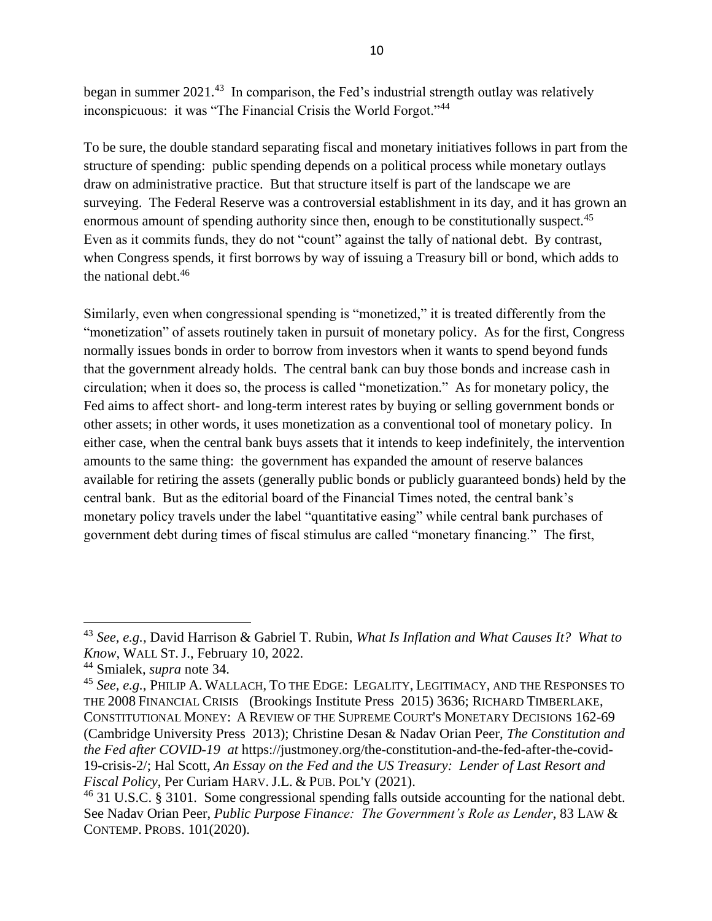began in summer 2021.<sup>43</sup> In comparison, the Fed's industrial strength outlay was relatively inconspicuous: it was "The Financial Crisis the World Forgot."<sup>44</sup>

To be sure, the double standard separating fiscal and monetary initiatives follows in part from the structure of spending: public spending depends on a political process while monetary outlays draw on administrative practice. But that structure itself is part of the landscape we are surveying. The Federal Reserve was a controversial establishment in its day, and it has grown an enormous amount of spending authority since then, enough to be constitutionally suspect.<sup>45</sup> Even as it commits funds, they do not "count" against the tally of national debt. By contrast, when Congress spends, it first borrows by way of issuing a Treasury bill or bond, which adds to the national debt.<sup>46</sup>

<span id="page-9-0"></span>Similarly, even when congressional spending is "monetized," it is treated differently from the "monetization" of assets routinely taken in pursuit of monetary policy. As for the first, Congress normally issues bonds in order to borrow from investors when it wants to spend beyond funds that the government already holds. The central bank can buy those bonds and increase cash in circulation; when it does so, the process is called "monetization." As for monetary policy, the Fed aims to affect short- and long-term interest rates by buying or selling government bonds or other assets; in other words, it uses monetization as a conventional tool of monetary policy. In either case, when the central bank buys assets that it intends to keep indefinitely, the intervention amounts to the same thing: the government has expanded the amount of reserve balances available for retiring the assets (generally public bonds or publicly guaranteed bonds) held by the central bank. But as the editorial board of the Financial Times noted, the central bank's monetary policy travels under the label "quantitative easing" while central bank purchases of government debt during times of fiscal stimulus are called "monetary financing." The first,

<sup>43</sup> *See, e.g.,* David Harrison & Gabriel T. Rubin, *What Is Inflation and What Causes It? What to Know*, WALL ST. J., February 10, 2022.

<sup>44</sup> Smialek, *supra* note 34.

<sup>45</sup> *See, e.g.*, PHILIP A. WALLACH, TO THE EDGE: LEGALITY, LEGITIMACY, AND THE RESPONSES TO THE 2008 FINANCIAL CRISIS (Brookings Institute Press 2015) 3636; RICHARD TIMBERLAKE, CONSTITUTIONAL MONEY: A REVIEW OF THE SUPREME COURT'S MONETARY DECISIONS 162-69 (Cambridge University Press 2013); Christine Desan & Nadav Orian Peer, *The Constitution and the Fed after COVID-19 at* https://justmoney.org/the-constitution-and-the-fed-after-the-covid-19-crisis-2/; Hal Scott, *An Essay on the Fed and the US Treasury: Lender of Last Resort and Fiscal Policy*, Per Curiam HARV. J.L. & PUB. POL'Y (2021).

 $^{46}$  31 U.S.C. § 3101. Some congressional spending falls outside accounting for the national debt. See Nadav Orian Peer, *Public Purpose Finance: The Government's Role as Lender*, 83 LAW & CONTEMP. PROBS. 101(2020).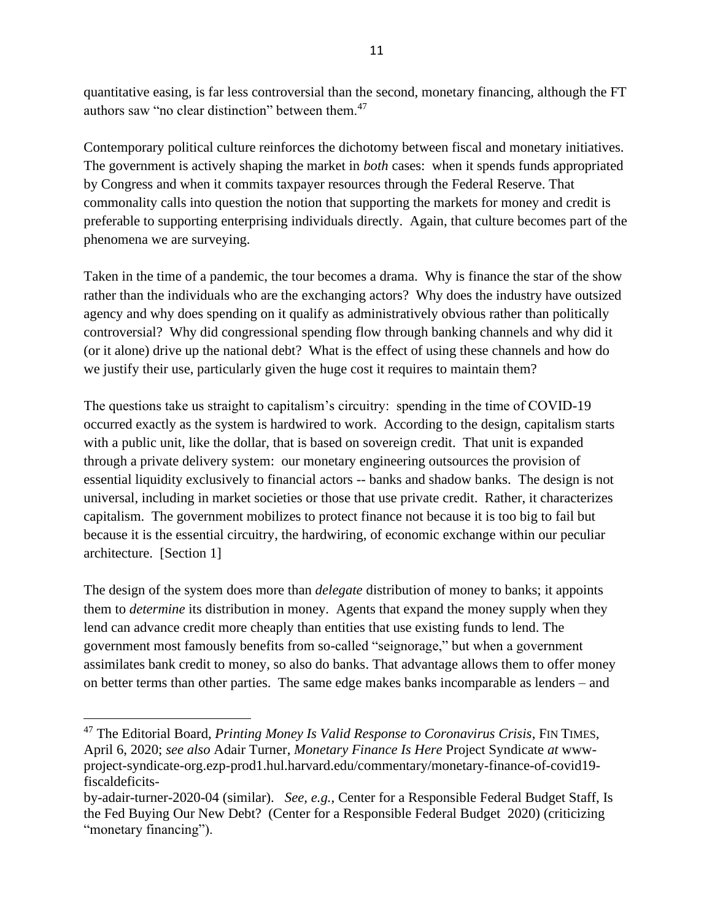<span id="page-10-0"></span>quantitative easing, is far less controversial than the second, monetary financing, although the FT authors saw "no clear distinction" between them.<sup>47</sup>

Contemporary political culture reinforces the dichotomy between fiscal and monetary initiatives. The government is actively shaping the market in *both* cases: when it spends funds appropriated by Congress and when it commits taxpayer resources through the Federal Reserve. That commonality calls into question the notion that supporting the markets for money and credit is preferable to supporting enterprising individuals directly. Again, that culture becomes part of the phenomena we are surveying.

Taken in the time of a pandemic, the tour becomes a drama. Why is finance the star of the show rather than the individuals who are the exchanging actors? Why does the industry have outsized agency and why does spending on it qualify as administratively obvious rather than politically controversial? Why did congressional spending flow through banking channels and why did it (or it alone) drive up the national debt? What is the effect of using these channels and how do we justify their use, particularly given the huge cost it requires to maintain them?

The questions take us straight to capitalism's circuitry: spending in the time of COVID-19 occurred exactly as the system is hardwired to work. According to the design, capitalism starts with a public unit, like the dollar, that is based on sovereign credit. That unit is expanded through a private delivery system: our monetary engineering outsources the provision of essential liquidity exclusively to financial actors -- banks and shadow banks. The design is not universal, including in market societies or those that use private credit. Rather, it characterizes capitalism. The government mobilizes to protect finance not because it is too big to fail but because it is the essential circuitry, the hardwiring, of economic exchange within our peculiar architecture. [Section 1]

The design of the system does more than *delegate* distribution of money to banks; it appoints them to *determine* its distribution in money. Agents that expand the money supply when they lend can advance credit more cheaply than entities that use existing funds to lend. The government most famously benefits from so-called "seignorage," but when a government assimilates bank credit to money, so also do banks. That advantage allows them to offer money on better terms than other parties. The same edge makes banks incomparable as lenders – and

<sup>47</sup> The Editorial Board, *Printing Money Is Valid Response to Coronavirus Crisis*, FIN TIMES, April 6, 2020; *see also* Adair Turner, *Monetary Finance Is Here* Project Syndicate *at* wwwproject-syndicate-org.ezp-prod1.hul.harvard.edu/commentary/monetary-finance-of-covid19 fiscaldeficits-

by-adair-turner-2020-04 (similar). *See, e.g.*, Center for a Responsible Federal Budget Staff, Is the Fed Buying Our New Debt? (Center for a Responsible Federal Budget 2020) (criticizing "monetary financing").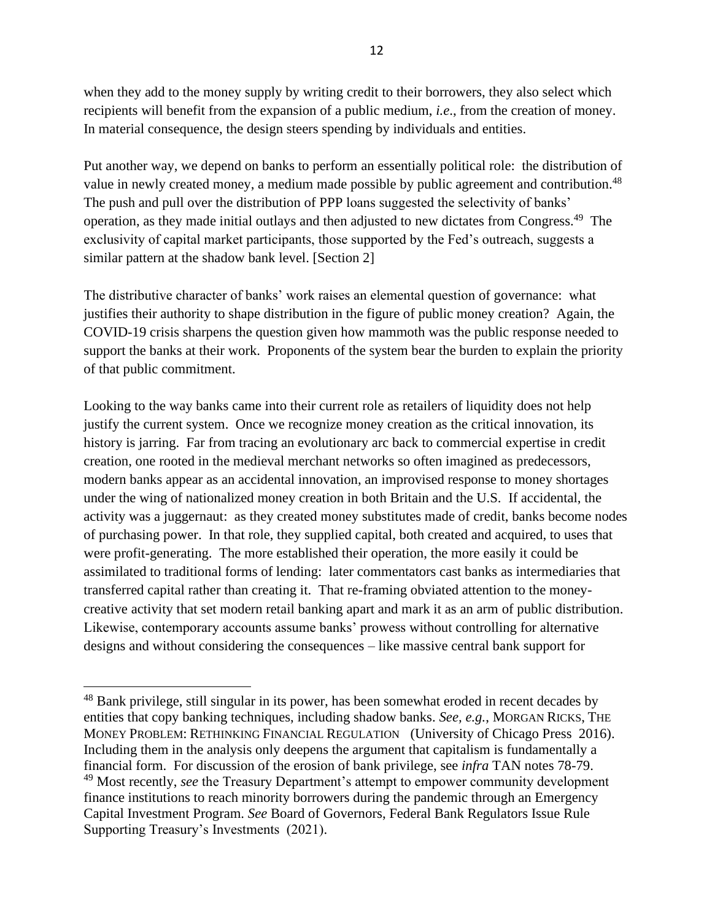when they add to the money supply by writing credit to their borrowers, they also select which recipients will benefit from the expansion of a public medium, *i.e*., from the creation of money. In material consequence, the design steers spending by individuals and entities.

<span id="page-11-1"></span><span id="page-11-0"></span>Put another way, we depend on banks to perform an essentially political role: the distribution of value in newly created money, a medium made possible by public agreement and contribution.<sup>48</sup> The push and pull over the distribution of PPP loans suggested the selectivity of banks' operation, as they made initial outlays and then adjusted to new dictates from Congress.<sup>49</sup> The exclusivity of capital market participants, those supported by the Fed's outreach, suggests a similar pattern at the shadow bank level. [Section 2]

The distributive character of banks' work raises an elemental question of governance: what justifies their authority to shape distribution in the figure of public money creation? Again, the COVID-19 crisis sharpens the question given how mammoth was the public response needed to support the banks at their work. Proponents of the system bear the burden to explain the priority of that public commitment.

Looking to the way banks came into their current role as retailers of liquidity does not help justify the current system. Once we recognize money creation as the critical innovation, its history is jarring. Far from tracing an evolutionary arc back to commercial expertise in credit creation, one rooted in the medieval merchant networks so often imagined as predecessors, modern banks appear as an accidental innovation, an improvised response to money shortages under the wing of nationalized money creation in both Britain and the U.S. If accidental, the activity was a juggernaut: as they created money substitutes made of credit, banks become nodes of purchasing power. In that role, they supplied capital, both created and acquired, to uses that were profit-generating. The more established their operation, the more easily it could be assimilated to traditional forms of lending: later commentators cast banks as intermediaries that transferred capital rather than creating it. That re-framing obviated attention to the moneycreative activity that set modern retail banking apart and mark it as an arm of public distribution. Likewise, contemporary accounts assume banks' prowess without controlling for alternative designs and without considering the consequences – like massive central bank support for

<sup>48</sup> Bank privilege, still singular in its power, has been somewhat eroded in recent decades by entities that copy banking techniques, including shadow banks. *See, e.g.*, MORGAN RICKS, THE MONEY PROBLEM: RETHINKING FINANCIAL REGULATION (University of Chicago Press 2016). Including them in the analysis only deepens the argument that capitalism is fundamentally a financial form. For discussion of the erosion of bank privilege, see *infra* TAN notes [78](#page-18-0)[-79.](#page-18-1) <sup>49</sup> Most recently, *see* the Treasury Department's attempt to empower community development finance institutions to reach minority borrowers during the pandemic through an Emergency Capital Investment Program. *See* Board of Governors, Federal Bank Regulators Issue Rule Supporting Treasury's Investments (2021).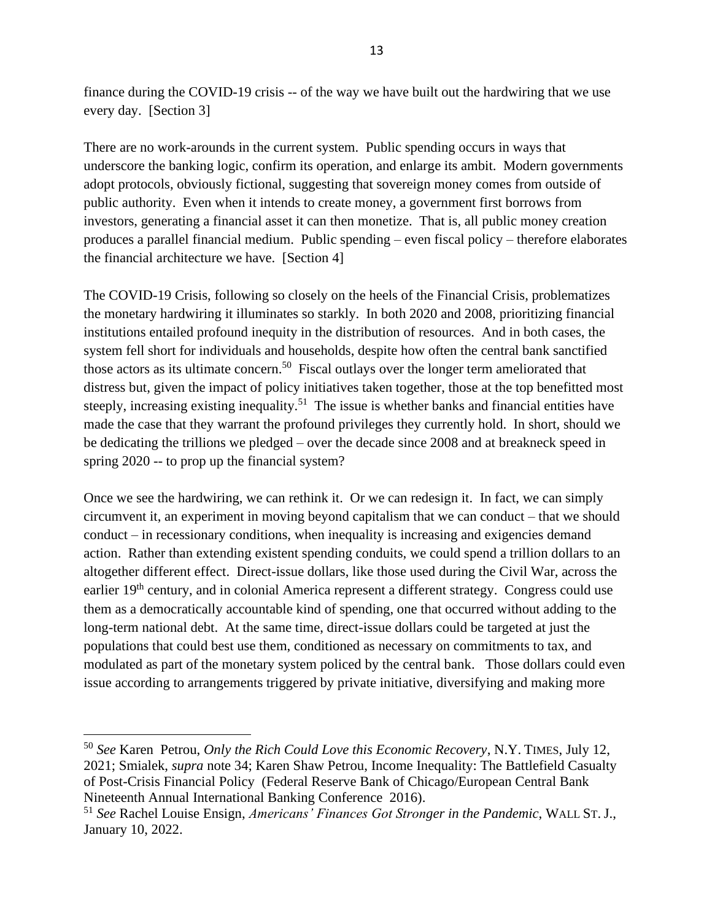finance during the COVID-19 crisis -- of the way we have built out the hardwiring that we use every day. [Section 3]

There are no work-arounds in the current system. Public spending occurs in ways that underscore the banking logic, confirm its operation, and enlarge its ambit. Modern governments adopt protocols, obviously fictional, suggesting that sovereign money comes from outside of public authority. Even when it intends to create money, a government first borrows from investors, generating a financial asset it can then monetize. That is, all public money creation produces a parallel financial medium. Public spending – even fiscal policy – therefore elaborates the financial architecture we have. [Section 4]

The COVID-19 Crisis, following so closely on the heels of the Financial Crisis, problematizes the monetary hardwiring it illuminates so starkly. In both 2020 and 2008, prioritizing financial institutions entailed profound inequity in the distribution of resources. And in both cases, the system fell short for individuals and households, despite how often the central bank sanctified those actors as its ultimate concern.<sup>50</sup> Fiscal outlays over the longer term ameliorated that distress but, given the impact of policy initiatives taken together, those at the top benefitted most steeply, increasing existing inequality.<sup>51</sup> The issue is whether banks and financial entities have made the case that they warrant the profound privileges they currently hold. In short, should we be dedicating the trillions we pledged – over the decade since 2008 and at breakneck speed in spring 2020 -- to prop up the financial system?

Once we see the hardwiring, we can rethink it. Or we can redesign it. In fact, we can simply circumvent it, an experiment in moving beyond capitalism that we can conduct – that we should conduct – in recessionary conditions, when inequality is increasing and exigencies demand action. Rather than extending existent spending conduits, we could spend a trillion dollars to an altogether different effect. Direct-issue dollars, like those used during the Civil War, across the earlier 19<sup>th</sup> century, and in colonial America represent a different strategy. Congress could use them as a democratically accountable kind of spending, one that occurred without adding to the long-term national debt. At the same time, direct-issue dollars could be targeted at just the populations that could best use them, conditioned as necessary on commitments to tax, and modulated as part of the monetary system policed by the central bank. Those dollars could even issue according to arrangements triggered by private initiative, diversifying and making more

<sup>50</sup> *See* Karen Petrou, *Only the Rich Could Love this Economic Recovery*, N.Y. TIMES, July 12, 2021; Smialek, *supra* note 34; Karen Shaw Petrou, Income Inequality: The Battlefield Casualty of Post-Crisis Financial Policy (Federal Reserve Bank of Chicago/European Central Bank Nineteenth Annual International Banking Conference 2016).

<sup>51</sup> *See* Rachel Louise Ensign, *Americans' Finances Got Stronger in the Pandemic*, WALL ST. J., January 10, 2022.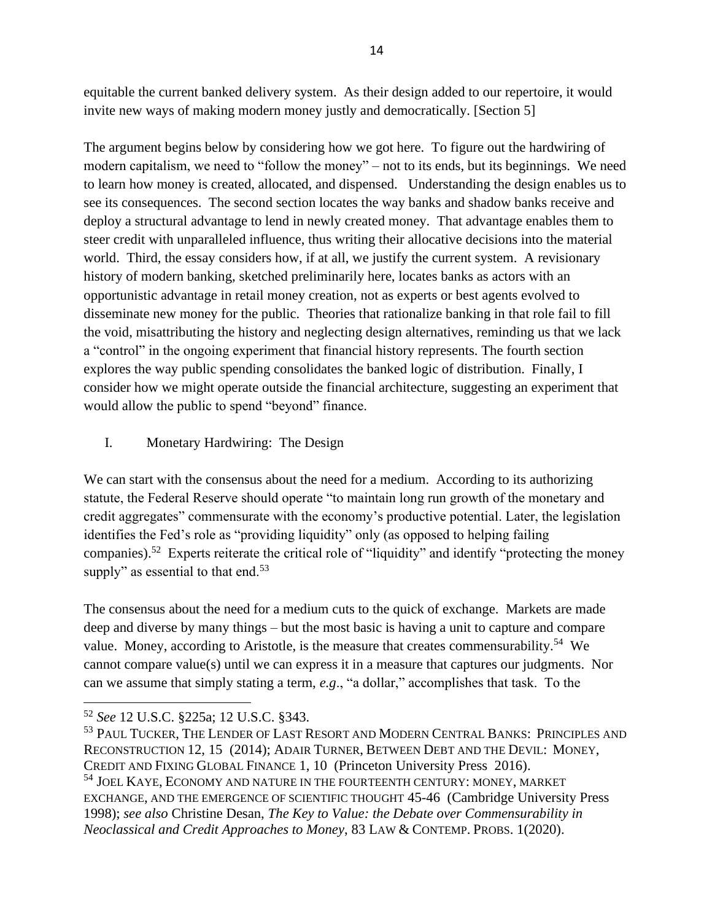equitable the current banked delivery system. As their design added to our repertoire, it would invite new ways of making modern money justly and democratically. [Section 5]

The argument begins below by considering how we got here. To figure out the hardwiring of modern capitalism, we need to "follow the money" – not to its ends, but its beginnings. We need to learn how money is created, allocated, and dispensed. Understanding the design enables us to see its consequences. The second section locates the way banks and shadow banks receive and deploy a structural advantage to lend in newly created money. That advantage enables them to steer credit with unparalleled influence, thus writing their allocative decisions into the material world. Third, the essay considers how, if at all, we justify the current system. A revisionary history of modern banking, sketched preliminarily here, locates banks as actors with an opportunistic advantage in retail money creation, not as experts or best agents evolved to disseminate new money for the public. Theories that rationalize banking in that role fail to fill the void, misattributing the history and neglecting design alternatives, reminding us that we lack a "control" in the ongoing experiment that financial history represents. The fourth section explores the way public spending consolidates the banked logic of distribution. Finally, I consider how we might operate outside the financial architecture, suggesting an experiment that would allow the public to spend "beyond" finance.

# I. Monetary Hardwiring: The Design

We can start with the consensus about the need for a medium. According to its authorizing statute, the Federal Reserve should operate "to maintain long run growth of the monetary and credit aggregates" commensurate with the economy's productive potential. Later, the legislation identifies the Fed's role as "providing liquidity" only (as opposed to helping failing companies).<sup>52</sup> Experts reiterate the critical role of "liquidity" and identify "protecting the money supply" as essential to that end.<sup>53</sup>

<span id="page-13-0"></span>The consensus about the need for a medium cuts to the quick of exchange. Markets are made deep and diverse by many things – but the most basic is having a unit to capture and compare value. Money, according to Aristotle, is the measure that creates commensurability.<sup>54</sup> We cannot compare value(s) until we can express it in a measure that captures our judgments. Nor can we assume that simply stating a term, *e.g*., "a dollar," accomplishes that task. To the

<sup>52</sup> *See* 12 U.S.C. §225a; 12 U.S.C. §343.

<sup>53</sup> PAUL TUCKER, THE LENDER OF LAST RESORT AND MODERN CENTRAL BANKS: PRINCIPLES AND RECONSTRUCTION 12, 15 (2014); ADAIR TURNER, BETWEEN DEBT AND THE DEVIL: MONEY, CREDIT AND FIXING GLOBAL FINANCE 1, 10 (Princeton University Press 2016). <sup>54</sup> JOEL KAYE, ECONOMY AND NATURE IN THE FOURTEENTH CENTURY: MONEY, MARKET EXCHANGE, AND THE EMERGENCE OF SCIENTIFIC THOUGHT 45-46 (Cambridge University Press 1998); *see also* Christine Desan, *The Key to Value: the Debate over Commensurability in Neoclassical and Credit Approaches to Money*, 83 LAW & CONTEMP. PROBS. 1(2020).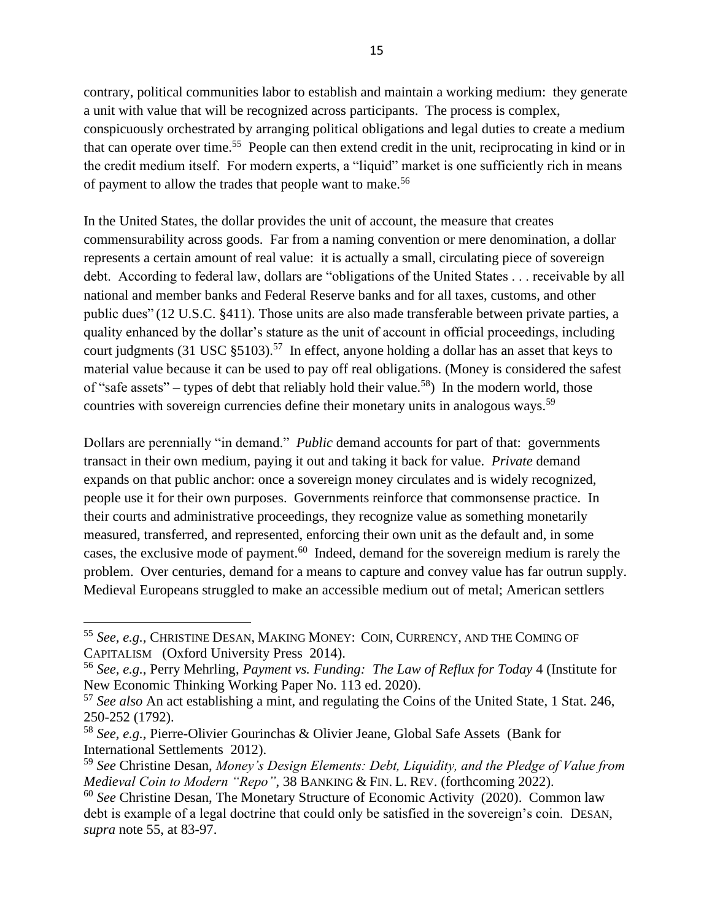<span id="page-14-0"></span>contrary, political communities labor to establish and maintain a working medium: they generate a unit with value that will be recognized across participants. The process is complex, conspicuously orchestrated by arranging political obligations and legal duties to create a medium that can operate over time.<sup>55</sup> People can then extend credit in the unit, reciprocating in kind or in the credit medium itself. For modern experts, a "liquid" market is one sufficiently rich in means of payment to allow the trades that people want to make.<sup>56</sup>

<span id="page-14-1"></span>In the United States, the dollar provides the unit of account, the measure that creates commensurability across goods. Far from a naming convention or mere denomination, a dollar represents a certain amount of real value: it is actually a small, circulating piece of sovereign debt. According to federal law, dollars are "obligations of the United States . . . receivable by all national and member banks and Federal Reserve banks and for all taxes, customs, and other public dues" (12 U.S.C. §411). Those units are also made transferable between private parties, a quality enhanced by the dollar's stature as the unit of account in official proceedings, including court judgments (31 USC  $\S5103$ ).<sup>57</sup> In effect, anyone holding a dollar has an asset that keys to material value because it can be used to pay off real obligations. (Money is considered the safest of "safe assets" – types of debt that reliably hold their value.<sup>58</sup>) In the modern world, those countries with sovereign currencies define their monetary units in analogous ways.<sup>59</sup>

<span id="page-14-4"></span><span id="page-14-3"></span><span id="page-14-2"></span>Dollars are perennially "in demand." *Public* demand accounts for part of that: governments transact in their own medium, paying it out and taking it back for value. *Private* demand expands on that public anchor: once a sovereign money circulates and is widely recognized, people use it for their own purposes. Governments reinforce that commonsense practice. In their courts and administrative proceedings, they recognize value as something monetarily measured, transferred, and represented, enforcing their own unit as the default and, in some cases, the exclusive mode of payment.<sup>60</sup> Indeed, demand for the sovereign medium is rarely the problem. Over centuries, demand for a means to capture and convey value has far outrun supply. Medieval Europeans struggled to make an accessible medium out of metal; American settlers

<sup>55</sup> *See, e.g.,* CHRISTINE DESAN, MAKING MONEY: COIN, CURRENCY, AND THE COMING OF CAPITALISM (Oxford University Press 2014).

<sup>56</sup> *See, e.g.*, Perry Mehrling, *Payment vs. Funding: The Law of Reflux for Today* 4 (Institute for New Economic Thinking Working Paper No. 113 ed. 2020).

<sup>57</sup> *See also* An act establishing a mint, and regulating the Coins of the United State, 1 Stat. 246, 250-252 (1792).

<sup>58</sup> *See, e.g.*, Pierre-Olivier Gourinchas & Olivier Jeane, Global Safe Assets (Bank for International Settlements 2012).

<sup>59</sup> *See* Christine Desan, *Money's Design Elements: Debt, Liquidity, and the Pledge of Value from Medieval Coin to Modern "Repo"*, 38 BANKING & FIN. L. REV. (forthcoming 2022).

<sup>60</sup> *See* Christine Desan, The Monetary Structure of Economic Activity (2020). Common law debt is example of a legal doctrine that could only be satisfied in the sovereign's coin. DESAN, *supra* note [55,](#page-14-0) at 83-97.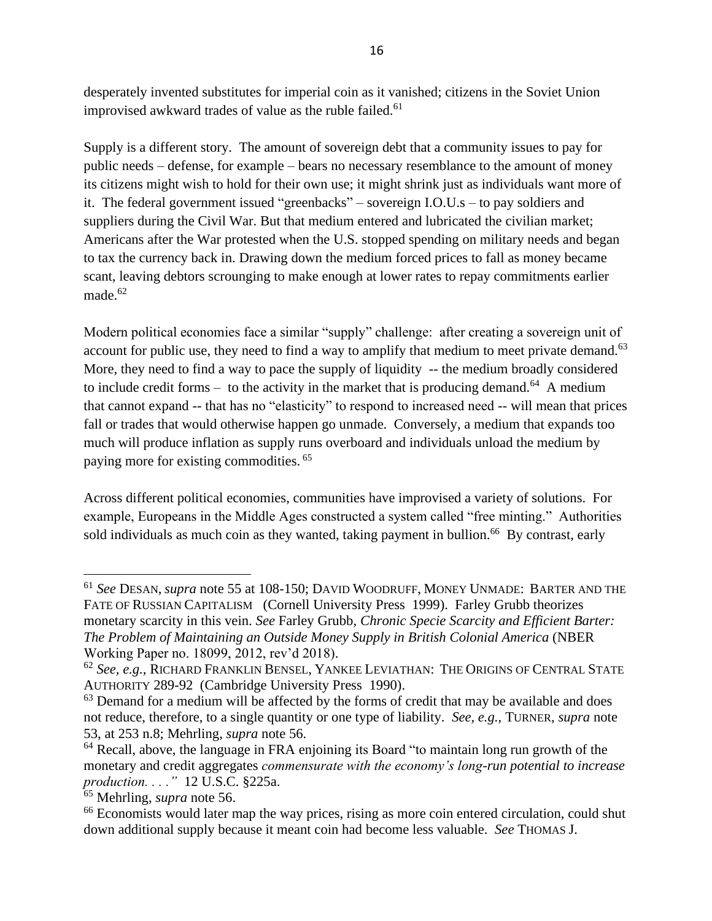<span id="page-15-1"></span>desperately invented substitutes for imperial coin as it vanished; citizens in the Soviet Union improvised awkward trades of value as the ruble failed.<sup>61</sup>

Supply is a different story. The amount of sovereign debt that a community issues to pay for public needs – defense, for example – bears no necessary resemblance to the amount of money its citizens might wish to hold for their own use; it might shrink just as individuals want more of it. The federal government issued "greenbacks" – sovereign I.O.U.s – to pay soldiers and suppliers during the Civil War. But that medium entered and lubricated the civilian market; Americans after the War protested when the U.S. stopped spending on military needs and began to tax the currency back in. Drawing down the medium forced prices to fall as money became scant, leaving debtors scrounging to make enough at lower rates to repay commitments earlier made. $62$ 

<span id="page-15-2"></span><span id="page-15-0"></span>Modern political economies face a similar "supply" challenge: after creating a sovereign unit of account for public use, they need to find a way to amplify that medium to meet private demand.<sup>63</sup> More, they need to find a way to pace the supply of liquidity -- the medium broadly considered to include credit forms  $-$  to the activity in the market that is producing demand.<sup>64</sup> A medium that cannot expand -- that has no "elasticity" to respond to increased need -- will mean that prices fall or trades that would otherwise happen go unmade. Conversely, a medium that expands too much will produce inflation as supply runs overboard and individuals unload the medium by paying more for existing commodities. 65

<span id="page-15-3"></span>Across different political economies, communities have improvised a variety of solutions. For example, Europeans in the Middle Ages constructed a system called "free minting." Authorities sold individuals as much coin as they wanted, taking payment in bullion.<sup>66</sup> By contrast, early

<sup>61</sup> *See* DESAN, *supra* note [55](#page-14-0) at 108-150; DAVID WOODRUFF, MONEY UNMADE: BARTER AND THE FATE OF RUSSIAN CAPITALISM (Cornell University Press 1999). Farley Grubb theorizes monetary scarcity in this vein. *See* Farley Grubb, *Chronic Specie Scarcity and Efficient Barter: The Problem of Maintaining an Outside Money Supply in British Colonial America* (NBER Working Paper no. 18099, 2012, rev'd 2018).

<sup>62</sup> *See, e.g.*, RICHARD FRANKLIN BENSEL, YANKEE LEVIATHAN: THE ORIGINS OF CENTRAL STATE AUTHORITY 289-92 (Cambridge University Press 1990).

 $63$  Demand for a medium will be affected by the forms of credit that may be available and does not reduce, therefore, to a single quantity or one type of liability. *See, e.g.*, TURNER, *supra* note [53,](#page-13-0) at 253 n.8; Mehrling, *supra* note [56.](#page-14-1)

<sup>&</sup>lt;sup>64</sup> Recall, above, the language in FRA enjoining its Board "to maintain long run growth of the monetary and credit aggregates *commensurate with the economy's long-run potential to increase production. . . ."* 12 U.S.C. §225a.

<sup>65</sup> Mehrling, *supra* note [56.](#page-14-1)

<sup>&</sup>lt;sup>66</sup> Economists would later map the way prices, rising as more coin entered circulation, could shut down additional supply because it meant coin had become less valuable. *See* THOMAS J.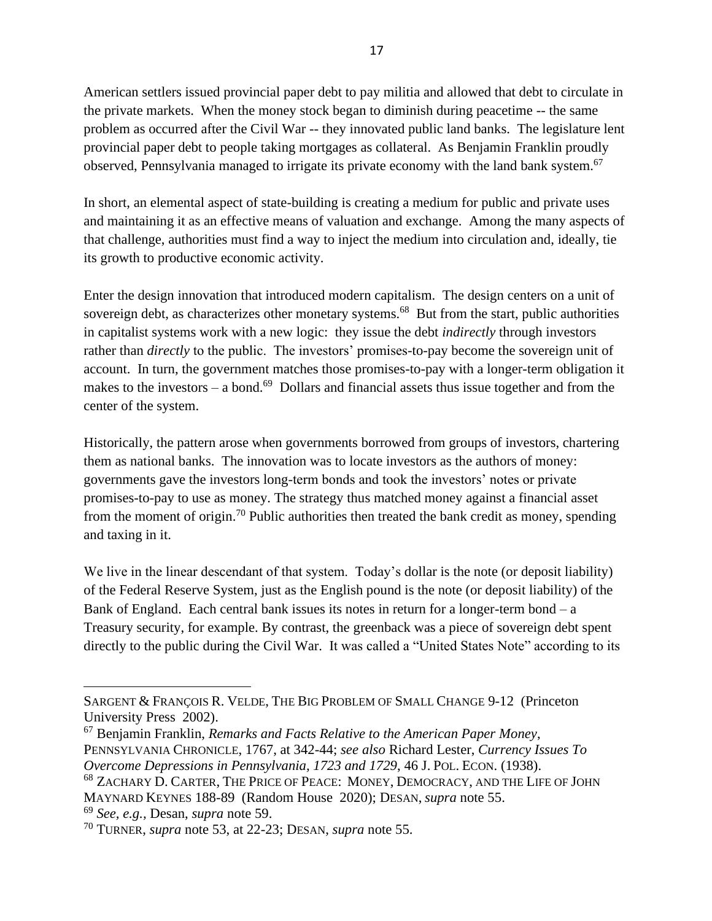American settlers issued provincial paper debt to pay militia and allowed that debt to circulate in the private markets. When the money stock began to diminish during peacetime -- the same problem as occurred after the Civil War -- they innovated public land banks. The legislature lent provincial paper debt to people taking mortgages as collateral. As Benjamin Franklin proudly observed, Pennsylvania managed to irrigate its private economy with the land bank system.<sup>67</sup>

<span id="page-16-0"></span>In short, an elemental aspect of state-building is creating a medium for public and private uses and maintaining it as an effective means of valuation and exchange. Among the many aspects of that challenge, authorities must find a way to inject the medium into circulation and, ideally, tie its growth to productive economic activity.

Enter the design innovation that introduced modern capitalism. The design centers on a unit of sovereign debt, as characterizes other monetary systems.<sup>68</sup> But from the start, public authorities in capitalist systems work with a new logic: they issue the debt *indirectly* through investors rather than *directly* to the public. The investors' promises-to-pay become the sovereign unit of account. In turn, the government matches those promises-to-pay with a longer-term obligation it makes to the investors  $-$  a bond.<sup>69</sup> Dollars and financial assets thus issue together and from the center of the system.

Historically, the pattern arose when governments borrowed from groups of investors, chartering them as national banks. The innovation was to locate investors as the authors of money: governments gave the investors long-term bonds and took the investors' notes or private promises-to-pay to use as money. The strategy thus matched money against a financial asset from the moment of origin.<sup>70</sup> Public authorities then treated the bank credit as money, spending and taxing in it.

We live in the linear descendant of that system. Today's dollar is the note (or deposit liability) of the Federal Reserve System, just as the English pound is the note (or deposit liability) of the Bank of England. Each central bank issues its notes in return for a longer-term bond  $- a$ Treasury security, for example. By contrast, the greenback was a piece of sovereign debt spent directly to the public during the Civil War. It was called a "United States Note" according to its

<sup>69</sup> *See, e.g.,* Desan, *supra* note [59.](#page-14-2)

SARGENT & FRANÇOIS R. VELDE, THE BIG PROBLEM OF SMALL CHANGE 9-12 (Princeton University Press 2002).

<sup>67</sup> Benjamin Franklin, *Remarks and Facts Relative to the American Paper Money*,

PENNSYLVANIA CHRONICLE, 1767, at 342-44; *see also* Richard Lester, *Currency Issues To Overcome Depressions in Pennsylvania, 1723 and 1729*, 46 J. POL. ECON. (1938).

<sup>68</sup> ZACHARY D. CARTER, THE PRICE OF PEACE: MONEY, DEMOCRACY, AND THE LIFE OF JOHN

MAYNARD KEYNES 188-89 (Random House 2020); DESAN, *supra* note [55.](#page-14-0)

<sup>70</sup> TURNER, *supra* note [53,](#page-13-0) at 22-23; DESAN, *supra* note [55.](#page-14-0)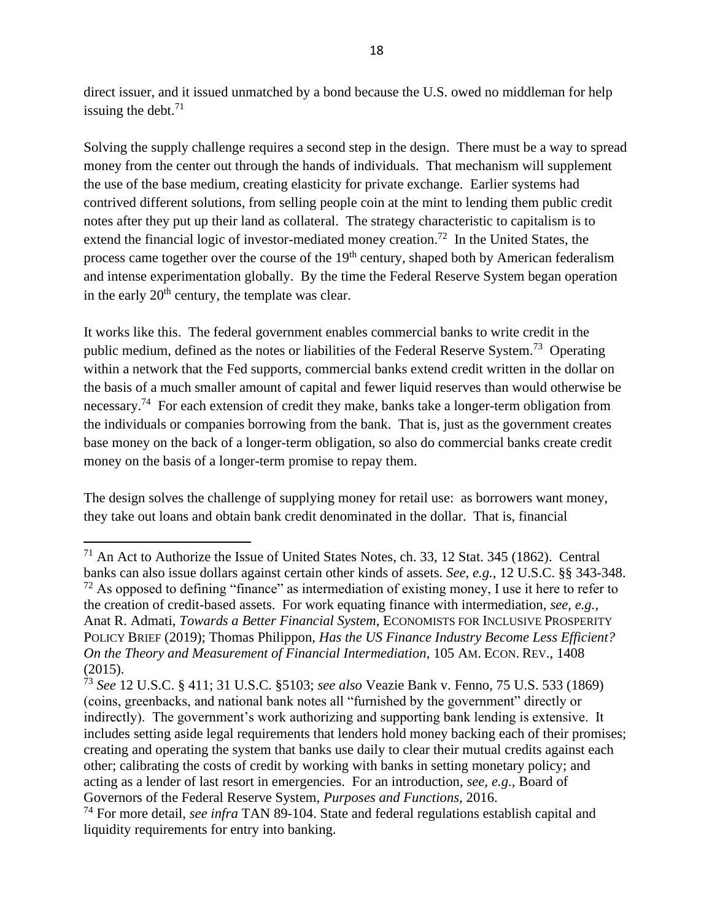direct issuer, and it issued unmatched by a bond because the U.S. owed no middleman for help issuing the debt. $71$ 

Solving the supply challenge requires a second step in the design. There must be a way to spread money from the center out through the hands of individuals. That mechanism will supplement the use of the base medium, creating elasticity for private exchange. Earlier systems had contrived different solutions, from selling people coin at the mint to lending them public credit notes after they put up their land as collateral. The strategy characteristic to capitalism is to extend the financial logic of investor-mediated money creation.<sup>72</sup> In the United States, the process came together over the course of the 19<sup>th</sup> century, shaped both by American federalism and intense experimentation globally. By the time the Federal Reserve System began operation in the early  $20<sup>th</sup>$  century, the template was clear.

<span id="page-17-0"></span>It works like this. The federal government enables commercial banks to write credit in the public medium, defined as the notes or liabilities of the Federal Reserve System.<sup>73</sup> Operating within a network that the Fed supports, commercial banks extend credit written in the dollar on the basis of a much smaller amount of capital and fewer liquid reserves than would otherwise be necessary.<sup>74</sup> For each extension of credit they make, banks take a longer-term obligation from the individuals or companies borrowing from the bank. That is, just as the government creates base money on the back of a longer-term obligation, so also do commercial banks create credit money on the basis of a longer-term promise to repay them.

The design solves the challenge of supplying money for retail use: as borrowers want money, they take out loans and obtain bank credit denominated in the dollar. That is, financial

 $71$  An Act to Authorize the Issue of United States Notes, ch. 33, 12 [Stat.](https://en.wikipedia.org/wiki/United_States_Statutes_at_Large) [345](http://legislink.org/us/stat-12-345) (1862). Central banks can also issue dollars against certain other kinds of assets. *See, e.g.,* 12 U.S.C. §§ 343-348.  $72$  As opposed to defining "finance" as intermediation of existing money, I use it here to refer to the creation of credit-based assets. For work equating finance with intermediation, *see, e.g.,* Anat R. Admati, *Towards a Better Financial System*, ECONOMISTS FOR INCLUSIVE PROSPERITY POLICY BRIEF (2019); Thomas Philippon, *Has the US Finance Industry Become Less Efficient? On the Theory and Measurement of Financial Intermediation*, 105 AM. ECON. REV., 1408 (2015).

<sup>73</sup> *See* 12 U.S.C. § 411; 31 U.S.C. §5103; *see also* Veazie Bank v. Fenno, 75 U.S. 533 (1869) (coins, greenbacks, and national bank notes all "furnished by the government" directly or indirectly). The government's work authorizing and supporting bank lending is extensive. It includes setting aside legal requirements that lenders hold money backing each of their promises; creating and operating the system that banks use daily to clear their mutual credits against each other; calibrating the costs of credit by working with banks in setting monetary policy; and acting as a lender of last resort in emergencies. For an introduction, *see, e.g.,* Board of Governors of the Federal Reserve System, *Purposes and Functions,* 2016.

<sup>74</sup> For more detail, *see infra* TAN [89-](#page-21-0)[104.](#page-25-0) State and federal regulations establish capital and liquidity requirements for entry into banking.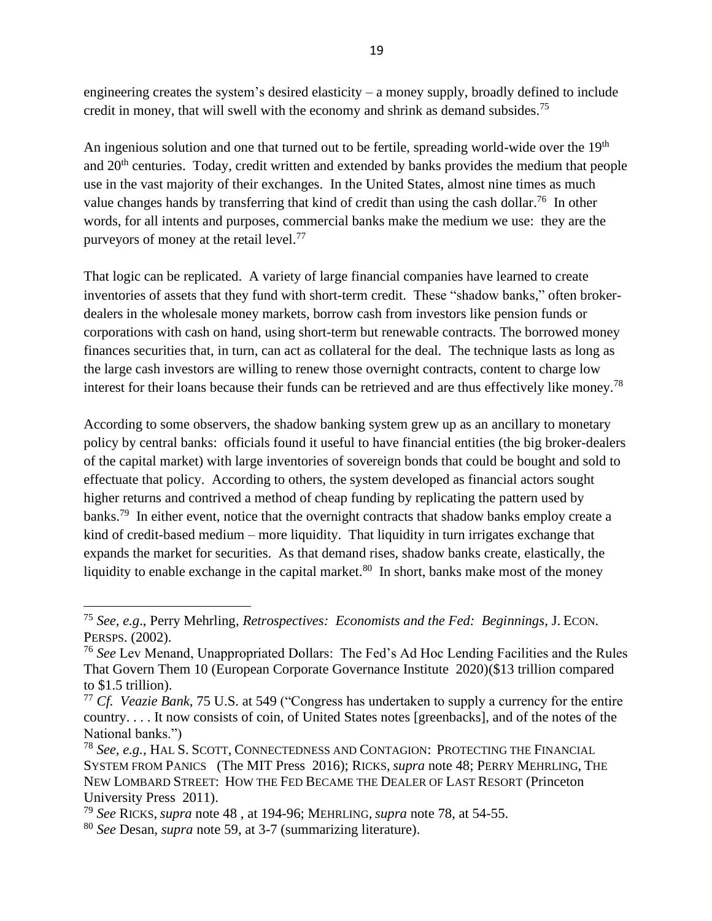<span id="page-18-2"></span>engineering creates the system's desired elasticity – a money supply, broadly defined to include credit in money, that will swell with the economy and shrink as demand subsides.<sup>75</sup>

An ingenious solution and one that turned out to be fertile, spreading world-wide over the 19<sup>th</sup> and 20<sup>th</sup> centuries. Today, credit written and extended by banks provides the medium that people use in the vast majority of their exchanges. In the United States, almost nine times as much value changes hands by transferring that kind of credit than using the cash dollar.<sup>76</sup> In other words, for all intents and purposes, commercial banks make the medium we use: they are the purveyors of money at the retail level.<sup>77</sup>

That logic can be replicated. A variety of large financial companies have learned to create inventories of assets that they fund with short-term credit. These "shadow banks," often brokerdealers in the wholesale money markets, borrow cash from investors like pension funds or corporations with cash on hand, using short-term but renewable contracts. The borrowed money finances securities that, in turn, can act as collateral for the deal. The technique lasts as long as the large cash investors are willing to renew those overnight contracts, content to charge low interest for their loans because their funds can be retrieved and are thus effectively like money.<sup>78</sup>

<span id="page-18-1"></span><span id="page-18-0"></span>According to some observers, the shadow banking system grew up as an ancillary to monetary policy by central banks: officials found it useful to have financial entities (the big broker-dealers of the capital market) with large inventories of sovereign bonds that could be bought and sold to effectuate that policy. According to others, the system developed as financial actors sought higher returns and contrived a method of cheap funding by replicating the pattern used by banks.<sup>79</sup> In either event, notice that the overnight contracts that shadow banks employ create a kind of credit-based medium – more liquidity. That liquidity in turn irrigates exchange that expands the market for securities. As that demand rises, shadow banks create, elastically, the liquidity to enable exchange in the capital market.<sup>80</sup> In short, banks make most of the money

<sup>75</sup> *See, e.g*., Perry Mehrling, *Retrospectives: Economists and the Fed: Beginnings*, J. ECON. PERSPS. (2002).

<sup>76</sup> *See* Lev Menand, Unappropriated Dollars: The Fed's Ad Hoc Lending Facilities and the Rules That Govern Them 10 (European Corporate Governance Institute 2020)(\$13 trillion compared to \$1.5 trillion).

<sup>77</sup> *Cf. Veazie Bank*, 75 U.S. at 549 ("Congress has undertaken to supply a currency for the entire country. . . . It now consists of coin, of United States notes [greenbacks], and of the notes of the National banks.")

<sup>78</sup> *See, e.g.,* HAL S. SCOTT, CONNECTEDNESS AND CONTAGION: PROTECTING THE FINANCIAL SYSTEM FROM PANICS (The MIT Press 2016); RICKS, *supra* note [48;](#page-11-0) PERRY MEHRLING, THE NEW LOMBARD STREET: HOW THE FED BECAME THE DEALER OF LAST RESORT (Princeton University Press 2011).

<sup>79</sup> *See* RICKS, *supra* note [48](#page-11-0) , at 194-96; MEHRLING, *supra* note [78,](#page-18-0) at 54-55.

<sup>80</sup> *See* Desan, *supra* note [59,](#page-14-2) at 3-7 (summarizing literature).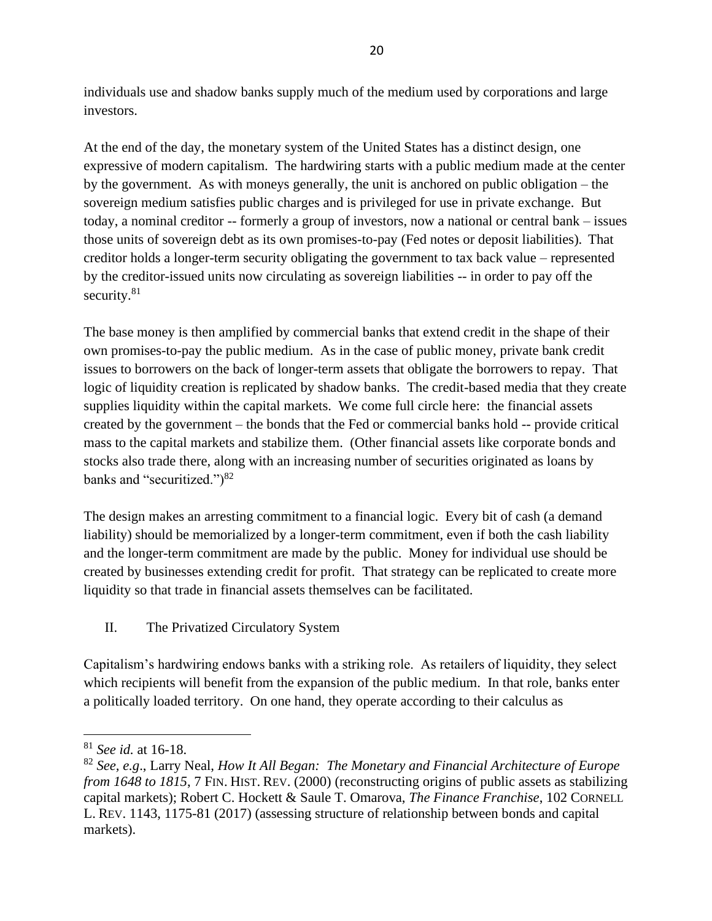individuals use and shadow banks supply much of the medium used by corporations and large investors.

At the end of the day, the monetary system of the United States has a distinct design, one expressive of modern capitalism. The hardwiring starts with a public medium made at the center by the government. As with moneys generally, the unit is anchored on public obligation – the sovereign medium satisfies public charges and is privileged for use in private exchange. But today, a nominal creditor -- formerly a group of investors, now a national or central bank – issues those units of sovereign debt as its own promises-to-pay (Fed notes or deposit liabilities). That creditor holds a longer-term security obligating the government to tax back value – represented by the creditor-issued units now circulating as sovereign liabilities -- in order to pay off the security.<sup>81</sup>

The base money is then amplified by commercial banks that extend credit in the shape of their own promises-to-pay the public medium. As in the case of public money, private bank credit issues to borrowers on the back of longer-term assets that obligate the borrowers to repay. That logic of liquidity creation is replicated by shadow banks. The credit-based media that they create supplies liquidity within the capital markets. We come full circle here: the financial assets created by the government – the bonds that the Fed or commercial banks hold -- provide critical mass to the capital markets and stabilize them. (Other financial assets like corporate bonds and stocks also trade there, along with an increasing number of securities originated as loans by banks and "securitized.")<sup>82</sup>

<span id="page-19-0"></span>The design makes an arresting commitment to a financial logic. Every bit of cash (a demand liability) should be memorialized by a longer-term commitment, even if both the cash liability and the longer-term commitment are made by the public. Money for individual use should be created by businesses extending credit for profit. That strategy can be replicated to create more liquidity so that trade in financial assets themselves can be facilitated.

II. The Privatized Circulatory System

Capitalism's hardwiring endows banks with a striking role. As retailers of liquidity, they select which recipients will benefit from the expansion of the public medium. In that role, banks enter a politically loaded territory. On one hand, they operate according to their calculus as

<sup>81</sup> *See id.* at 16-18.

<sup>82</sup> *See, e.g*., Larry Neal, *How It All Began: The Monetary and Financial Architecture of Europe from 1648 to 1815, 7 FIN. HIST. REV. (2000) (reconstructing origins of public assets as stabilizing* capital markets); Robert C. Hockett & Saule T. Omarova, *The Finance Franchise*, 102 CORNELL L. REV. 1143, 1175-81 (2017) (assessing structure of relationship between bonds and capital markets).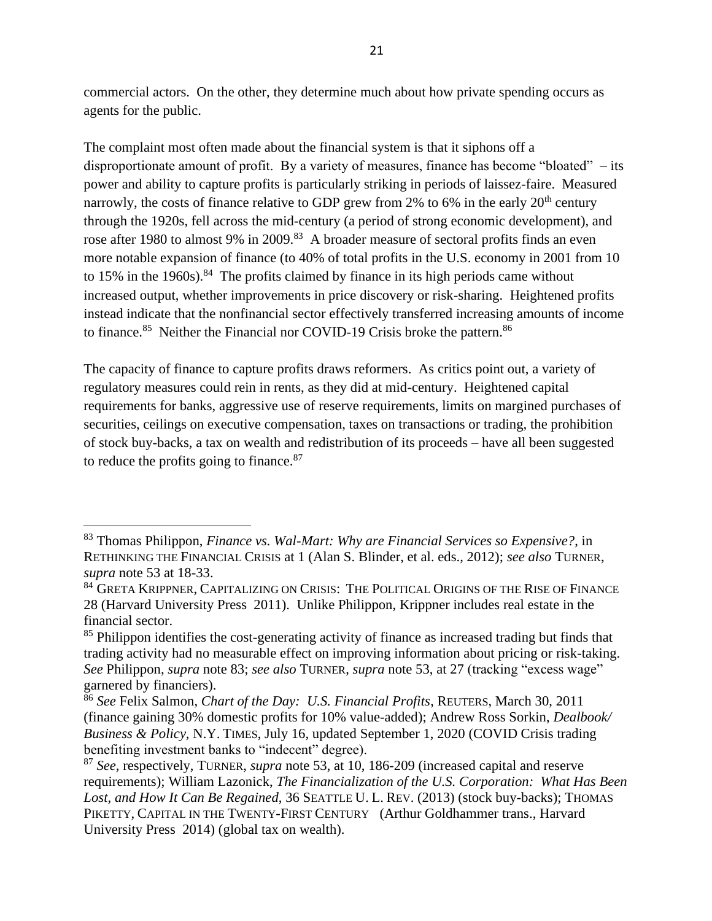commercial actors. On the other, they determine much about how private spending occurs as agents for the public.

<span id="page-20-0"></span>The complaint most often made about the financial system is that it siphons off a disproportionate amount of profit. By a variety of measures, finance has become "bloated" – its power and ability to capture profits is particularly striking in periods of laissez-faire. Measured narrowly, the costs of finance relative to GDP grew from 2% to 6% in the early  $20<sup>th</sup>$  century through the 1920s, fell across the mid-century (a period of strong economic development), and rose after 1980 to almost 9% in 2009.<sup>83</sup> A broader measure of sectoral profits finds an even more notable expansion of finance (to 40% of total profits in the U.S. economy in 2001 from 10 to 15% in the 1960s).<sup>84</sup> The profits claimed by finance in its high periods came without increased output, whether improvements in price discovery or risk-sharing. Heightened profits instead indicate that the nonfinancial sector effectively transferred increasing amounts of income to finance.<sup>85</sup> Neither the Financial nor COVID-19 Crisis broke the pattern.<sup>86</sup>

The capacity of finance to capture profits draws reformers. As critics point out, a variety of regulatory measures could rein in rents, as they did at mid-century. Heightened capital requirements for banks, aggressive use of reserve requirements, limits on margined purchases of securities, ceilings on executive compensation, taxes on transactions or trading, the prohibition of stock buy-backs, a tax on wealth and redistribution of its proceeds – have all been suggested to reduce the profits going to finance. $87$ 

<sup>83</sup> Thomas Philippon, *Finance vs. Wal-Mart: Why are Financial Services so Expensive?*, in RETHINKING THE FINANCIAL CRISIS at 1 (Alan S. Blinder, et al. eds., 2012); *see also* TURNER, *supra* note [53](#page-13-0) at 18-33.

<sup>&</sup>lt;sup>84</sup> GRETA KRIPPNER, CAPITALIZING ON CRISIS: THE POLITICAL ORIGINS OF THE RISE OF FINANCE 28 (Harvard University Press 2011). Unlike Philippon, Krippner includes real estate in the financial sector.

<sup>&</sup>lt;sup>85</sup> Philippon identifies the cost-generating activity of finance as increased trading but finds that trading activity had no measurable effect on improving information about pricing or risk-taking. *See* Philippon, *supra* note [83;](#page-20-0) *see also* TURNER, *supra* note [53,](#page-13-0) at 27 (tracking "excess wage" garnered by financiers).

<sup>86</sup> *See* Felix Salmon, *Chart of the Day: U.S. Financial Profits*, REUTERS, March 30, 2011 (finance gaining 30% domestic profits for 10% value-added); Andrew Ross Sorkin, *Dealbook/ Business & Policy*, N.Y. TIMES, July 16, updated September 1, 2020 (COVID Crisis trading benefiting investment banks to "indecent" degree).

<sup>87</sup> *See*, respectively, TURNER, *supra* note [53,](#page-13-0) at 10, 186-209 (increased capital and reserve requirements); William Lazonick, *The Financialization of the U.S. Corporation: What Has Been Lost, and How It Can Be Regained*, 36 SEATTLE U. L. REV. (2013) (stock buy-backs); THOMAS PIKETTY, CAPITAL IN THE TWENTY-FIRST CENTURY (Arthur Goldhammer trans., Harvard University Press 2014) (global tax on wealth).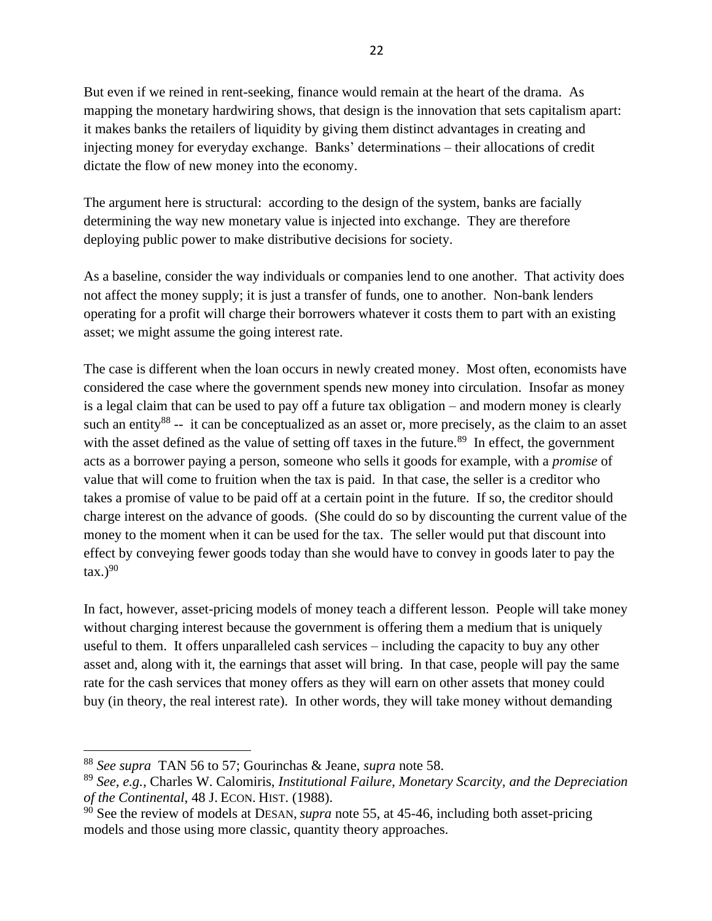But even if we reined in rent-seeking, finance would remain at the heart of the drama. As mapping the monetary hardwiring shows, that design is the innovation that sets capitalism apart: it makes banks the retailers of liquidity by giving them distinct advantages in creating and injecting money for everyday exchange. Banks' determinations – their allocations of credit dictate the flow of new money into the economy.

The argument here is structural: according to the design of the system, banks are facially determining the way new monetary value is injected into exchange. They are therefore deploying public power to make distributive decisions for society.

As a baseline, consider the way individuals or companies lend to one another. That activity does not affect the money supply; it is just a transfer of funds, one to another. Non-bank lenders operating for a profit will charge their borrowers whatever it costs them to part with an existing asset; we might assume the going interest rate.

<span id="page-21-0"></span>The case is different when the loan occurs in newly created money. Most often, economists have considered the case where the government spends new money into circulation. Insofar as money is a legal claim that can be used to pay off a future tax obligation – and modern money is clearly such an entity<sup>88</sup> -- it can be conceptualized as an asset or, more precisely, as the claim to an asset with the asset defined as the value of setting off taxes in the future.<sup>89</sup> In effect, the government acts as a borrower paying a person, someone who sells it goods for example, with a *promise* of value that will come to fruition when the tax is paid. In that case, the seller is a creditor who takes a promise of value to be paid off at a certain point in the future. If so, the creditor should charge interest on the advance of goods. (She could do so by discounting the current value of the money to the moment when it can be used for the tax. The seller would put that discount into effect by conveying fewer goods today than she would have to convey in goods later to pay the tax.) $^{90}$ 

In fact, however, asset-pricing models of money teach a different lesson. People will take money without charging interest because the government is offering them a medium that is uniquely useful to them. It offers unparalleled cash services – including the capacity to buy any other asset and, along with it, the earnings that asset will bring. In that case, people will pay the same rate for the cash services that money offers as they will earn on other assets that money could buy (in theory, the real interest rate). In other words, they will take money without demanding

<sup>88</sup> *See supra* TAN [56](#page-14-1) to [57;](#page-14-3) Gourinchas & Jeane, *supra* note [58.](#page-14-4)

<sup>89</sup> *See, e.g.,* Charles W. Calomiris, *Institutional Failure, Monetary Scarcity, and the Depreciation of the Continental*, 48 J. ECON. HIST. (1988).

<sup>&</sup>lt;sup>90</sup> See the review of models at DESAN, *supra* note [55,](#page-14-0) at 45-46, including both asset-pricing models and those using more classic, quantity theory approaches.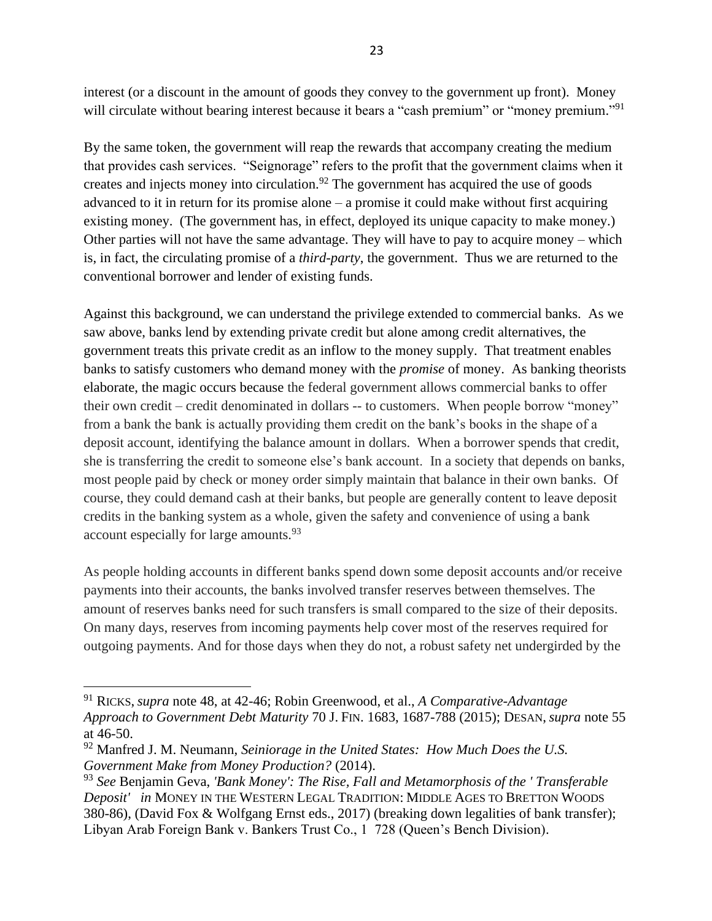<span id="page-22-0"></span>interest (or a discount in the amount of goods they convey to the government up front). Money will circulate without bearing interest because it bears a "cash premium" or "money premium."<sup>91</sup>

By the same token, the government will reap the rewards that accompany creating the medium that provides cash services. "Seignorage" refers to the profit that the government claims when it creates and injects money into circulation.<sup>92</sup> The government has acquired the use of goods advanced to it in return for its promise alone – a promise it could make without first acquiring existing money. (The government has, in effect, deployed its unique capacity to make money.) Other parties will not have the same advantage. They will have to pay to acquire money – which is, in fact, the circulating promise of a *third-party*, the government. Thus we are returned to the conventional borrower and lender of existing funds.

Against this background, we can understand the privilege extended to commercial banks. As we saw above, banks lend by extending private credit but alone among credit alternatives, the government treats this private credit as an inflow to the money supply. That treatment enables banks to satisfy customers who demand money with the *promise* of money. As banking theorists elaborate, the magic occurs because the federal government allows commercial banks to offer their own credit – credit denominated in dollars -- to customers. When people borrow "money" from a bank the bank is actually providing them credit on the bank's books in the shape of a deposit account, identifying the balance amount in dollars. When a borrower spends that credit, she is transferring the credit to someone else's bank account. In a society that depends on banks, most people paid by check or money order simply maintain that balance in their own banks. Of course, they could demand cash at their banks, but people are generally content to leave deposit credits in the banking system as a whole, given the safety and convenience of using a bank account especially for large amounts.<sup>93</sup>

As people holding accounts in different banks spend down some deposit accounts and/or receive payments into their accounts, the banks involved transfer reserves between themselves. The amount of reserves banks need for such transfers is small compared to the size of their deposits. On many days, reserves from incoming payments help cover most of the reserves required for outgoing payments. And for those days when they do not, a robust safety net undergirded by the

<sup>91</sup> RICKS, *supra* note [48,](#page-11-0) at 42-46; Robin Greenwood, et al., *A Comparative-Advantage Approach to Government Debt Maturity* 70 J. FIN. 1683, 1687-788 (2015); DESAN, *supra* note [55](#page-14-0) at 46-50.

<sup>92</sup> Manfred J. M. Neumann, *Seiniorage in the United States: How Much Does the U.S. Government Make from Money Production?* (2014).

<sup>93</sup> *See* Benjamin Geva, *'Bank Money': The Rise, Fall and Metamorphosis of the ' Transferable Deposit' in* MONEY IN THE WESTERN LEGAL TRADITION: MIDDLE AGES TO BRETTON WOODS 380-86), (David Fox & Wolfgang Ernst eds., 2017) (breaking down legalities of bank transfer); Libyan Arab Foreign Bank v. Bankers Trust Co., 1 728 (Queen's Bench Division).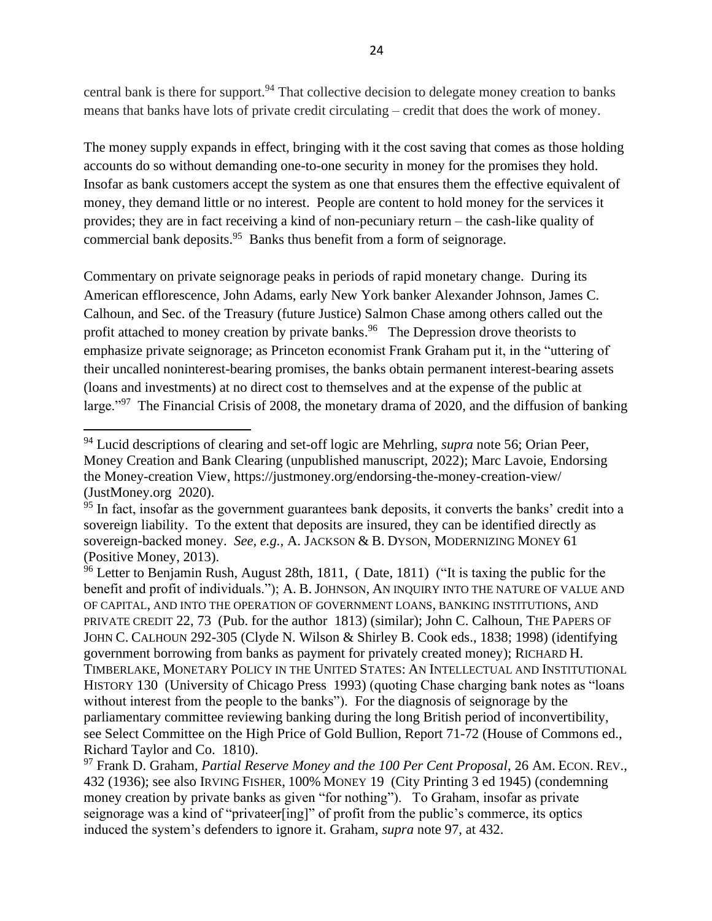central bank is there for support.<sup>94</sup> That collective decision to delegate money creation to banks means that banks have lots of private credit circulating – credit that does the work of money.

The money supply expands in effect, bringing with it the cost saving that comes as those holding accounts do so without demanding one-to-one security in money for the promises they hold. Insofar as bank customers accept the system as one that ensures them the effective equivalent of money, they demand little or no interest. People are content to hold money for the services it provides; they are in fact receiving a kind of non-pecuniary return – the cash-like quality of commercial bank deposits.<sup>95</sup> Banks thus benefit from a form of seignorage.

<span id="page-23-0"></span>Commentary on private seignorage peaks in periods of rapid monetary change. During its American efflorescence, John Adams, early New York banker Alexander Johnson, James C. Calhoun, and Sec. of the Treasury (future Justice) Salmon Chase among others called out the profit attached to money creation by private banks.<sup>96</sup> The Depression drove theorists to emphasize private seignorage; as Princeton economist Frank Graham put it, in the "uttering of their uncalled noninterest-bearing promises, the banks obtain permanent interest-bearing assets (loans and investments) at no direct cost to themselves and at the expense of the public at large."<sup>97</sup> The Financial Crisis of 2008, the monetary drama of 2020, and the diffusion of banking

<sup>94</sup> Lucid descriptions of clearing and set-off logic are Mehrling, *supra* note [56;](#page-14-1) Orian Peer, Money Creation and Bank Clearing (unpublished manuscript, 2022); Marc Lavoie, Endorsing the Money-creation View, https://justmoney.org/endorsing-the-money-creation-view/ (JustMoney.org 2020).

<sup>&</sup>lt;sup>95</sup> In fact, insofar as the government guarantees bank deposits, it converts the banks' credit into a sovereign liability. To the extent that deposits are insured, they can be identified directly as sovereign-backed money. *See, e.g.,* A. JACKSON & B. DYSON, MODERNIZING MONEY 61 (Positive Money, 2013).

<sup>&</sup>lt;sup>96</sup> Letter to Benjamin Rush, August 28th, 1811, (Date, 1811) ("It is taxing the public for the benefit and profit of individuals."); A. B. JOHNSON, AN INQUIRY INTO THE NATURE OF VALUE AND OF CAPITAL, AND INTO THE OPERATION OF GOVERNMENT LOANS, BANKING INSTITUTIONS, AND PRIVATE CREDIT 22, 73 (Pub. for the author 1813) (similar); John C. Calhoun, THE PAPERS OF JOHN C. CALHOUN 292-305 (Clyde N. Wilson & Shirley B. Cook eds., 1838; 1998) (identifying government borrowing from banks as payment for privately created money); RICHARD H. TIMBERLAKE, MONETARY POLICY IN THE UNITED STATES: AN INTELLECTUAL AND INSTITUTIONAL HISTORY 130 (University of Chicago Press 1993) (quoting Chase charging bank notes as "loans without interest from the people to the banks"). For the diagnosis of seignorage by the parliamentary committee reviewing banking during the long British period of inconvertibility, see Select Committee on the High Price of Gold Bullion, Report 71-72 (House of Commons ed., Richard Taylor and Co. 1810).

<sup>97</sup> Frank D. Graham, *Partial Reserve Money and the 100 Per Cent Proposal*, 26 AM. ECON. REV., 432 (1936); see also IRVING FISHER, 100% MONEY 19 (City Printing 3 ed 1945) (condemning money creation by private banks as given "for nothing"). To Graham, insofar as private seignorage was a kind of "privateer[ing]" of profit from the public's commerce, its optics induced the system's defenders to ignore it. Graham, *supra* note 97, at 432.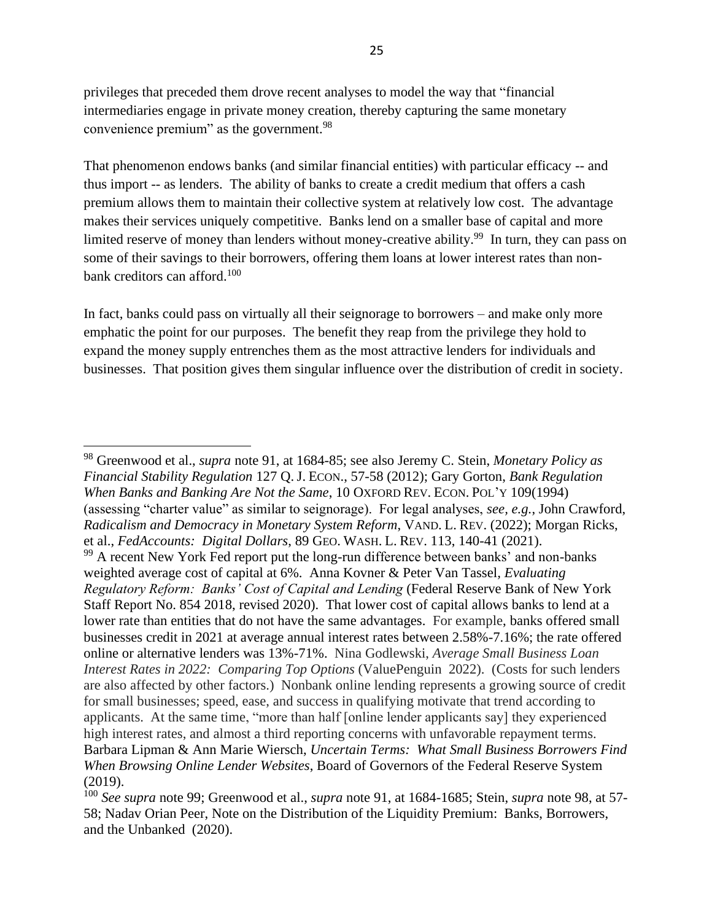privileges that preceded them drove recent analyses to model the way that "financial intermediaries engage in private money creation, thereby capturing the same monetary convenience premium" as the government.<sup>98</sup>

<span id="page-24-0"></span>That phenomenon endows banks (and similar financial entities) with particular efficacy -- and thus import -- as lenders. The ability of banks to create a credit medium that offers a cash premium allows them to maintain their collective system at relatively low cost. The advantage makes their services uniquely competitive. Banks lend on a smaller base of capital and more limited reserve of money than lenders without money-creative ability.<sup>99</sup> In turn, they can pass on some of their savings to their borrowers, offering them loans at lower interest rates than nonbank creditors can afford.<sup>100</sup>

In fact, banks could pass on virtually all their seignorage to borrowers – and make only more emphatic the point for our purposes. The benefit they reap from the privilege they hold to expand the money supply entrenches them as the most attractive lenders for individuals and businesses. That position gives them singular influence over the distribution of credit in society.

<sup>98</sup> Greenwood et al., *supra* note 91, at 1684-85; see also Jeremy C. Stein, *Monetary Policy as Financial Stability Regulation* 127 Q. J. ECON., 57-58 (2012); Gary Gorton, *Bank Regulation When Banks and Banking Are Not the Same*, 10 OXFORD REV. ECON. POL'Y 109(1994) (assessing "charter value" as similar to seignorage). For legal analyses, *see, e.g.*, John Crawford, *Radicalism and Democracy in Monetary System Reform*, VAND. L. REV. (2022); Morgan Ricks, et al., *FedAccounts: Digital Dollars*, 89 GEO. WASH. L. REV. 113, 140-41 (2021).  $99$  A recent New York Fed report put the long-run difference between banks' and non-banks weighted average cost of capital at 6%. Anna Kovner & Peter Van Tassel*, Evaluating Regulatory Reform: Banks' Cost of Capital and Lending* (Federal Reserve Bank of New York Staff Report No. 854 2018, revised 2020). That lower cost of capital allows banks to lend at a lower rate than entities that do not have the same advantages. For example, banks offered small businesses credit in 2021 at average annual interest rates between 2.58%-7.16%; the rate offered online or alternative lenders was 13%-71%. Nina Godlewski, *Average Small Business Loan Interest Rates in 2022: Comparing Top Options* (ValuePenguin 2022). (Costs for such lenders are also affected by other factors.) Nonbank online lending represents a growing source of credit for small businesses; speed, ease, and success in qualifying motivate that trend according to applicants. At the same time, "more than half [online lender applicants say] they experienced high interest rates, and almost a third reporting concerns with unfavorable repayment terms. Barbara Lipman & Ann Marie Wiersch, *Uncertain Terms: What Small Business Borrowers Find When Browsing Online Lender Websites*, Board of Governors of the Federal Reserve System (2019).

<sup>100</sup> *See supra* note [99;](#page-24-0) Greenwood et al., *supra* note 91, at 1684-1685; Stein, *supra* note 98, at 57- 58; Nadav Orian Peer, Note on the Distribution of the Liquidity Premium: Banks, Borrowers, and the Unbanked (2020).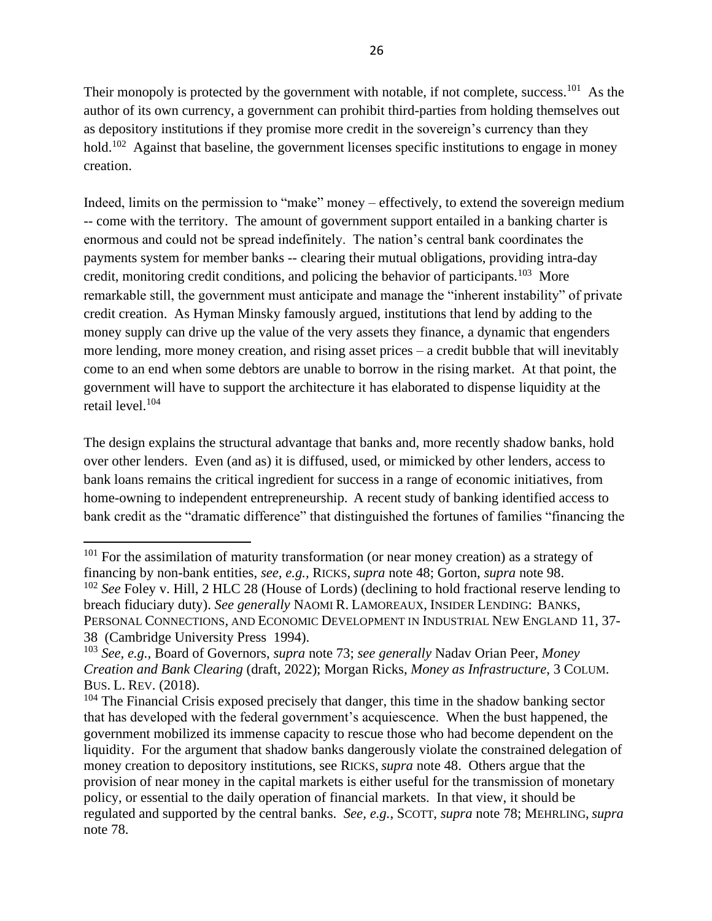Their monopoly is protected by the government with notable, if not complete, success.<sup>101</sup> As the author of its own currency, a government can prohibit third-parties from holding themselves out as depository institutions if they promise more credit in the sovereign's currency than they hold.<sup>102</sup> Against that baseline, the government licenses specific institutions to engage in money creation.

Indeed, limits on the permission to "make" money – effectively, to extend the sovereign medium -- come with the territory. The amount of government support entailed in a banking charter is enormous and could not be spread indefinitely. The nation's central bank coordinates the payments system for member banks -- clearing their mutual obligations, providing intra-day credit, monitoring credit conditions, and policing the behavior of participants.<sup>103</sup> More remarkable still, the government must anticipate and manage the "inherent instability" of private credit creation. As Hyman Minsky famously argued, institutions that lend by adding to the money supply can drive up the value of the very assets they finance, a dynamic that engenders more lending, more money creation, and rising asset prices – a credit bubble that will inevitably come to an end when some debtors are unable to borrow in the rising market. At that point, the government will have to support the architecture it has elaborated to dispense liquidity at the retail level.<sup>104</sup>

<span id="page-25-0"></span>The design explains the structural advantage that banks and, more recently shadow banks, hold over other lenders. Even (and as) it is diffused, used, or mimicked by other lenders, access to bank loans remains the critical ingredient for success in a range of economic initiatives, from home-owning to independent entrepreneurship. A recent study of banking identified access to bank credit as the "dramatic difference" that distinguished the fortunes of families "financing the

 $101$  For the assimilation of maturity transformation (or near money creation) as a strategy of financing by non-bank entities, *see, e.g.,* RICKS, *supra* note [48;](#page-11-0) Gorton, *supra* note 98. <sup>102</sup> *See* Foley v. Hill, 2 HLC 28 (House of Lords) (declining to hold fractional reserve lending to

breach fiduciary duty). *See generally* NAOMI R. LAMOREAUX, INSIDER LENDING: BANKS, PERSONAL CONNECTIONS, AND ECONOMIC DEVELOPMENT IN INDUSTRIAL NEW ENGLAND 11, 37- 38 (Cambridge University Press 1994).

<sup>103</sup> *See, e.g.,* Board of Governors, *supra* note [73;](#page-17-0) *see generally* Nadav Orian Peer, *Money Creation and Bank Clearing* (draft, 2022); Morgan Ricks, *Money as Infrastructure*, 3 COLUM. BUS. L. REV. (2018).

 $104$  The Financial Crisis exposed precisely that danger, this time in the shadow banking sector that has developed with the federal government's acquiescence. When the bust happened, the government mobilized its immense capacity to rescue those who had become dependent on the liquidity. For the argument that shadow banks dangerously violate the constrained delegation of money creation to depository institutions, see RICKS, *supra* note [48.](#page-11-0) Others argue that the provision of near money in the capital markets is either useful for the transmission of monetary policy, or essential to the daily operation of financial markets. In that view, it should be regulated and supported by the central banks. *See, e.g.*, SCOTT, *supra* note [78;](#page-18-0) MEHRLING, *supra* note [78.](#page-18-0)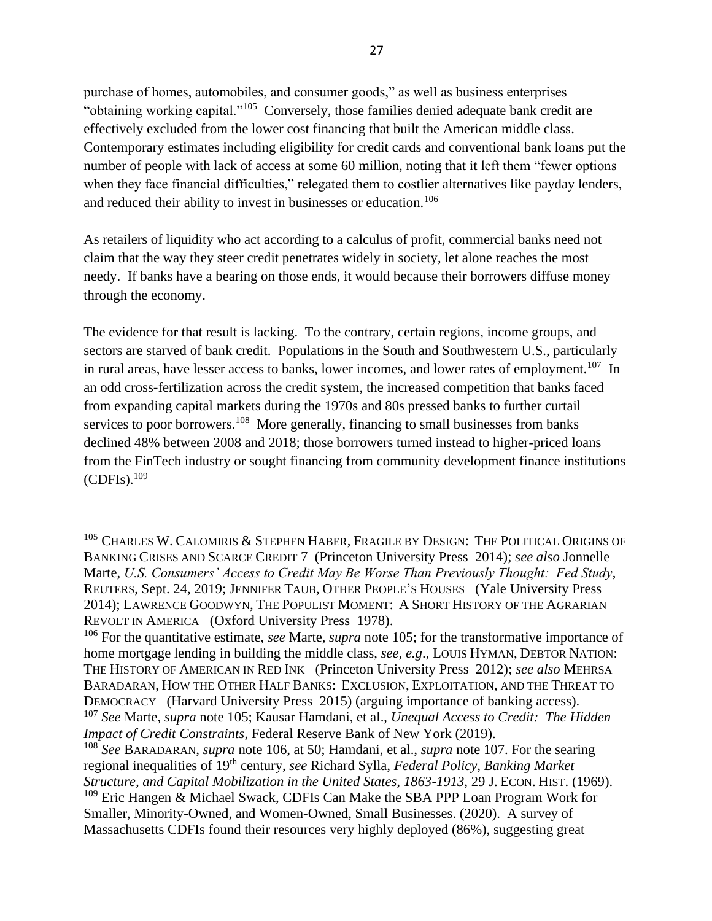purchase of homes, automobiles, and consumer goods," as well as business enterprises "obtaining working capital."<sup>105</sup> Conversely, those families denied adequate bank credit are effectively excluded from the lower cost financing that built the American middle class. Contemporary estimates including eligibility for credit cards and conventional bank loans put the number of people with lack of access at some 60 million, noting that it left them "fewer options when they face financial difficulties," relegated them to costlier alternatives like payday lenders, and reduced their ability to invest in businesses or education.<sup>106</sup>

As retailers of liquidity who act according to a calculus of profit, commercial banks need not claim that the way they steer credit penetrates widely in society, let alone reaches the most needy. If banks have a bearing on those ends, it would because their borrowers diffuse money through the economy.

<span id="page-26-1"></span><span id="page-26-0"></span>The evidence for that result is lacking. To the contrary, certain regions, income groups, and sectors are starved of bank credit. Populations in the South and Southwestern U.S., particularly in rural areas, have lesser access to banks, lower incomes, and lower rates of employment.<sup>107</sup> In an odd cross-fertilization across the credit system, the increased competition that banks faced from expanding capital markets during the 1970s and 80s pressed banks to further curtail services to poor borrowers.<sup>108</sup> More generally, financing to small businesses from banks declined 48% between 2008 and 2018; those borrowers turned instead to higher-priced loans from the FinTech industry or sought financing from community development finance institutions  $(CDFIs).<sup>109</sup>$ 

<sup>&</sup>lt;sup>105</sup> CHARLES W. CALOMIRIS & STEPHEN HABER, FRAGILE BY DESIGN: THE POLITICAL ORIGINS OF BANKING CRISES AND SCARCE CREDIT 7 (Princeton University Press 2014); *see also* Jonnelle Marte, *U.S. Consumers' Access to Credit May Be Worse Than Previously Thought: Fed Study*, REUTERS, Sept. 24, 2019; JENNIFER TAUB, OTHER PEOPLE'S HOUSES (Yale University Press 2014); LAWRENCE GOODWYN, THE POPULIST MOMENT: A SHORT HISTORY OF THE AGRARIAN REVOLT IN AMERICA (Oxford University Press 1978).

<sup>106</sup> For the quantitative estimate, *see* Marte, *supra* note 105; for the transformative importance of home mortgage lending in building the middle class, *see, e.g*., LOUIS HYMAN, DEBTOR NATION: THE HISTORY OF AMERICAN IN RED INK (Princeton University Press 2012); *see also* MEHRSA BARADARAN, HOW THE OTHER HALF BANKS: EXCLUSION, EXPLOITATION, AND THE THREAT TO DEMOCRACY (Harvard University Press 2015) (arguing importance of banking access). <sup>107</sup> *See* Marte, *supra* note 105; Kausar Hamdani, et al., *Unequal Access to Credit: The Hidden Impact of Credit Constraints*, Federal Reserve Bank of New York (2019).

<sup>108</sup> *See* BARADARAN, *supra* note 106, at 50; Hamdani, et al., *supra* note [107.](#page-26-0) For the searing regional inequalities of 19th century, *see* Richard Sylla, *Federal Policy, Banking Market Structure, and Capital Mobilization in the United States, 1863-1913*, 29 J. ECON. HIST. (1969). <sup>109</sup> Eric Hangen & Michael Swack, CDFIs Can Make the SBA PPP Loan Program Work for Smaller, Minority-Owned, and Women-Owned, Small Businesses. (2020). A survey of Massachusetts CDFIs found their resources very highly deployed (86%), suggesting great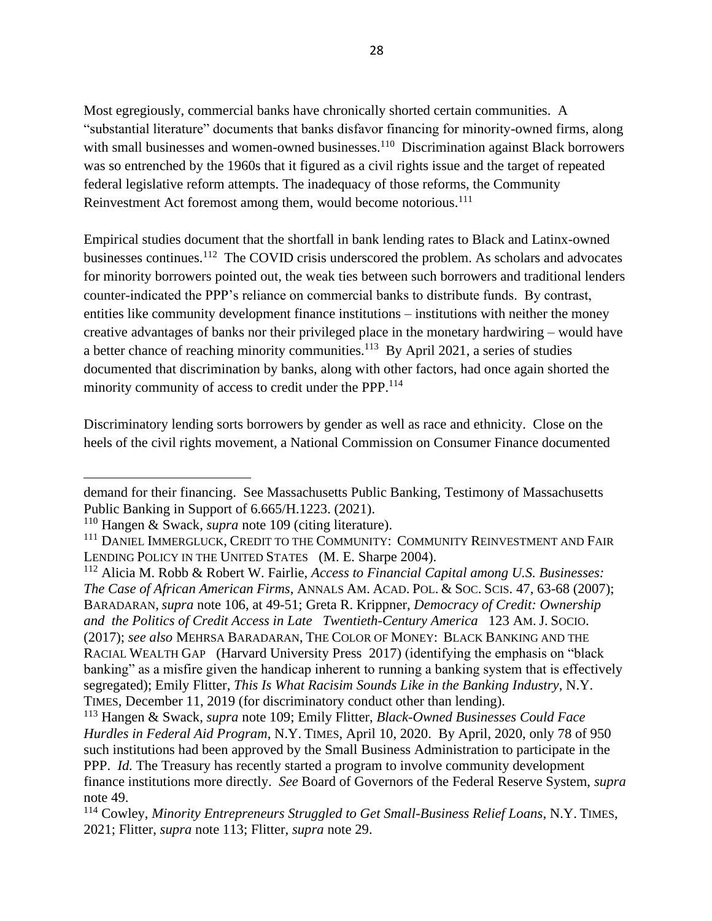Most egregiously, commercial banks have chronically shorted certain communities. A "substantial literature" documents that banks disfavor financing for minority-owned firms, along with small businesses and women-owned businesses.<sup>110</sup> Discrimination against Black borrowers was so entrenched by the 1960s that it figured as a civil rights issue and the target of repeated federal legislative reform attempts. The inadequacy of those reforms, the Community Reinvestment Act foremost among them, would become notorious.<sup>111</sup>

<span id="page-27-0"></span>Empirical studies document that the shortfall in bank lending rates to Black and Latinx-owned businesses continues.<sup>112</sup> The COVID crisis underscored the problem. As scholars and advocates for minority borrowers pointed out, the weak ties between such borrowers and traditional lenders counter-indicated the PPP's reliance on commercial banks to distribute funds. By contrast, entities like community development finance institutions – institutions with neither the money creative advantages of banks nor their privileged place in the monetary hardwiring – would have a better chance of reaching minority communities.<sup>113</sup> By April 2021, a series of studies documented that discrimination by banks, along with other factors, had once again shorted the minority community of access to credit under the PPP.<sup>114</sup>

Discriminatory lending sorts borrowers by gender as well as race and ethnicity. Close on the heels of the civil rights movement, a National Commission on Consumer Finance documented

demand for their financing. See Massachusetts Public Banking, Testimony of Massachusetts Public Banking in Support of 6.665/H.1223. (2021).

<sup>110</sup> Hangen & Swack, *supra* note 109 (citing literature).

<sup>&</sup>lt;sup>111</sup> DANIEL IMMERGLUCK, CREDIT TO THE COMMUNITY: COMMUNITY REINVESTMENT AND FAIR LENDING POLICY IN THE UNITED STATES (M. E. Sharpe 2004).

<sup>112</sup> Alicia M. Robb & Robert W. Fairlie, *Access to Financial Capital among U.S. Businesses: The Case of African American Firms*, ANNALS AM. ACAD. POL. & SOC. SCIS. 47, 63-68 (2007); BARADARAN, *supra* note 106, at 49-51; Greta R. Krippner, *Democracy of Credit: Ownership and the Politics of Credit Access in Late Twentieth-Century America* 123 AM. J. SOCIO. (2017); *see also* MEHRSA BARADARAN, THE COLOR OF MONEY: BLACK BANKING AND THE RACIAL WEALTH GAP (Harvard University Press 2017) (identifying the emphasis on "black banking" as a misfire given the handicap inherent to running a banking system that is effectively segregated); Emily Flitter, *This Is What Racisim Sounds Like in the Banking Industry*, N.Y. TIMES, December 11, 2019 (for discriminatory conduct other than lending).

<sup>113</sup> Hangen & Swack, *supra* note 109; Emily Flitter, *Black-Owned Businesses Could Face Hurdles in Federal Aid Program*, N.Y. TIMES, April 10, 2020. By April, 2020, only 78 of 950 such institutions had been approved by the Small Business Administration to participate in the PPP. *Id.* The Treasury has recently started a program to involve community development finance institutions more directly. *See* Board of Governors of the Federal Reserve System, *supra* note [49.](#page-11-1)

<sup>114</sup> Cowley, *Minority Entrepreneurs Struggled to Get Small-Business Relief Loans*, N.Y. TIMES, 2021; Flitter, *supra* note 113; Flitter, *supra* note [29.](#page-6-0)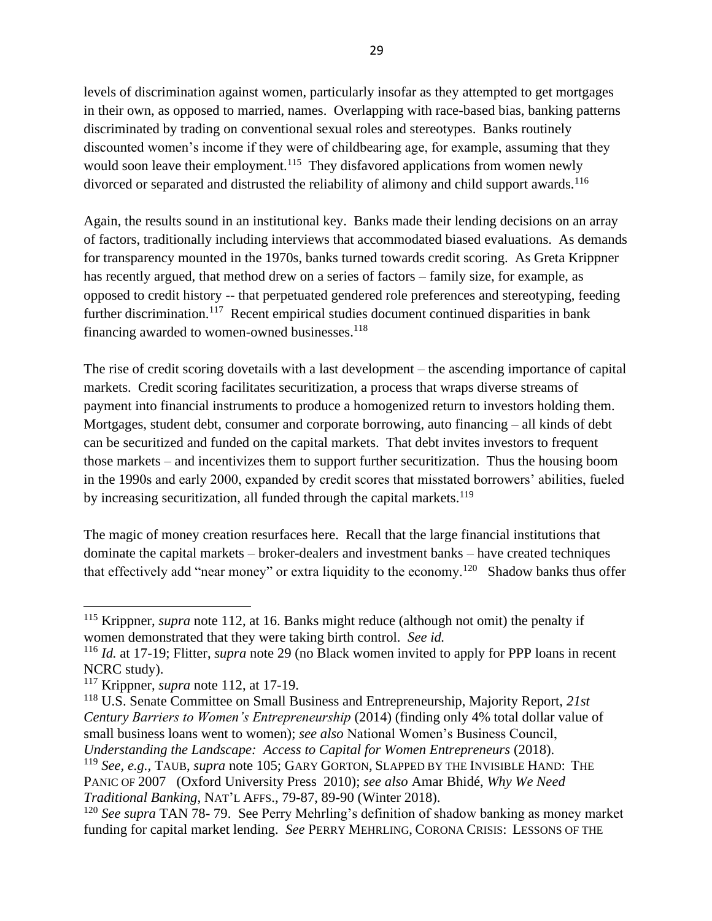levels of discrimination against women, particularly insofar as they attempted to get mortgages in their own, as opposed to married, names. Overlapping with race-based bias, banking patterns discriminated by trading on conventional sexual roles and stereotypes. Banks routinely discounted women's income if they were of childbearing age, for example, assuming that they would soon leave their employment.<sup>115</sup> They disfavored applications from women newly divorced or separated and distrusted the reliability of alimony and child support awards.<sup>116</sup>

Again, the results sound in an institutional key. Banks made their lending decisions on an array of factors, traditionally including interviews that accommodated biased evaluations. As demands for transparency mounted in the 1970s, banks turned towards credit scoring. As Greta Krippner has recently argued, that method drew on a series of factors – family size, for example, as opposed to credit history -- that perpetuated gendered role preferences and stereotyping, feeding further discrimination.<sup>117</sup> Recent empirical studies document continued disparities in bank financing awarded to women-owned businesses.<sup>118</sup>

<span id="page-28-1"></span>The rise of credit scoring dovetails with a last development – the ascending importance of capital markets. Credit scoring facilitates securitization, a process that wraps diverse streams of payment into financial instruments to produce a homogenized return to investors holding them. Mortgages, student debt, consumer and corporate borrowing, auto financing – all kinds of debt can be securitized and funded on the capital markets. That debt invites investors to frequent those markets – and incentivizes them to support further securitization. Thus the housing boom in the 1990s and early 2000, expanded by credit scores that misstated borrowers' abilities, fueled by increasing securitization, all funded through the capital markets.<sup>119</sup>

<span id="page-28-0"></span>The magic of money creation resurfaces here. Recall that the large financial institutions that dominate the capital markets – broker-dealers and investment banks – have created techniques that effectively add "near money" or extra liquidity to the economy.<sup>120</sup> Shadow banks thus offer

<sup>&</sup>lt;sup>115</sup> Krippner, *supra* note 112, at 16. Banks might reduce (although not omit) the penalty if women demonstrated that they were taking birth control. *See id.*

<sup>116</sup> *Id.* at 17-19; Flitter, *supra* note [29](#page-6-0) (no Black women invited to apply for PPP loans in recent NCRC study).

<sup>117</sup> Krippner, *supra* note 112, at 17-19.

<sup>118</sup> U.S. Senate Committee on Small Business and Entrepreneurship, Majority Report, *21st Century Barriers to Women's Entrepreneurship* (2014) (finding only 4% total dollar value of small business loans went to women); *see also* National Women's Business Council, *Understanding the Landscape: Access to Capital for Women Entrepreneurs* (2018).

<sup>119</sup> *See, e.g.,* TAUB, *supra* note 105; GARY GORTON, SLAPPED BY THE INVISIBLE HAND: THE PANIC OF 2007 (Oxford University Press 2010); *see also* Amar Bhidé, *Why We Need Traditional Banking*, NAT'L AFFS., 79-87, 89-90 (Winter 2018).

<sup>120</sup> *See supra* TAN [78-](#page-18-0) [79.](#page-18-1) See Perry Mehrling's definition of shadow banking as money market funding for capital market lending. *See* PERRY MEHRLING, CORONA CRISIS: LESSONS OF THE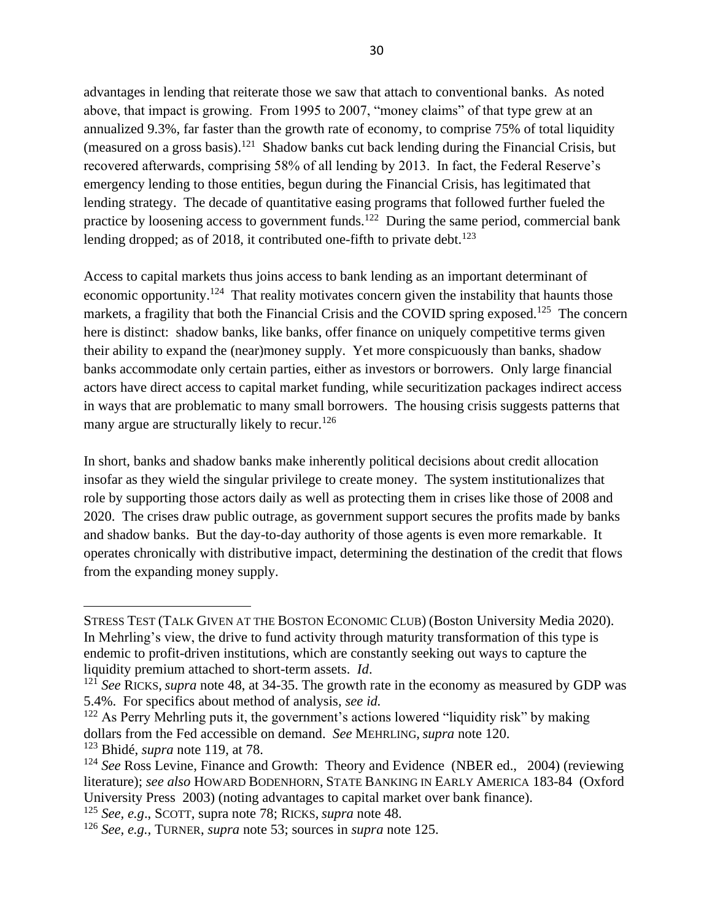advantages in lending that reiterate those we saw that attach to conventional banks. As noted above, that impact is growing. From 1995 to 2007, "money claims" of that type grew at an annualized 9.3%, far faster than the growth rate of economy, to comprise 75% of total liquidity (measured on a gross basis).<sup>121</sup> Shadow banks cut back lending during the Financial Crisis, but recovered afterwards, comprising 58% of all lending by 2013. In fact, the Federal Reserve's emergency lending to those entities, begun during the Financial Crisis, has legitimated that lending strategy. The decade of quantitative easing programs that followed further fueled the practice by loosening access to government funds.<sup>122</sup> During the same period, commercial bank lending dropped; as of 2018, it contributed one-fifth to private debt.<sup>123</sup>

<span id="page-29-0"></span>Access to capital markets thus joins access to bank lending as an important determinant of economic opportunity.<sup>124</sup> That reality motivates concern given the instability that haunts those markets, a fragility that both the Financial Crisis and the COVID spring exposed.<sup>125</sup> The concern here is distinct: shadow banks, like banks, offer finance on uniquely competitive terms given their ability to expand the (near)money supply. Yet more conspicuously than banks, shadow banks accommodate only certain parties, either as investors or borrowers. Only large financial actors have direct access to capital market funding, while securitization packages indirect access in ways that are problematic to many small borrowers. The housing crisis suggests patterns that many argue are structurally likely to recur.<sup>126</sup>

In short, banks and shadow banks make inherently political decisions about credit allocation insofar as they wield the singular privilege to create money. The system institutionalizes that role by supporting those actors daily as well as protecting them in crises like those of 2008 and 2020. The crises draw public outrage, as government support secures the profits made by banks and shadow banks. But the day-to-day authority of those agents is even more remarkable. It operates chronically with distributive impact, determining the destination of the credit that flows from the expanding money supply.

STRESS TEST (TALK GIVEN AT THE BOSTON ECONOMIC CLUB) (Boston University Media 2020). In Mehrling's view, the drive to fund activity through maturity transformation of this type is endemic to profit-driven institutions, which are constantly seeking out ways to capture the liquidity premium attached to short-term assets. *Id*.

<sup>&</sup>lt;sup>121</sup> See RICKS, *supra* note [48,](#page-11-0) at 34-35. The growth rate in the economy as measured by GDP was 5.4%. For specifics about method of analysis, *see id.*

 $122$  As Perry Mehrling puts it, the government's actions lowered "liquidity risk" by making dollars from the Fed accessible on demand. *See* MEHRLING, *supra* note 120.

<sup>123</sup> Bhidé, *supra* note 119, at 78.

<sup>124</sup> *See* Ross Levine, Finance and Growth: Theory and Evidence (NBER ed., 2004) (reviewing literature); *see also* HOWARD BODENHORN, STATE BANKING IN EARLY AMERICA 183-84 (Oxford University Press 2003) (noting advantages to capital market over bank finance).

<sup>125</sup> *See, e.g*., SCOTT, supra note [78;](#page-18-0) RICKS, *supra* note [48.](#page-11-0)

<sup>126</sup> *See, e.g.,* TURNER, *supra* note [53;](#page-13-0) sources in *supra* note [125.](#page-29-0)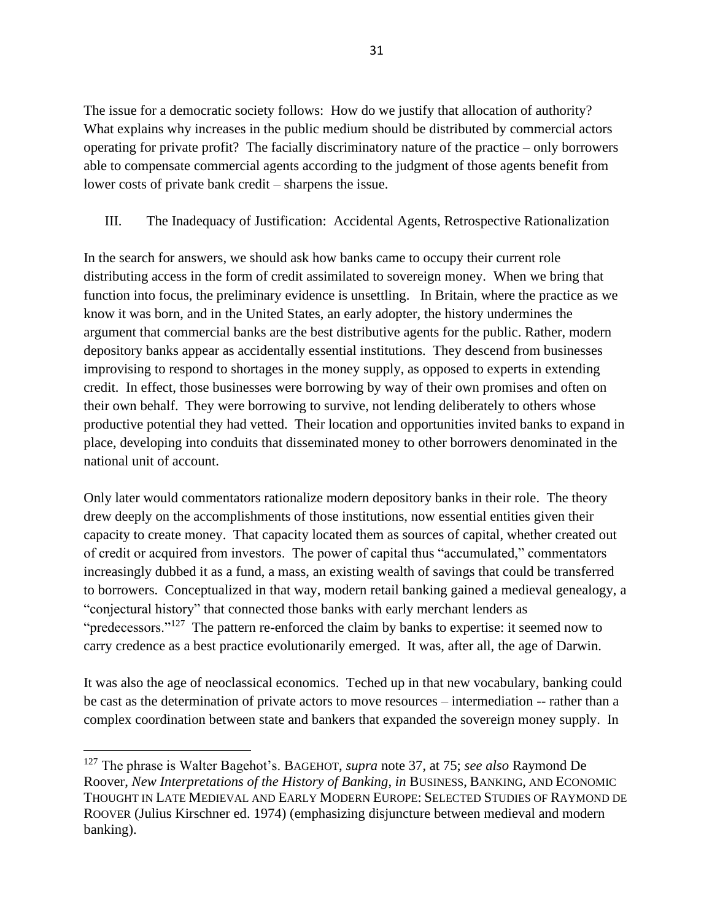The issue for a democratic society follows: How do we justify that allocation of authority? What explains why increases in the public medium should be distributed by commercial actors operating for private profit? The facially discriminatory nature of the practice – only borrowers able to compensate commercial agents according to the judgment of those agents benefit from lower costs of private bank credit – sharpens the issue.

## III. The Inadequacy of Justification: Accidental Agents, Retrospective Rationalization

In the search for answers, we should ask how banks came to occupy their current role distributing access in the form of credit assimilated to sovereign money. When we bring that function into focus, the preliminary evidence is unsettling. In Britain, where the practice as we know it was born, and in the United States, an early adopter, the history undermines the argument that commercial banks are the best distributive agents for the public. Rather, modern depository banks appear as accidentally essential institutions. They descend from businesses improvising to respond to shortages in the money supply, as opposed to experts in extending credit. In effect, those businesses were borrowing by way of their own promises and often on their own behalf. They were borrowing to survive, not lending deliberately to others whose productive potential they had vetted. Their location and opportunities invited banks to expand in place, developing into conduits that disseminated money to other borrowers denominated in the national unit of account.

Only later would commentators rationalize modern depository banks in their role. The theory drew deeply on the accomplishments of those institutions, now essential entities given their capacity to create money. That capacity located them as sources of capital, whether created out of credit or acquired from investors. The power of capital thus "accumulated," commentators increasingly dubbed it as a fund, a mass, an existing wealth of savings that could be transferred to borrowers. Conceptualized in that way, modern retail banking gained a medieval genealogy, a "conjectural history" that connected those banks with early merchant lenders as "predecessors."<sup>127</sup> The pattern re-enforced the claim by banks to expertise: it seemed now to carry credence as a best practice evolutionarily emerged. It was, after all, the age of Darwin.

It was also the age of neoclassical economics. Teched up in that new vocabulary, banking could be cast as the determination of private actors to move resources – intermediation -- rather than a complex coordination between state and bankers that expanded the sovereign money supply. In

<sup>127</sup> The phrase is Walter Bagehot's. BAGEHOT, *supra* note [37,](#page-7-1) at 75; *see also* Raymond De Roover, *New Interpretations of the History of Banking*, *in* BUSINESS, BANKING, AND ECONOMIC THOUGHT IN LATE MEDIEVAL AND EARLY MODERN EUROPE: SELECTED STUDIES OF RAYMOND DE ROOVER (Julius Kirschner ed. 1974) (emphasizing disjuncture between medieval and modern banking).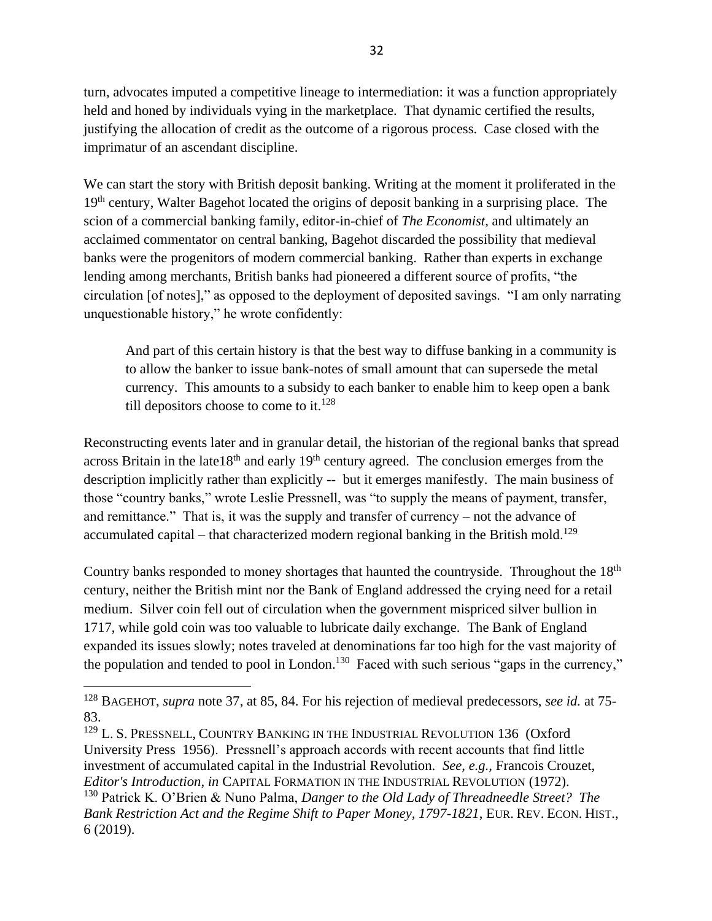turn, advocates imputed a competitive lineage to intermediation: it was a function appropriately held and honed by individuals vying in the marketplace. That dynamic certified the results, justifying the allocation of credit as the outcome of a rigorous process. Case closed with the imprimatur of an ascendant discipline.

We can start the story with British deposit banking. Writing at the moment it proliferated in the 19<sup>th</sup> century, Walter Bagehot located the origins of deposit banking in a surprising place. The scion of a commercial banking family, editor-in-chief of *The Economist*, and ultimately an acclaimed commentator on central banking, Bagehot discarded the possibility that medieval banks were the progenitors of modern commercial banking. Rather than experts in exchange lending among merchants, British banks had pioneered a different source of profits, "the circulation [of notes]," as opposed to the deployment of deposited savings. "I am only narrating unquestionable history," he wrote confidently:

And part of this certain history is that the best way to diffuse banking in a community is to allow the banker to issue bank-notes of small amount that can supersede the metal currency. This amounts to a subsidy to each banker to enable him to keep open a bank till depositors choose to come to it.<sup>128</sup>

Reconstructing events later and in granular detail, the historian of the regional banks that spread across Britain in the late  $18<sup>th</sup>$  and early  $19<sup>th</sup>$  century agreed. The conclusion emerges from the description implicitly rather than explicitly -- but it emerges manifestly. The main business of those "country banks," wrote Leslie Pressnell, was "to supply the means of payment, transfer, and remittance." That is, it was the supply and transfer of currency – not the advance of accumulated capital – that characterized modern regional banking in the British mold.<sup>129</sup>

Country banks responded to money shortages that haunted the countryside. Throughout the 18th century, neither the British mint nor the Bank of England addressed the crying need for a retail medium. Silver coin fell out of circulation when the government mispriced silver bullion in 1717, while gold coin was too valuable to lubricate daily exchange. The Bank of England expanded its issues slowly; notes traveled at denominations far too high for the vast majority of the population and tended to pool in London.<sup>130</sup> Faced with such serious "gaps in the currency,"

<sup>128</sup> BAGEHOT, *supra* note [37,](#page-7-1) at 85, 84. For his rejection of medieval predecessors, *see id.* at 75- 83.

<sup>&</sup>lt;sup>129</sup> L. S. PRESSNELL, COUNTRY BANKING IN THE INDUSTRIAL REVOLUTION 136 (Oxford University Press 1956). Pressnell's approach accords with recent accounts that find little investment of accumulated capital in the Industrial Revolution. *See, e.g.,* Francois Crouzet, *Editor's Introduction*, *in* CAPITAL FORMATION IN THE INDUSTRIAL REVOLUTION (1972). <sup>130</sup> Patrick K. O'Brien & Nuno Palma, *Danger to the Old Lady of Threadneedle Street? The Bank Restriction Act and the Regime Shift to Paper Money, 1797-1821*, EUR. REV. ECON. HIST., 6 (2019).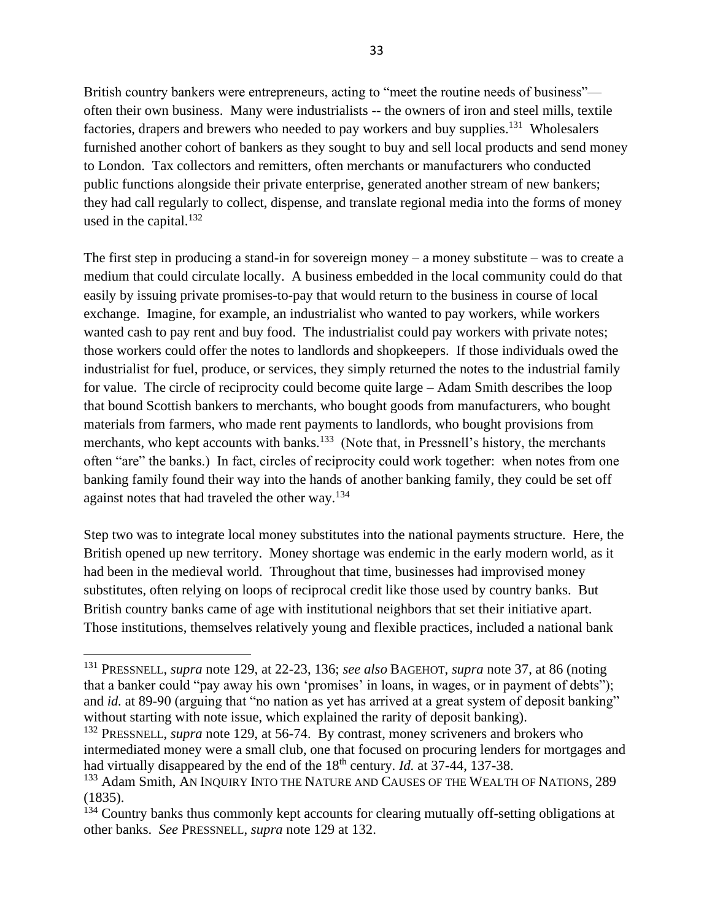British country bankers were entrepreneurs, acting to "meet the routine needs of business" often their own business. Many were industrialists -- the owners of iron and steel mills, textile factories, drapers and brewers who needed to pay workers and buy supplies.<sup>131</sup> Wholesalers furnished another cohort of bankers as they sought to buy and sell local products and send money to London. Tax collectors and remitters, often merchants or manufacturers who conducted public functions alongside their private enterprise, generated another stream of new bankers; they had call regularly to collect, dispense, and translate regional media into the forms of money used in the capital. $132$ 

The first step in producing a stand-in for sovereign money – a money substitute – was to create a medium that could circulate locally. A business embedded in the local community could do that easily by issuing private promises-to-pay that would return to the business in course of local exchange. Imagine, for example, an industrialist who wanted to pay workers, while workers wanted cash to pay rent and buy food. The industrialist could pay workers with private notes; those workers could offer the notes to landlords and shopkeepers. If those individuals owed the industrialist for fuel, produce, or services, they simply returned the notes to the industrial family for value. The circle of reciprocity could become quite large – Adam Smith describes the loop that bound Scottish bankers to merchants, who bought goods from manufacturers, who bought materials from farmers, who made rent payments to landlords, who bought provisions from merchants, who kept accounts with banks.<sup>133</sup> (Note that, in Pressnell's history, the merchants often "are" the banks.) In fact, circles of reciprocity could work together: when notes from one banking family found their way into the hands of another banking family, they could be set off against notes that had traveled the other way.<sup>134</sup>

Step two was to integrate local money substitutes into the national payments structure. Here, the British opened up new territory. Money shortage was endemic in the early modern world, as it had been in the medieval world. Throughout that time, businesses had improvised money substitutes, often relying on loops of reciprocal credit like those used by country banks. But British country banks came of age with institutional neighbors that set their initiative apart. Those institutions, themselves relatively young and flexible practices, included a national bank

<sup>131</sup> PRESSNELL, *supra* note 129, at 22-23, 136; *see also* BAGEHOT, *supra* note [37,](#page-7-1) at 86 (noting that a banker could "pay away his own 'promises' in loans, in wages, or in payment of debts"); and *id.* at 89-90 (arguing that "no nation as yet has arrived at a great system of deposit banking" without starting with note issue, which explained the rarity of deposit banking).

<sup>&</sup>lt;sup>132</sup> PRESSNELL, *supra* note 129, at 56-74. By contrast, money scriveners and brokers who intermediated money were a small club, one that focused on procuring lenders for mortgages and had virtually disappeared by the end of the 18<sup>th</sup> century. *Id.* at 37-44, 137-38.

<sup>&</sup>lt;sup>133</sup> Adam Smith, AN INQUIRY INTO THE NATURE AND CAUSES OF THE WEALTH OF NATIONS, 289 (1835).

<sup>&</sup>lt;sup>134</sup> Country banks thus commonly kept accounts for clearing mutually off-setting obligations at other banks. *See* PRESSNELL, *supra* note 129 at 132.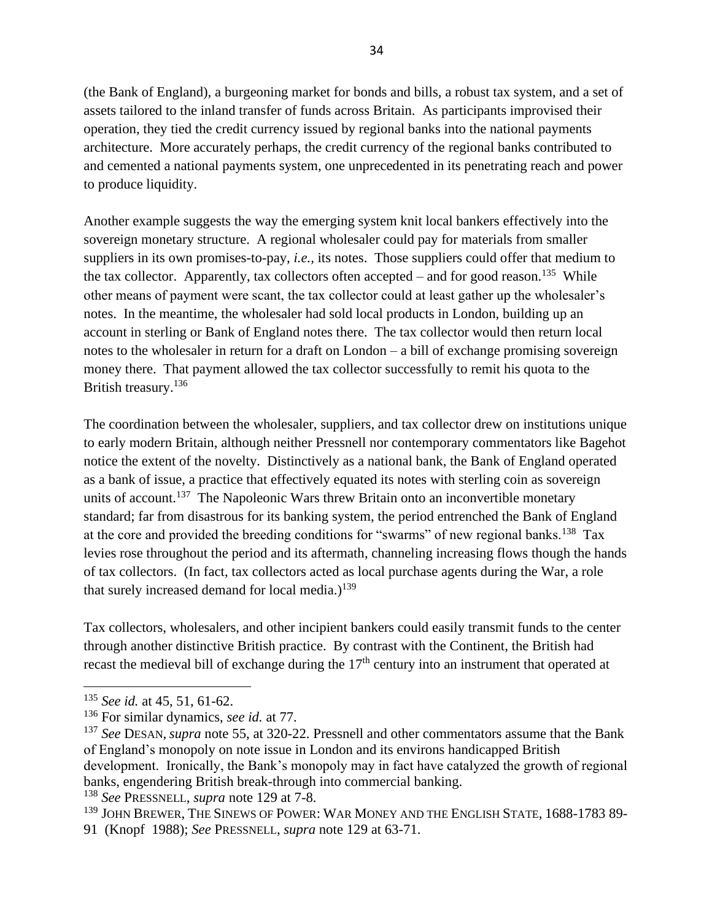(the Bank of England), a burgeoning market for bonds and bills, a robust tax system, and a set of assets tailored to the inland transfer of funds across Britain. As participants improvised their operation, they tied the credit currency issued by regional banks into the national payments architecture. More accurately perhaps, the credit currency of the regional banks contributed to and cemented a national payments system, one unprecedented in its penetrating reach and power to produce liquidity.

Another example suggests the way the emerging system knit local bankers effectively into the sovereign monetary structure. A regional wholesaler could pay for materials from smaller suppliers in its own promises-to-pay, *i.e.,* its notes. Those suppliers could offer that medium to the tax collector. Apparently, tax collectors often accepted – and for good reason.<sup>135</sup> While other means of payment were scant, the tax collector could at least gather up the wholesaler's notes. In the meantime, the wholesaler had sold local products in London, building up an account in sterling or Bank of England notes there. The tax collector would then return local notes to the wholesaler in return for a draft on London – a bill of exchange promising sovereign money there. That payment allowed the tax collector successfully to remit his quota to the British treasury.<sup>136</sup>

The coordination between the wholesaler, suppliers, and tax collector drew on institutions unique to early modern Britain, although neither Pressnell nor contemporary commentators like Bagehot notice the extent of the novelty. Distinctively as a national bank, the Bank of England operated as a bank of issue, a practice that effectively equated its notes with sterling coin as sovereign units of account.<sup>137</sup> The Napoleonic Wars threw Britain onto an inconvertible monetary standard; far from disastrous for its banking system, the period entrenched the Bank of England at the core and provided the breeding conditions for "swarms" of new regional banks.<sup>138</sup> Tax levies rose throughout the period and its aftermath, channeling increasing flows though the hands of tax collectors. (In fact, tax collectors acted as local purchase agents during the War, a role that surely increased demand for local media.)<sup>139</sup>

Tax collectors, wholesalers, and other incipient bankers could easily transmit funds to the center through another distinctive British practice. By contrast with the Continent, the British had recast the medieval bill of exchange during the  $17<sup>th</sup>$  century into an instrument that operated at

<sup>138</sup> *See* PRESSNELL, *supra* note 129 at 7-8.

<sup>135</sup> *See id.* at 45, 51, 61-62.

<sup>136</sup> For similar dynamics, *see id.* at 77.

<sup>137</sup> *See* DESAN, *supra* note [55,](#page-14-0) at 320-22. Pressnell and other commentators assume that the Bank of England's monopoly on note issue in London and its environs handicapped British development. Ironically, the Bank's monopoly may in fact have catalyzed the growth of regional banks, engendering British break-through into commercial banking.

<sup>&</sup>lt;sup>139</sup> JOHN BREWER, THE SINEWS OF POWER: WAR MONEY AND THE ENGLISH STATE, 1688-1783 89-

<sup>91 (</sup>Knopf 1988); *See* PRESSNELL, *supra* note 129 at 63-71.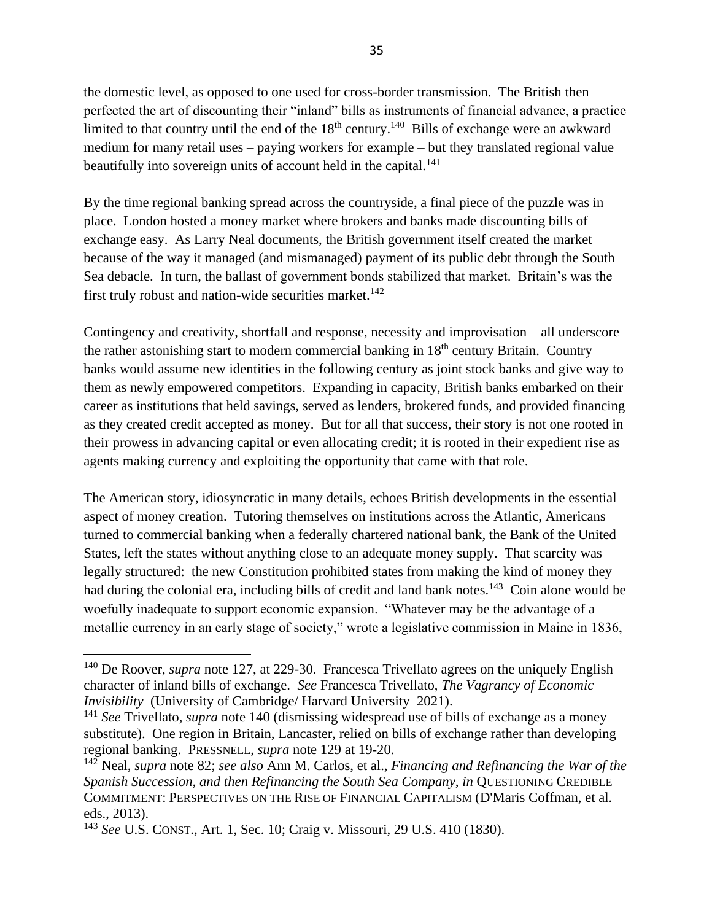the domestic level, as opposed to one used for cross-border transmission. The British then perfected the art of discounting their "inland" bills as instruments of financial advance, a practice limited to that country until the end of the  $18<sup>th</sup>$  century.<sup>140</sup> Bills of exchange were an awkward medium for many retail uses – paying workers for example – but they translated regional value beautifully into sovereign units of account held in the capital.<sup>141</sup>

By the time regional banking spread across the countryside, a final piece of the puzzle was in place. London hosted a money market where brokers and banks made discounting bills of exchange easy. As Larry Neal documents, the British government itself created the market because of the way it managed (and mismanaged) payment of its public debt through the South Sea debacle. In turn, the ballast of government bonds stabilized that market. Britain's was the first truly robust and nation-wide securities market.<sup>142</sup>

Contingency and creativity, shortfall and response, necessity and improvisation – all underscore the rather astonishing start to modern commercial banking in 18<sup>th</sup> century Britain. Country banks would assume new identities in the following century as joint stock banks and give way to them as newly empowered competitors. Expanding in capacity, British banks embarked on their career as institutions that held savings, served as lenders, brokered funds, and provided financing as they created credit accepted as money. But for all that success, their story is not one rooted in their prowess in advancing capital or even allocating credit; it is rooted in their expedient rise as agents making currency and exploiting the opportunity that came with that role.

The American story, idiosyncratic in many details, echoes British developments in the essential aspect of money creation. Tutoring themselves on institutions across the Atlantic, Americans turned to commercial banking when a federally chartered national bank, the Bank of the United States, left the states without anything close to an adequate money supply. That scarcity was legally structured: the new Constitution prohibited states from making the kind of money they had during the colonial era, including bills of credit and land bank notes.<sup>143</sup> Coin alone would be woefully inadequate to support economic expansion. "Whatever may be the advantage of a metallic currency in an early stage of society," wrote a legislative commission in Maine in 1836,

<sup>&</sup>lt;sup>140</sup> De Roover, *supra* note 127, at 229-30. Francesca Trivellato agrees on the uniquely English character of inland bills of exchange. *See* Francesca Trivellato, *The Vagrancy of Economic Invisibility* (University of Cambridge/ Harvard University 2021).

<sup>141</sup> *See* Trivellato, *supra* note 140 (dismissing widespread use of bills of exchange as a money substitute). One region in Britain, Lancaster, relied on bills of exchange rather than developing regional banking. PRESSNELL, *supra* note 129 at 19-20.

<sup>142</sup> Neal, *supra* note [82;](#page-19-0) *see also* Ann M. Carlos, et al., *Financing and Refinancing the War of the Spanish Succession, and then Refinancing the South Sea Company*, *in* QUESTIONING CREDIBLE COMMITMENT: PERSPECTIVES ON THE RISE OF FINANCIAL CAPITALISM (D'Maris Coffman, et al. eds., 2013).

<sup>143</sup> *See* U.S. CONST., Art. 1, Sec. 10; Craig v. Missouri, 29 U.S. 410 (1830).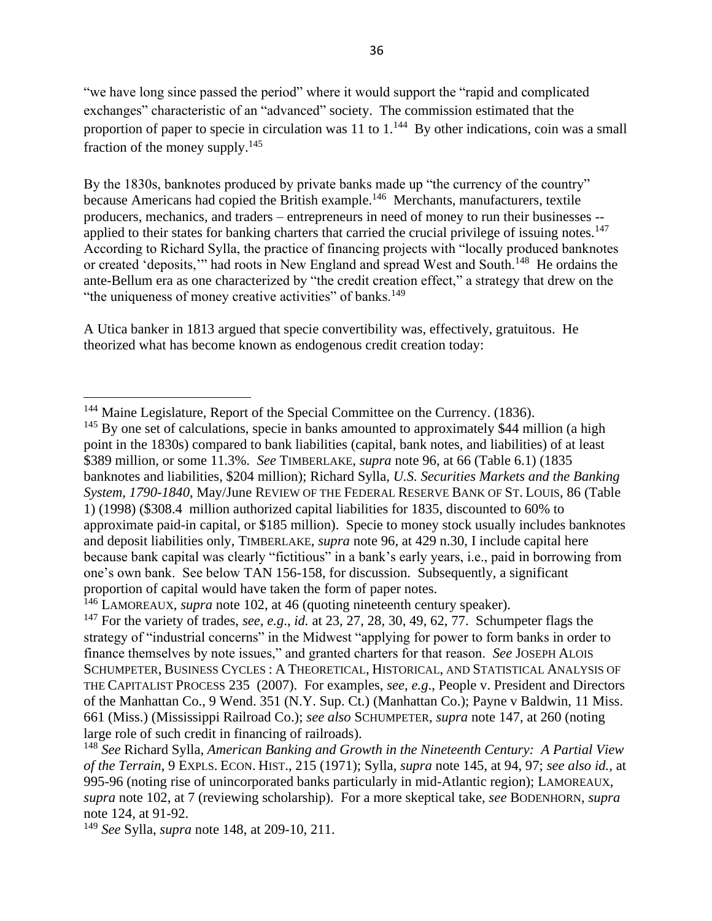"we have long since passed the period" where it would support the "rapid and complicated exchanges" characteristic of an "advanced" society. The commission estimated that the proportion of paper to specie in circulation was  $11$  to  $1.^{144}$  By other indications, coin was a small fraction of the money supply.<sup>145</sup>

<span id="page-35-0"></span>By the 1830s, banknotes produced by private banks made up "the currency of the country" because Americans had copied the British example.<sup>146</sup> Merchants, manufacturers, textile producers, mechanics, and traders – entrepreneurs in need of money to run their businesses - applied to their states for banking charters that carried the crucial privilege of issuing notes.<sup>147</sup> According to Richard Sylla, the practice of financing projects with "locally produced banknotes or created 'deposits," had roots in New England and spread West and South.<sup>148</sup> He ordains the ante-Bellum era as one characterized by "the credit creation effect," a strategy that drew on the "the uniqueness of money creative activities" of banks.<sup>149</sup>

<span id="page-35-1"></span>A Utica banker in 1813 argued that specie convertibility was, effectively, gratuitous. He theorized what has become known as endogenous credit creation today:

<sup>149</sup> *See* Sylla, *supra* note [148,](#page-35-1) at 209-10, 211.

<sup>&</sup>lt;sup>144</sup> Maine Legislature, Report of the Special Committee on the Currency. (1836).

 $145$  By one set of calculations, specie in banks amounted to approximately \$44 million (a high point in the 1830s) compared to bank liabilities (capital, bank notes, and liabilities) of at least \$389 million, or some 11.3%. *See* TIMBERLAKE, *supra* note [96,](#page-23-0) at 66 (Table 6.1) (1835 banknotes and liabilities, \$204 million); Richard Sylla, *U.S. Securities Markets and the Banking System, 1790-1840*, May/June REVIEW OF THE FEDERAL RESERVE BANK OF ST. LOUIS, 86 (Table 1) (1998) (\$308.4 million authorized capital liabilities for 1835, discounted to 60% to approximate paid-in capital, or \$185 million). Specie to money stock usually includes banknotes and deposit liabilities only, TIMBERLAKE, *supra* note [96,](#page-23-0) at 429 n.30, I include capital here because bank capital was clearly "fictitious" in a bank's early years, i.e., paid in borrowing from one's own bank. See below TAN [156-](#page-37-0)[158,](#page-37-1) for discussion. Subsequently, a significant proportion of capital would have taken the form of paper notes.

<sup>146</sup> LAMOREAUX, *supra* note 102, at 46 (quoting nineteenth century speaker).

<sup>147</sup> For the variety of trades, *see, e.g*., *id.* at 23, 27, 28, 30, 49, 62, 77. Schumpeter flags the strategy of "industrial concerns" in the Midwest "applying for power to form banks in order to finance themselves by note issues," and granted charters for that reason. *See* JOSEPH ALOIS SCHUMPETER, BUSINESS CYCLES : A THEORETICAL, HISTORICAL, AND STATISTICAL ANALYSIS OF THE CAPITALIST PROCESS 235 (2007). For examples, *see, e.g*., People v. President and Directors of the Manhattan Co., 9 Wend. 351 (N.Y. Sup. Ct.) (Manhattan Co.); Payne v Baldwin, 11 Miss. 661 (Miss.) (Mississippi Railroad Co.); *see also* SCHUMPETER, *supra* note 147, at 260 (noting large role of such credit in financing of railroads).

<sup>148</sup> *See* Richard Sylla, *American Banking and Growth in the Nineteenth Century: A Partial View of the Terrain*, 9 EXPLS. ECON. HIST., 215 (1971); Sylla, *supra* note [145,](#page-35-0) at 94, 97; *see also id.,* at 995-96 (noting rise of unincorporated banks particularly in mid-Atlantic region); LAMOREAUX, *supra* note 102, at 7 (reviewing scholarship). For a more skeptical take, *see* BODENHORN, *supra* note 124, at 91-92.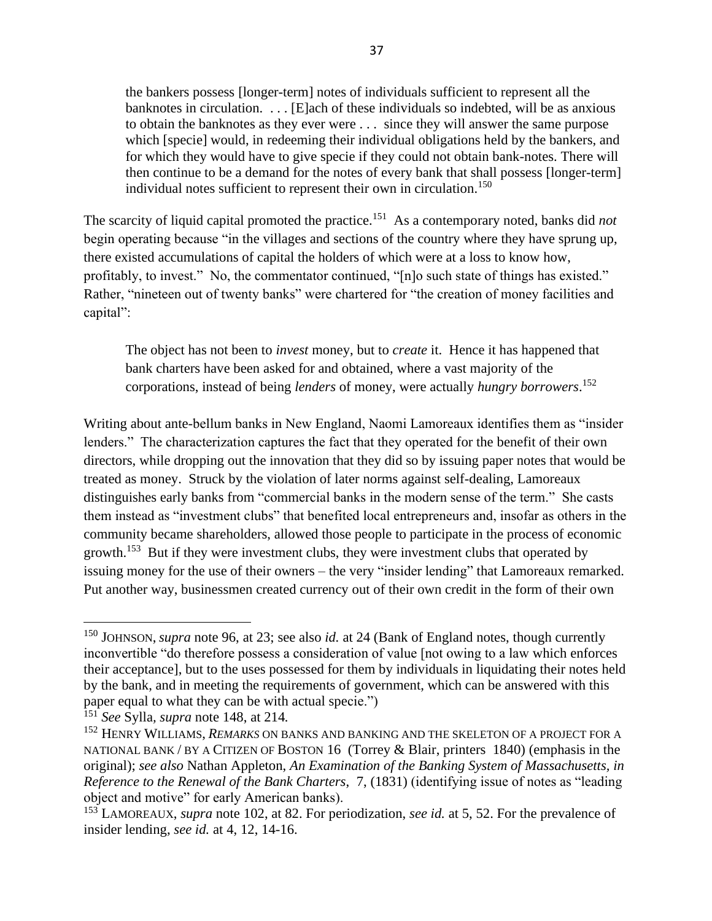the bankers possess [longer-term] notes of individuals sufficient to represent all the banknotes in circulation. . . . [E]ach of these individuals so indebted, will be as anxious to obtain the banknotes as they ever were . . . since they will answer the same purpose which [specie] would, in redeeming their individual obligations held by the bankers, and for which they would have to give specie if they could not obtain bank-notes. There will then continue to be a demand for the notes of every bank that shall possess [longer-term] individual notes sufficient to represent their own in circulation. 150

The scarcity of liquid capital promoted the practice.<sup>151</sup> As a contemporary noted, banks did *not* begin operating because "in the villages and sections of the country where they have sprung up, there existed accumulations of capital the holders of which were at a loss to know how, profitably, to invest." No, the commentator continued, "[n]o such state of things has existed." Rather, "nineteen out of twenty banks" were chartered for "the creation of money facilities and capital":

The object has not been to *invest* money, but to *create* it. Hence it has happened that bank charters have been asked for and obtained, where a vast majority of the corporations, instead of being *lenders* of money, were actually *hungry borrowers*. 152

Writing about ante-bellum banks in New England, Naomi Lamoreaux identifies them as "insider lenders." The characterization captures the fact that they operated for the benefit of their own directors, while dropping out the innovation that they did so by issuing paper notes that would be treated as money. Struck by the violation of later norms against self-dealing, Lamoreaux distinguishes early banks from "commercial banks in the modern sense of the term." She casts them instead as "investment clubs" that benefited local entrepreneurs and, insofar as others in the community became shareholders, allowed those people to participate in the process of economic growth.<sup>153</sup> But if they were investment clubs, they were investment clubs that operated by issuing money for the use of their owners – the very "insider lending" that Lamoreaux remarked. Put another way, businessmen created currency out of their own credit in the form of their own

<sup>150</sup> JOHNSON, *supra* note 96, at 23; see also *id.* at 24 (Bank of England notes, though currently inconvertible "do therefore possess a consideration of value [not owing to a law which enforces their acceptance], but to the uses possessed for them by individuals in liquidating their notes held by the bank, and in meeting the requirements of government, which can be answered with this paper equal to what they can be with actual specie.")

<sup>151</sup> *See* Sylla*, supra* note [148,](#page-35-1) at 214*.*

<sup>152</sup> HENRY WILLIAMS, *REMARKS* ON BANKS AND BANKING AND THE SKELETON OF A PROJECT FOR A NATIONAL BANK / BY A CITIZEN OF BOSTON 16 (Torrey & Blair, printers 1840) (emphasis in the original); *see also* Nathan Appleton, *An Examination of the Banking System of Massachusetts, in Reference to the Renewal of the Bank Charters*, 7, (1831) (identifying issue of notes as "leading object and motive" for early American banks).

<sup>153</sup> LAMOREAUX, *supra* note 102, at 82. For periodization, *see id.* at 5, 52. For the prevalence of insider lending, *see id.* at 4, 12, 14-16.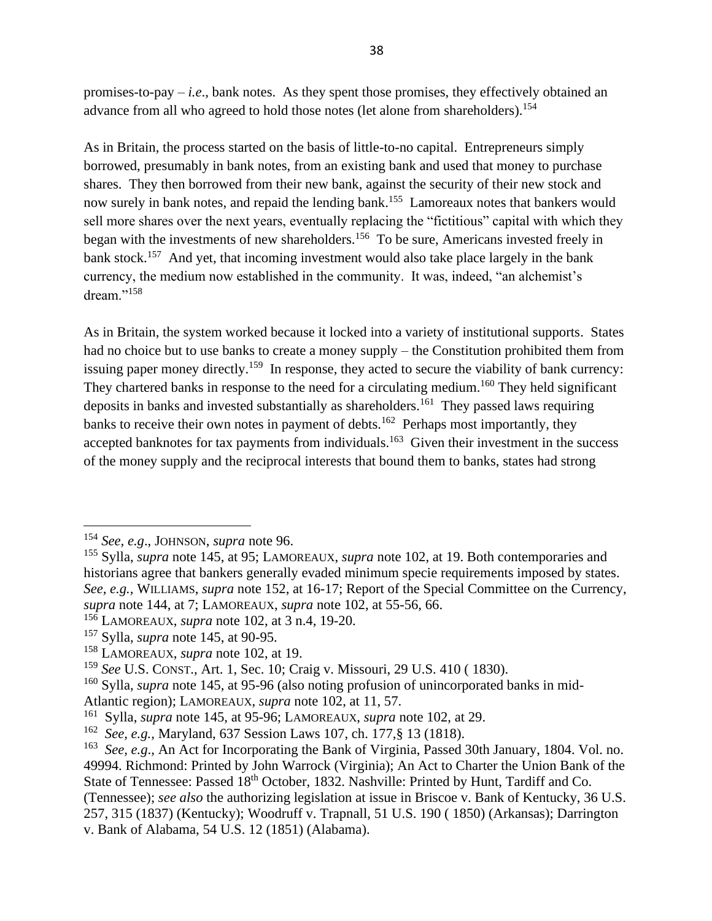promises-to-pay – *i.e*., bank notes. As they spent those promises, they effectively obtained an advance from all who agreed to hold those notes (let alone from shareholders).<sup>154</sup>

<span id="page-37-0"></span>As in Britain, the process started on the basis of little-to-no capital. Entrepreneurs simply borrowed, presumably in bank notes, from an existing bank and used that money to purchase shares. They then borrowed from their new bank, against the security of their new stock and now surely in bank notes, and repaid the lending bank.<sup>155</sup> Lamoreaux notes that bankers would sell more shares over the next years, eventually replacing the "fictitious" capital with which they began with the investments of new shareholders.<sup>156</sup> To be sure, Americans invested freely in bank stock.<sup>157</sup> And yet, that incoming investment would also take place largely in the bank currency, the medium now established in the community. It was, indeed, "an alchemist's dream."<sup>158</sup>

<span id="page-37-1"></span>As in Britain, the system worked because it locked into a variety of institutional supports. States had no choice but to use banks to create a money supply – the Constitution prohibited them from issuing paper money directly.<sup>159</sup> In response, they acted to secure the viability of bank currency: They chartered banks in response to the need for a circulating medium.<sup>160</sup> They held significant deposits in banks and invested substantially as shareholders.<sup>161</sup> They passed laws requiring banks to receive their own notes in payment of debts.<sup>162</sup> Perhaps most importantly, they accepted banknotes for tax payments from individuals.<sup>163</sup> Given their investment in the success of the money supply and the reciprocal interests that bound them to banks, states had strong

<sup>154</sup> *See, e.g*., JOHNSON, *supra* note 96.

<sup>155</sup> Sylla, *supra* note [145,](#page-35-0) at 95; LAMOREAUX, *supra* note 102, at 19. Both contemporaries and historians agree that bankers generally evaded minimum specie requirements imposed by states. *See, e.g.,* WILLIAMS, *supra* note 152, at 16-17; Report of the Special Committee on the Currency, *supra* note 144, at 7; LAMOREAUX, *supra* note 102, at 55-56, 66.

<sup>156</sup> LAMOREAUX, *supra* note 102, at 3 n.4, 19-20.

<sup>157</sup> Sylla, *supra* note [145,](#page-35-0) at 90-95.

<sup>158</sup> LAMOREAUX, *supra* note 102, at 19.

<sup>159</sup> *See* U.S. CONST., Art. 1, Sec. 10; Craig v. Missouri, 29 U.S. 410 ( 1830).

<sup>160</sup> Sylla, *supra* note [145,](#page-35-0) at 95-96 (also noting profusion of unincorporated banks in mid-Atlantic region); LAMOREAUX, *supra* note 102, at 11, 57.

<sup>161</sup> Sylla, *supra* note [145,](#page-35-0) at 95-96; LAMOREAUX, *supra* note 102, at 29.

<sup>162</sup> *See, e.g.,* Maryland, 637 Session Laws 107, ch. 177,§ 13 (1818).

<sup>&</sup>lt;sup>163</sup> See, e.g., An Act for Incorporating the Bank of Virginia, Passed 30th January, 1804. Vol. no. 49994. Richmond: Printed by John Warrock (Virginia); An Act to Charter the Union Bank of the State of Tennessee: Passed 18<sup>th</sup> October, 1832. Nashville: Printed by Hunt, Tardiff and Co. (Tennessee); *see also* the authorizing legislation at issue in Briscoe v. Bank of Kentucky, 36 U.S. 257, 315 (1837) (Kentucky); Woodruff v. Trapnall, 51 U.S. 190 ( 1850) (Arkansas); Darrington v. Bank of Alabama, 54 U.S. 12 (1851) (Alabama).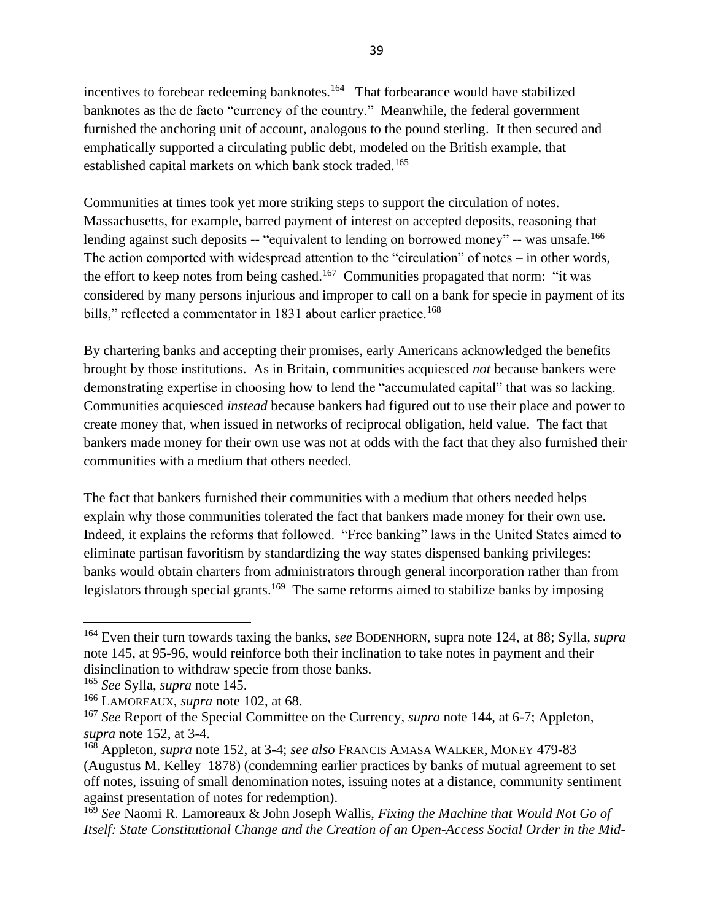incentives to forebear redeeming banknotes.<sup>164</sup> That forbearance would have stabilized banknotes as the de facto "currency of the country." Meanwhile, the federal government furnished the anchoring unit of account, analogous to the pound sterling. It then secured and emphatically supported a circulating public debt, modeled on the British example, that established capital markets on which bank stock traded.<sup>165</sup>

Communities at times took yet more striking steps to support the circulation of notes. Massachusetts, for example, barred payment of interest on accepted deposits, reasoning that lending against such deposits -- "equivalent to lending on borrowed money" -- was unsafe.<sup>166</sup> The action comported with widespread attention to the "circulation" of notes – in other words, the effort to keep notes from being cashed.<sup>167</sup> Communities propagated that norm: "it was considered by many persons injurious and improper to call on a bank for specie in payment of its bills," reflected a commentator in 1831 about earlier practice.<sup>168</sup>

By chartering banks and accepting their promises, early Americans acknowledged the benefits brought by those institutions. As in Britain, communities acquiesced *not* because bankers were demonstrating expertise in choosing how to lend the "accumulated capital" that was so lacking. Communities acquiesced *instead* because bankers had figured out to use their place and power to create money that, when issued in networks of reciprocal obligation, held value. The fact that bankers made money for their own use was not at odds with the fact that they also furnished their communities with a medium that others needed.

The fact that bankers furnished their communities with a medium that others needed helps explain why those communities tolerated the fact that bankers made money for their own use. Indeed, it explains the reforms that followed. "Free banking" laws in the United States aimed to eliminate partisan favoritism by standardizing the way states dispensed banking privileges: banks would obtain charters from administrators through general incorporation rather than from legislators through special grants.<sup>169</sup> The same reforms aimed to stabilize banks by imposing

<sup>164</sup> Even their turn towards taxing the banks, *see* BODENHORN, supra note 124, at 88; Sylla*, supra* note [145,](#page-35-0) at 95-96, would reinforce both their inclination to take notes in payment and their disinclination to withdraw specie from those banks.

<sup>165</sup> *See* Sylla, *supra* note [145.](#page-35-0)

<sup>166</sup> LAMOREAUX, *supra* note 102, at 68.

<sup>167</sup> *See* Report of the Special Committee on the Currency, *supra* note 144, at 6-7; Appleton, *supra* note 152, at 3-4.

<sup>168</sup> Appleton, *supra* note 152, at 3-4; *see also* FRANCIS AMASA WALKER, MONEY 479-83 (Augustus M. Kelley 1878) (condemning earlier practices by banks of mutual agreement to set off notes, issuing of small denomination notes, issuing notes at a distance, community sentiment against presentation of notes for redemption).

<sup>169</sup> *See* Naomi R. Lamoreaux & John Joseph Wallis, *Fixing the Machine that Would Not Go of Itself: State Constitutional Change and the Creation of an Open-Access Social Order in the Mid-*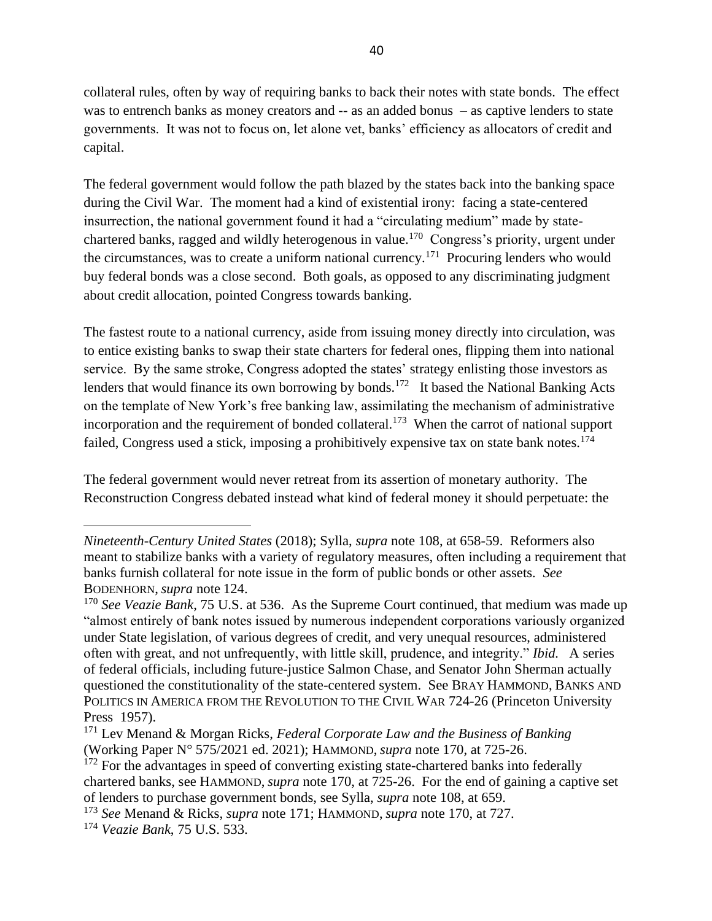collateral rules, often by way of requiring banks to back their notes with state bonds. The effect was to entrench banks as money creators and -- as an added bonus – as captive lenders to state governments. It was not to focus on, let alone vet, banks' efficiency as allocators of credit and capital.

The federal government would follow the path blazed by the states back into the banking space during the Civil War. The moment had a kind of existential irony: facing a state-centered insurrection, the national government found it had a "circulating medium" made by statechartered banks, ragged and wildly heterogenous in value.<sup>170</sup> Congress's priority, urgent under the circumstances, was to create a uniform national currency.<sup>171</sup> Procuring lenders who would buy federal bonds was a close second. Both goals, as opposed to any discriminating judgment about credit allocation, pointed Congress towards banking.

The fastest route to a national currency, aside from issuing money directly into circulation, was to entice existing banks to swap their state charters for federal ones, flipping them into national service. By the same stroke, Congress adopted the states' strategy enlisting those investors as lenders that would finance its own borrowing by bonds.<sup>172</sup> It based the National Banking Acts on the template of New York's free banking law, assimilating the mechanism of administrative incorporation and the requirement of bonded collateral.<sup>173</sup> When the carrot of national support failed, Congress used a stick, imposing a prohibitively expensive tax on state bank notes.<sup>174</sup>

The federal government would never retreat from its assertion of monetary authority. The Reconstruction Congress debated instead what kind of federal money it should perpetuate: the

*Nineteenth-Century United States* (2018); Sylla, *supra* note 108, at 658-59. Reformers also meant to stabilize banks with a variety of regulatory measures, often including a requirement that banks furnish collateral for note issue in the form of public bonds or other assets. *See* BODENHORN, *supra* note 124.

<sup>170</sup> *See Veazie Bank*, 75 U.S. at 536. As the Supreme Court continued, that medium was made up "almost entirely of bank notes issued by numerous independent corporations variously organized under State legislation, of various degrees of credit, and very unequal resources, administered often with great, and not unfrequently, with little skill, prudence, and integrity." *Ibid.* A series of federal officials, including future-justice Salmon Chase, and Senator John Sherman actually questioned the constitutionality of the state-centered system. See BRAY HAMMOND, BANKS AND POLITICS IN AMERICA FROM THE REVOLUTION TO THE CIVIL WAR 724-26 (Princeton University Press 1957).

<sup>171</sup> Lev Menand & Morgan Ricks, *Federal Corporate Law and the Business of Banking* (Working Paper N° 575/2021 ed. 2021); HAMMOND, *supra* note 170, at 725-26.

 $172$  For the advantages in speed of converting existing state-chartered banks into federally chartered banks, see HAMMOND, *supra* note 170, at 725-26. For the end of gaining a captive set of lenders to purchase government bonds, see Sylla, *supra* note 108, at 659.

<sup>173</sup> *See* Menand & Ricks, *supra* note 171; HAMMOND, *supra* note 170, at 727.

<sup>174</sup> *Veazie Bank*, 75 U.S. 533.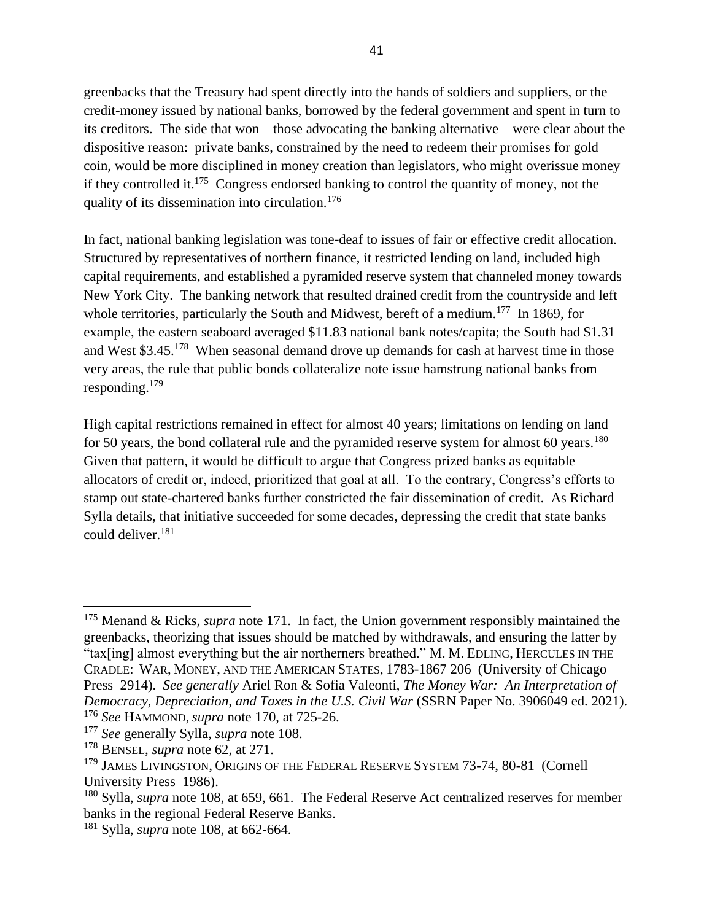greenbacks that the Treasury had spent directly into the hands of soldiers and suppliers, or the credit-money issued by national banks, borrowed by the federal government and spent in turn to its creditors. The side that won – those advocating the banking alternative – were clear about the dispositive reason: private banks, constrained by the need to redeem their promises for gold coin, would be more disciplined in money creation than legislators, who might overissue money if they controlled it.<sup>175</sup> Congress endorsed banking to control the quantity of money, not the quality of its dissemination into circulation.<sup>176</sup>

In fact, national banking legislation was tone-deaf to issues of fair or effective credit allocation. Structured by representatives of northern finance, it restricted lending on land, included high capital requirements, and established a pyramided reserve system that channeled money towards New York City. The banking network that resulted drained credit from the countryside and left whole territories, particularly the South and Midwest, bereft of a medium.<sup>177</sup> In 1869, for example, the eastern seaboard averaged \$11.83 national bank notes/capita; the South had \$1.31 and West \$3.45.<sup>178</sup> When seasonal demand drove up demands for cash at harvest time in those very areas, the rule that public bonds collateralize note issue hamstrung national banks from responding.<sup>179</sup>

High capital restrictions remained in effect for almost 40 years; limitations on lending on land for 50 years, the bond collateral rule and the pyramided reserve system for almost 60 years.<sup>180</sup> Given that pattern, it would be difficult to argue that Congress prized banks as equitable allocators of credit or, indeed, prioritized that goal at all. To the contrary, Congress's efforts to stamp out state-chartered banks further constricted the fair dissemination of credit. As Richard Sylla details, that initiative succeeded for some decades, depressing the credit that state banks could deliver.<sup>181</sup>

<sup>175</sup> Menand & Ricks, *supra* note 171. In fact, the Union government responsibly maintained the greenbacks, theorizing that issues should be matched by withdrawals, and ensuring the latter by "tax[ing] almost everything but the air northerners breathed." M. M. EDLING, HERCULES IN THE CRADLE: WAR, MONEY, AND THE AMERICAN STATES, 1783-1867 206 (University of Chicago Press 2914). *See generally* Ariel Ron & Sofia Valeonti, *The Money War: An Interpretation of Democracy, Depreciation, and Taxes in the U.S. Civil War* (SSRN Paper No. 3906049 ed. 2021). <sup>176</sup> *See* HAMMOND, *supra* note 170, at 725-26.

<sup>177</sup> *See* generally Sylla, *supra* note 108.

<sup>178</sup> BENSEL, *supra* note [62,](#page-15-0) at 271.

<sup>&</sup>lt;sup>179</sup> JAMES LIVINGSTON, ORIGINS OF THE FEDERAL RESERVE SYSTEM 73-74, 80-81 (Cornell University Press 1986).

<sup>180</sup> Sylla, *supra* note 108, at 659, 661. The Federal Reserve Act centralized reserves for member banks in the regional Federal Reserve Banks.

<sup>181</sup> Sylla, *supra* note 108, at 662-664.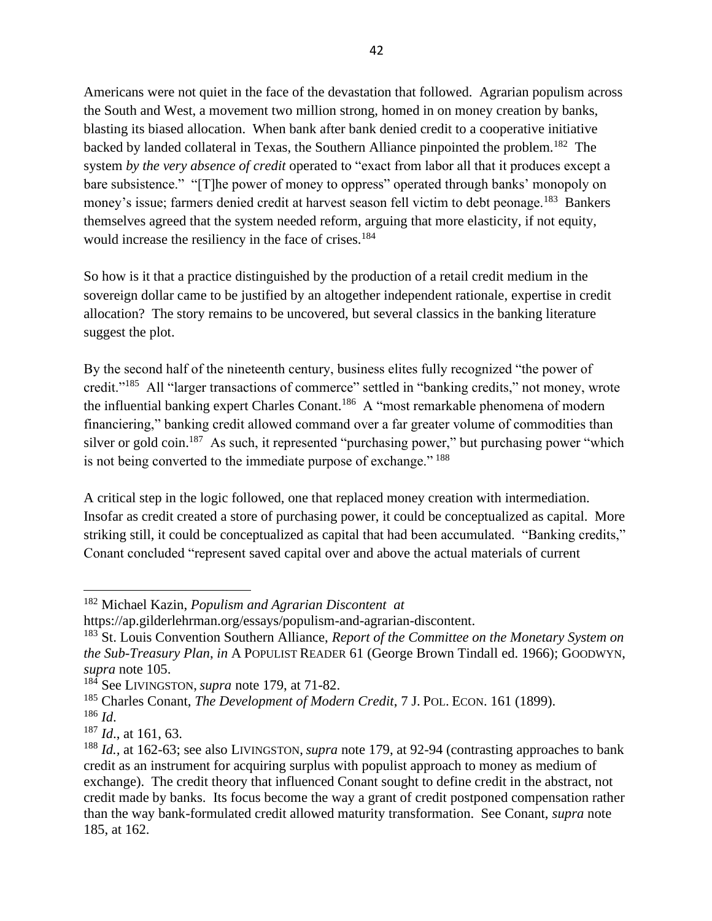Americans were not quiet in the face of the devastation that followed. Agrarian populism across the South and West, a movement two million strong, homed in on money creation by banks, blasting its biased allocation. When bank after bank denied credit to a cooperative initiative backed by landed collateral in Texas, the Southern Alliance pinpointed the problem.<sup>182</sup> The system *by the very absence of credit* operated to "exact from labor all that it produces except a bare subsistence." "[T]he power of money to oppress" operated through banks' monopoly on money's issue; farmers denied credit at harvest season fell victim to debt peonage.<sup>183</sup> Bankers themselves agreed that the system needed reform, arguing that more elasticity, if not equity, would increase the resiliency in the face of crises.<sup>184</sup>

So how is it that a practice distinguished by the production of a retail credit medium in the sovereign dollar came to be justified by an altogether independent rationale, expertise in credit allocation? The story remains to be uncovered, but several classics in the banking literature suggest the plot.

By the second half of the nineteenth century, business elites fully recognized "the power of credit."<sup>185</sup> All "larger transactions of commerce" settled in "banking credits," not money, wrote the influential banking expert Charles Conant.<sup>186</sup> A "most remarkable phenomena of modern financiering," banking credit allowed command over a far greater volume of commodities than silver or gold coin.<sup>187</sup> As such, it represented "purchasing power," but purchasing power "which is not being converted to the immediate purpose of exchange."<sup>188</sup>

A critical step in the logic followed, one that replaced money creation with intermediation. Insofar as credit created a store of purchasing power, it could be conceptualized as capital. More striking still, it could be conceptualized as capital that had been accumulated. "Banking credits," Conant concluded "represent saved capital over and above the actual materials of current

<sup>182</sup> Michael Kazin, *Populism and Agrarian Discontent at*

https://ap.gilderlehrman.org/essays/populism-and-agrarian-discontent.

<sup>183</sup> St. Louis Convention Southern Alliance, *Report of the Committee on the Monetary System on the Sub-Treasury Plan*, *in* A POPULIST READER 61 (George Brown Tindall ed. 1966); GOODWYN, *supra* note 105.

<sup>&</sup>lt;sup>184</sup> See LIVINGSTON, *supra* note 179, at 71-82.

<sup>185</sup> Charles Conant, *The Development of Modern Credit*, 7 J. POL. ECON. 161 (1899).

<sup>186</sup> *Id*.

<sup>187</sup> *Id*., at 161, 63.

<sup>188</sup> *Id.,* at 162-63; see also LIVINGSTON, *supra* note 179, at 92-94 (contrasting approaches to bank credit as an instrument for acquiring surplus with populist approach to money as medium of exchange). The credit theory that influenced Conant sought to define credit in the abstract, not credit made by banks. Its focus become the way a grant of credit postponed compensation rather than the way bank-formulated credit allowed maturity transformation. See Conant, *supra* note 185, at 162.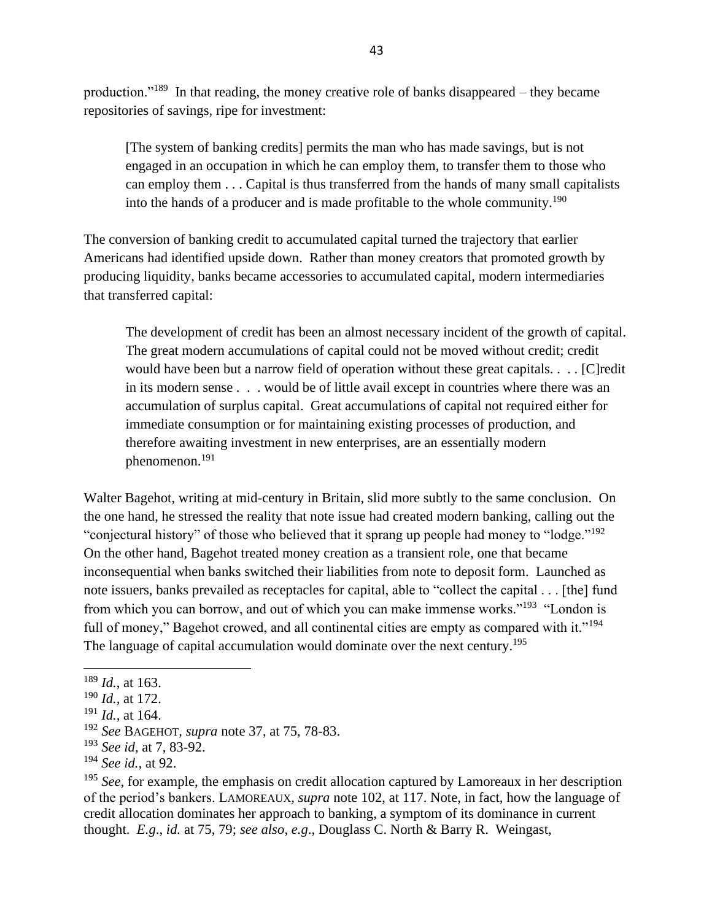production."<sup>189</sup> In that reading, the money creative role of banks disappeared – they became repositories of savings, ripe for investment:

[The system of banking credits] permits the man who has made savings, but is not engaged in an occupation in which he can employ them, to transfer them to those who can employ them . . . Capital is thus transferred from the hands of many small capitalists into the hands of a producer and is made profitable to the whole community.<sup>190</sup>

The conversion of banking credit to accumulated capital turned the trajectory that earlier Americans had identified upside down. Rather than money creators that promoted growth by producing liquidity, banks became accessories to accumulated capital, modern intermediaries that transferred capital:

The development of credit has been an almost necessary incident of the growth of capital. The great modern accumulations of capital could not be moved without credit; credit would have been but a narrow field of operation without these great capitals. . . . [C]redit in its modern sense . . . would be of little avail except in countries where there was an accumulation of surplus capital. Great accumulations of capital not required either for immediate consumption or for maintaining existing processes of production, and therefore awaiting investment in new enterprises, are an essentially modern phenomenon.<sup>191</sup>

Walter Bagehot, writing at mid-century in Britain, slid more subtly to the same conclusion. On the one hand, he stressed the reality that note issue had created modern banking, calling out the "conjectural history" of those who believed that it sprang up people had money to "lodge."<sup>192</sup> On the other hand, Bagehot treated money creation as a transient role, one that became inconsequential when banks switched their liabilities from note to deposit form. Launched as note issuers, banks prevailed as receptacles for capital, able to "collect the capital . . . [the] fund from which you can borrow, and out of which you can make immense works."<sup>193</sup> "London is full of money," Bagehot crowed, and all continental cities are empty as compared with it."<sup>194</sup> The language of capital accumulation would dominate over the next century.<sup>195</sup>

<sup>189</sup> *Id.*, at 163.

<sup>190</sup> *Id.,* at 172.

<sup>191</sup> *Id.,* at 164.

<sup>192</sup> *See* BAGEHOT, *supra* not[e 37,](#page-7-1) at 75, 78-83.

<sup>193</sup> *See id*, at 7, 83-92.

<sup>194</sup> *See id.,* at 92.

<sup>&</sup>lt;sup>195</sup> See, for example, the emphasis on credit allocation captured by Lamoreaux in her description of the period's bankers. LAMOREAUX, *supra* note 102, at 117. Note, in fact, how the language of credit allocation dominates her approach to banking, a symptom of its dominance in current thought. *E.g*., *id.* at 75, 79; *see also, e.g*., Douglass C. North & Barry R. Weingast,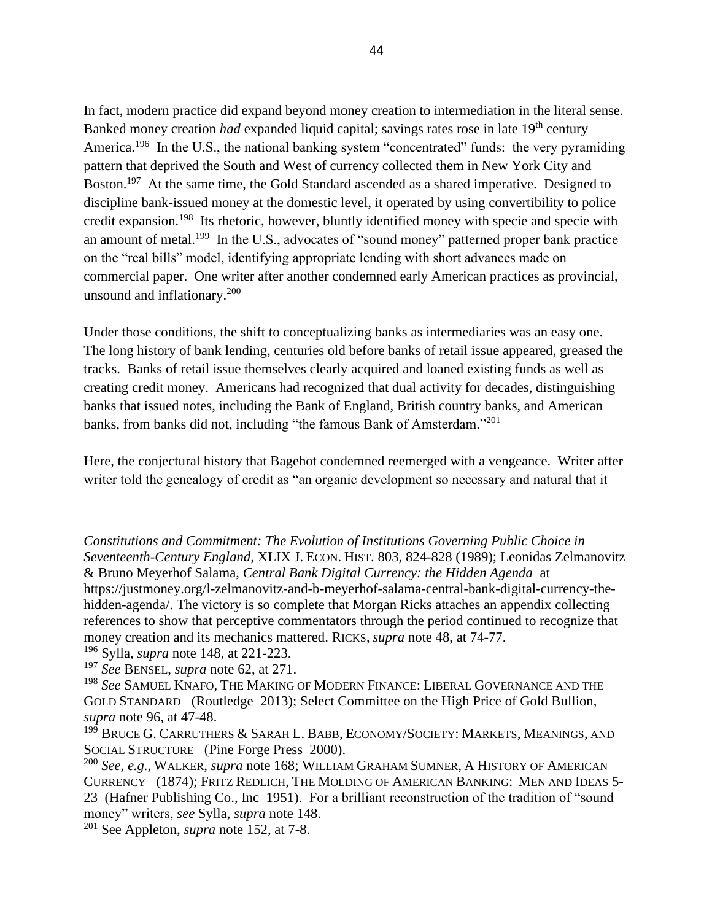In fact, modern practice did expand beyond money creation to intermediation in the literal sense. Banked money creation *had* expanded liquid capital; savings rates rose in late 19<sup>th</sup> century America.<sup>196</sup> In the U.S., the national banking system "concentrated" funds: the very pyramiding pattern that deprived the South and West of currency collected them in New York City and Boston.<sup>197</sup> At the same time, the Gold Standard ascended as a shared imperative. Designed to discipline bank-issued money at the domestic level, it operated by using convertibility to police credit expansion.<sup>198</sup> Its rhetoric, however, bluntly identified money with specie and specie with an amount of metal.<sup>199</sup> In the U.S., advocates of "sound money" patterned proper bank practice on the "real bills" model, identifying appropriate lending with short advances made on commercial paper. One writer after another condemned early American practices as provincial, unsound and inflationary.<sup>200</sup>

Under those conditions, the shift to conceptualizing banks as intermediaries was an easy one. The long history of bank lending, centuries old before banks of retail issue appeared, greased the tracks. Banks of retail issue themselves clearly acquired and loaned existing funds as well as creating credit money. Americans had recognized that dual activity for decades, distinguishing banks that issued notes, including the Bank of England, British country banks, and American banks, from banks did not, including "the famous Bank of Amsterdam."<sup>201</sup>

Here, the conjectural history that Bagehot condemned reemerged with a vengeance. Writer after writer told the genealogy of credit as "an organic development so necessary and natural that it

*Constitutions and Commitment: The Evolution of Institutions Governing Public Choice in Seventeenth-Century England*, XLIX J. ECON. HIST. 803, 824-828 (1989); Leonidas Zelmanovitz & Bruno Meyerhof Salama, *Central Bank Digital Currency: the Hidden Agenda* at https://justmoney.org/l-zelmanovitz-and-b-meyerhof-salama-central-bank-digital-currency-thehidden-agenda/. The victory is so complete that Morgan Ricks attaches an appendix collecting references to show that perceptive commentators through the period continued to recognize that money creation and its mechanics mattered. RICKS, *supra* note [48,](#page-11-0) at 74-77.

<sup>196</sup> Sylla, *supra* not[e 148,](#page-35-1) at 221-223.

<sup>197</sup> *See* BENSEL, *supra* note [62,](#page-15-0) at 271.

<sup>198</sup> *See* SAMUEL KNAFO, THE MAKING OF MODERN FINANCE: LIBERAL GOVERNANCE AND THE GOLD STANDARD (Routledge 2013); Select Committee on the High Price of Gold Bullion, *supra* note 96, at 47-48.

 $199$  Bruce G. Carruthers & Sarah L. Babb, Economy/Society: Markets, Meanings, and SOCIAL STRUCTURE (Pine Forge Press 2000).

<sup>200</sup> *See, e.g.,* WALKER, *supra* note 168; WILLIAM GRAHAM SUMNER, A HISTORY OF AMERICAN CURRENCY (1874); FRITZ REDLICH, THE MOLDING OF AMERICAN BANKING: MEN AND IDEAS 5- 23 (Hafner Publishing Co., Inc 1951). For a brilliant reconstruction of the tradition of "sound money" writers, *see* Sylla*, supra* note [148.](#page-35-1)

<sup>201</sup> See Appleton, *supra* note 152, at 7-8.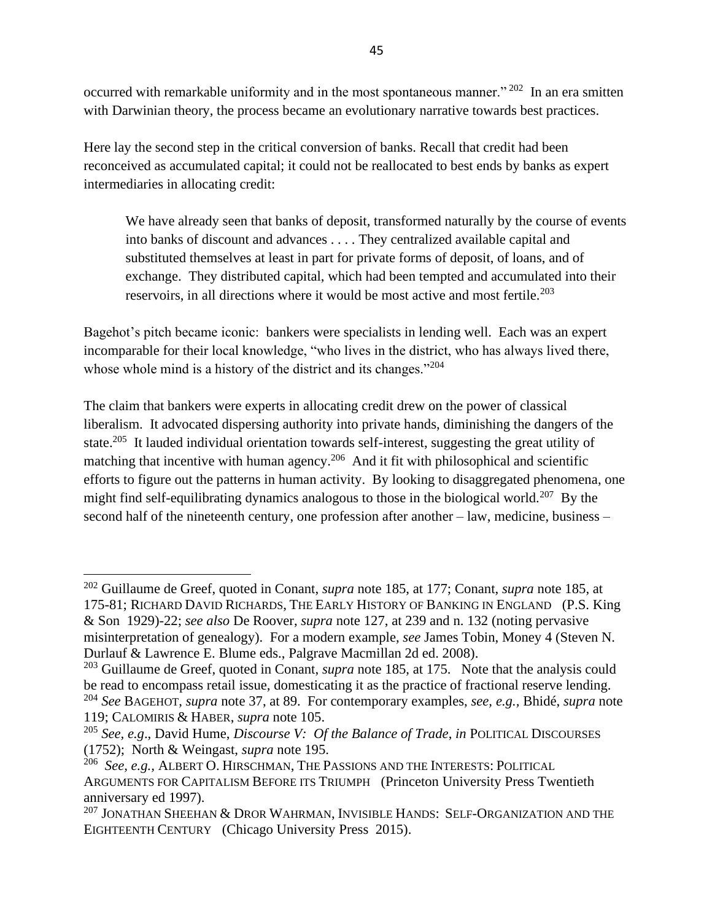occurred with remarkable uniformity and in the most spontaneous manner."<sup>202</sup> In an era smitten with Darwinian theory, the process became an evolutionary narrative towards best practices.

Here lay the second step in the critical conversion of banks. Recall that credit had been reconceived as accumulated capital; it could not be reallocated to best ends by banks as expert intermediaries in allocating credit:

We have already seen that banks of deposit, transformed naturally by the course of events into banks of discount and advances . . . . They centralized available capital and substituted themselves at least in part for private forms of deposit, of loans, and of exchange. They distributed capital, which had been tempted and accumulated into their reservoirs, in all directions where it would be most active and most fertile.<sup>203</sup>

Bagehot's pitch became iconic: bankers were specialists in lending well. Each was an expert incomparable for their local knowledge, "who lives in the district, who has always lived there, whose whole mind is a history of the district and its changes."<sup>204</sup>

The claim that bankers were experts in allocating credit drew on the power of classical liberalism. It advocated dispersing authority into private hands, diminishing the dangers of the state.<sup>205</sup> It lauded individual orientation towards self-interest, suggesting the great utility of matching that incentive with human agency.<sup>206</sup> And it fit with philosophical and scientific efforts to figure out the patterns in human activity. By looking to disaggregated phenomena, one might find self-equilibrating dynamics analogous to those in the biological world.<sup>207</sup> By the second half of the nineteenth century, one profession after another – law, medicine, business –

<sup>202</sup> Guillaume de Greef, quoted in Conant, *supra* note 185, at 177; Conant, *supra* note 185, at 175-81; RICHARD DAVID RICHARDS, THE EARLY HISTORY OF BANKING IN ENGLAND (P.S. King & Son 1929)-22; *see also* De Roover, *supra* note 127, at 239 and n. 132 (noting pervasive misinterpretation of genealogy). For a modern example, *see* James Tobin, Money 4 (Steven N. Durlauf & Lawrence E. Blume eds., Palgrave Macmillan 2d ed. 2008).

<sup>&</sup>lt;sup>203</sup> Guillaume de Greef, quoted in Conant, *supra* note 185, at 175. Note that the analysis could be read to encompass retail issue, domesticating it as the practice of fractional reserve lending. <sup>204</sup> *See* BAGEHOT, *supra* not[e 37,](#page-7-1) at 89. For contemporary examples, *see, e.g.,* Bhidé, *supra* note 119; CALOMIRIS & HABER, *supra* note 105.

<sup>205</sup> *See, e.g*., David Hume, *Discourse V: Of the Balance of Trade*, *in* POLITICAL DISCOURSES (1752); North & Weingast, *supra* note 195.

<sup>206</sup> *See, e.g.,* ALBERT O. HIRSCHMAN, THE PASSIONS AND THE INTERESTS: POLITICAL ARGUMENTS FOR CAPITALISM BEFORE ITS TRIUMPH (Princeton University Press Twentieth anniversary ed 1997).

 $^{207}$  JONATHAN SHEEHAN  $\&$  DROR WAHRMAN, INVISIBLE HANDS: SELF-ORGANIZATION AND THE EIGHTEENTH CENTURY (Chicago University Press 2015).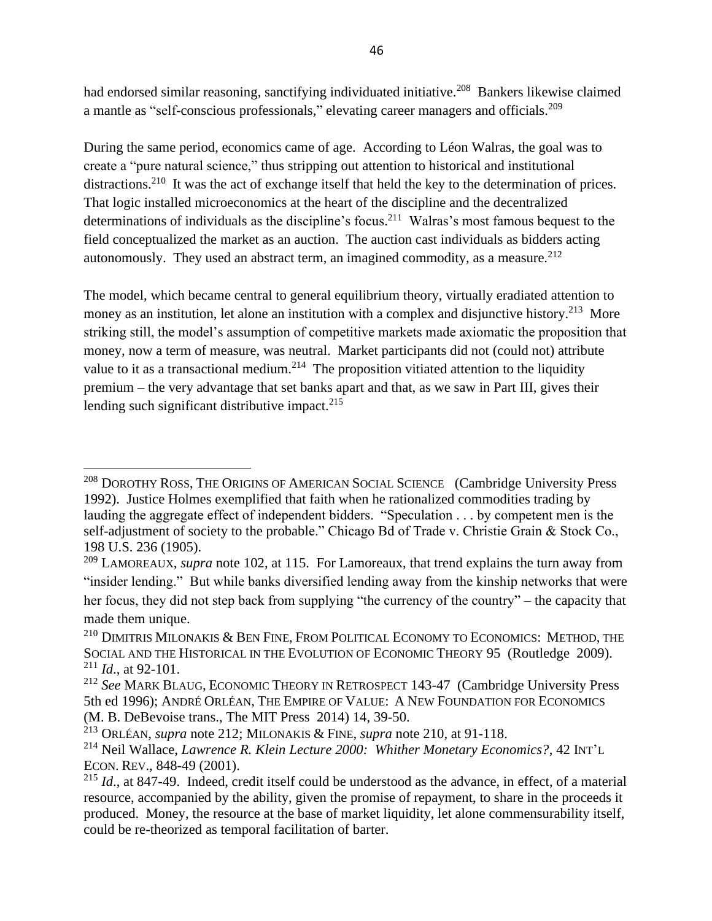had endorsed similar reasoning, sanctifying individuated initiative.<sup>208</sup> Bankers likewise claimed a mantle as "self-conscious professionals," elevating career managers and officials.<sup>209</sup>

During the same period, economics came of age. According to Léon Walras, the goal was to create a "pure natural science," thus stripping out attention to historical and institutional distractions.<sup>210</sup> It was the act of exchange itself that held the key to the determination of prices. That logic installed microeconomics at the heart of the discipline and the decentralized determinations of individuals as the discipline's focus.<sup>211</sup> Walras's most famous bequest to the field conceptualized the market as an auction. The auction cast individuals as bidders acting autonomously. They used an abstract term, an imagined commodity, as a measure.<sup>212</sup>

The model, which became central to general equilibrium theory, virtually eradiated attention to money as an institution, let alone an institution with a complex and disjunctive history.<sup>213</sup> More striking still, the model's assumption of competitive markets made axiomatic the proposition that money, now a term of measure, was neutral. Market participants did not (could not) attribute value to it as a transactional medium.<sup>214</sup> The proposition vitiated attention to the liquidity premium – the very advantage that set banks apart and that, as we saw in Part III, gives their lending such significant distributive impact. $215$ 

<sup>&</sup>lt;sup>208</sup> DOROTHY ROSS, THE ORIGINS OF AMERICAN SOCIAL SCIENCE (Cambridge University Press 1992). Justice Holmes exemplified that faith when he rationalized commodities trading by lauding the aggregate effect of independent bidders. "Speculation . . . by competent men is the self-adjustment of society to the probable." Chicago Bd of Trade v. Christie Grain & Stock Co., 198 U.S. 236 (1905).

<sup>209</sup> LAMOREAUX, *supra* note 102, at 115. For Lamoreaux, that trend explains the turn away from "insider lending." But while banks diversified lending away from the kinship networks that were her focus, they did not step back from supplying "the currency of the country" – the capacity that made them unique.

 $^{210}$  DIMITRIS MILONAKIS & BEN FINE, FROM POLITICAL ECONOMY TO ECONOMICS: METHOD, THE SOCIAL AND THE HISTORICAL IN THE EVOLUTION OF ECONOMIC THEORY 95 (Routledge 2009). <sup>211</sup> *Id*., at 92-101.

<sup>212</sup> *See* MARK BLAUG, ECONOMIC THEORY IN RETROSPECT 143-47 (Cambridge University Press 5th ed 1996); ANDRÉ ORLÉAN, THE EMPIRE OF VALUE: A NEW FOUNDATION FOR ECONOMICS (M. B. DeBevoise trans., The MIT Press 2014) 14, 39-50.

<sup>213</sup> ORLÉAN, *supra* note 212; MILONAKIS & FINE, *supra* note 210, at 91-118.

<sup>214</sup> Neil Wallace, *Lawrence R. Klein Lecture 2000: Whither Monetary Economics?*, 42 INT'L ECON. REV., 848-49 (2001).

<sup>215</sup> *Id*., at 847-49. Indeed, credit itself could be understood as the advance, in effect, of a material resource, accompanied by the ability, given the promise of repayment, to share in the proceeds it produced. Money, the resource at the base of market liquidity, let alone commensurability itself, could be re-theorized as temporal facilitation of barter.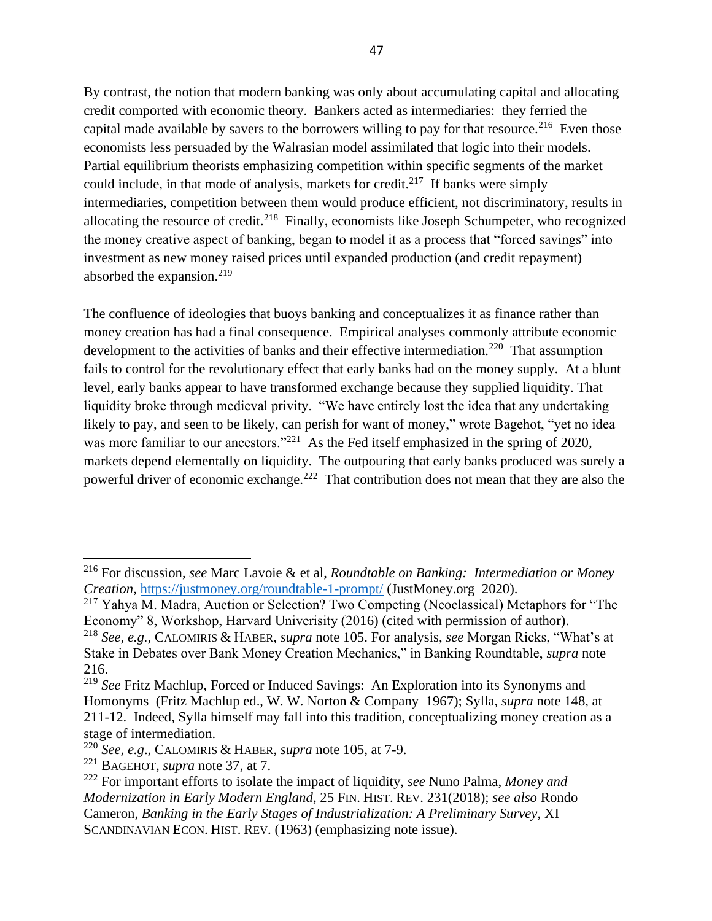By contrast, the notion that modern banking was only about accumulating capital and allocating credit comported with economic theory. Bankers acted as intermediaries: they ferried the capital made available by savers to the borrowers willing to pay for that resource.<sup>216</sup> Even those economists less persuaded by the Walrasian model assimilated that logic into their models. Partial equilibrium theorists emphasizing competition within specific segments of the market could include, in that mode of analysis, markets for credit.<sup>217</sup> If banks were simply intermediaries, competition between them would produce efficient, not discriminatory, results in allocating the resource of credit.<sup>218</sup> Finally, economists like Joseph Schumpeter, who recognized the money creative aspect of banking, began to model it as a process that "forced savings" into investment as new money raised prices until expanded production (and credit repayment) absorbed the expansion. $219$ 

The confluence of ideologies that buoys banking and conceptualizes it as finance rather than money creation has had a final consequence. Empirical analyses commonly attribute economic development to the activities of banks and their effective intermediation.<sup>220</sup> That assumption fails to control for the revolutionary effect that early banks had on the money supply. At a blunt level, early banks appear to have transformed exchange because they supplied liquidity. That liquidity broke through medieval privity. "We have entirely lost the idea that any undertaking likely to pay, and seen to be likely, can perish for want of money," wrote Bagehot, "yet no idea was more familiar to our ancestors."<sup>221</sup> As the Fed itself emphasized in the spring of 2020, markets depend elementally on liquidity. The outpouring that early banks produced was surely a powerful driver of economic exchange.<sup>222</sup> That contribution does not mean that they are also the

<sup>216</sup> For discussion, *see* Marc Lavoie & et al, *Roundtable on Banking: Intermediation or Money Creation*,<https://justmoney.org/roundtable-1-prompt/> (JustMoney.org 2020).

<sup>&</sup>lt;sup>217</sup> Yahya M. Madra, Auction or Selection? Two Competing (Neoclassical) Metaphors for "The Economy" 8, Workshop, Harvard Univerisity (2016) (cited with permission of author).

<sup>218</sup> *See, e.g.,* CALOMIRIS & HABER, *supra* note 105. For analysis, *see* Morgan Ricks, "What's at Stake in Debates over Bank Money Creation Mechanics," in Banking Roundtable, *supra* note 216.

<sup>219</sup> *See* Fritz Machlup, Forced or Induced Savings: An Exploration into its Synonyms and Homonyms (Fritz Machlup ed., W. W. Norton & Company 1967); Sylla*, supra* note [148,](#page-35-1) at 211-12. Indeed, Sylla himself may fall into this tradition, conceptualizing money creation as a stage of intermediation.

<sup>220</sup> *See, e.g*., CALOMIRIS & HABER, *supra* note 105, at 7-9.

<sup>221</sup> BAGEHOT, *supra* note [37,](#page-7-1) at 7.

<sup>222</sup> For important efforts to isolate the impact of liquidity, *see* Nuno Palma, *Money and Modernization in Early Modern England*, 25 FIN. HIST. REV. 231(2018); *see also* Rondo Cameron, *Banking in the Early Stages of Industrialization: A Preliminary Survey*, XI SCANDINAVIAN ECON. HIST. REV. (1963) (emphasizing note issue).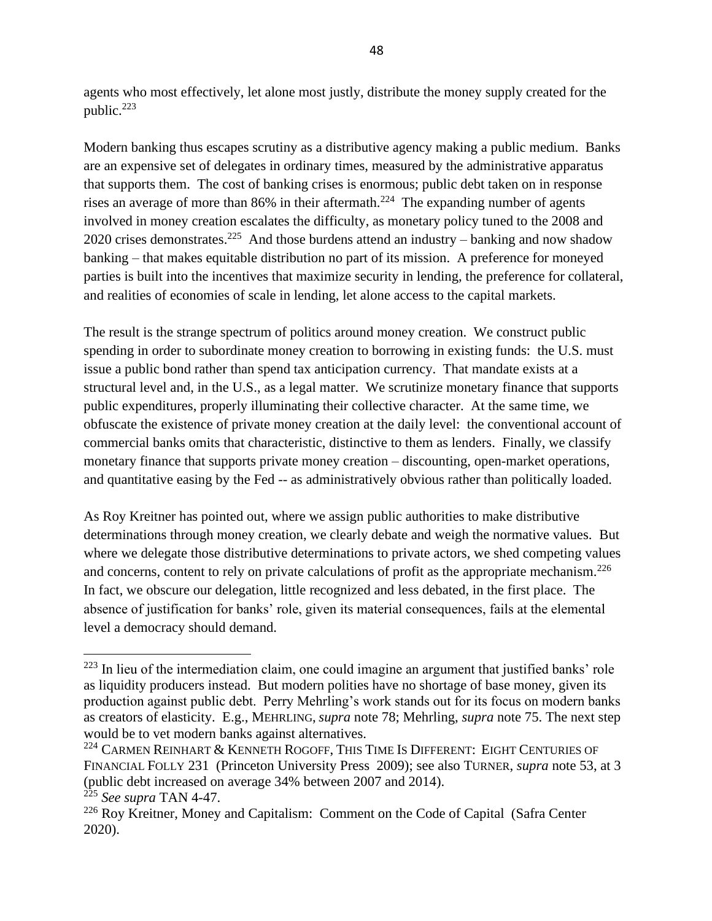agents who most effectively, let alone most justly, distribute the money supply created for the public.<sup>223</sup>

Modern banking thus escapes scrutiny as a distributive agency making a public medium. Banks are an expensive set of delegates in ordinary times, measured by the administrative apparatus that supports them. The cost of banking crises is enormous; public debt taken on in response rises an average of more than 86% in their aftermath.<sup>224</sup> The expanding number of agents involved in money creation escalates the difficulty, as monetary policy tuned to the 2008 and 2020 crises demonstrates.<sup>225</sup> And those burdens attend an industry – banking and now shadow banking – that makes equitable distribution no part of its mission. A preference for moneyed parties is built into the incentives that maximize security in lending, the preference for collateral, and realities of economies of scale in lending, let alone access to the capital markets.

The result is the strange spectrum of politics around money creation. We construct public spending in order to subordinate money creation to borrowing in existing funds: the U.S. must issue a public bond rather than spend tax anticipation currency. That mandate exists at a structural level and, in the U.S., as a legal matter. We scrutinize monetary finance that supports public expenditures, properly illuminating their collective character. At the same time, we obfuscate the existence of private money creation at the daily level: the conventional account of commercial banks omits that characteristic, distinctive to them as lenders. Finally, we classify monetary finance that supports private money creation – discounting, open-market operations, and quantitative easing by the Fed -- as administratively obvious rather than politically loaded.

As Roy Kreitner has pointed out, where we assign public authorities to make distributive determinations through money creation, we clearly debate and weigh the normative values. But where we delegate those distributive determinations to private actors, we shed competing values and concerns, content to rely on private calculations of profit as the appropriate mechanism.<sup>226</sup> In fact, we obscure our delegation, little recognized and less debated, in the first place. The absence of justification for banks' role, given its material consequences, fails at the elemental level a democracy should demand.

<sup>&</sup>lt;sup>223</sup> In lieu of the intermediation claim, one could imagine an argument that justified banks' role as liquidity producers instead. But modern polities have no shortage of base money, given its production against public debt. Perry Mehrling's work stands out for its focus on modern banks as creators of elasticity. E.g., MEHRLING, *supra* note [78;](#page-18-0) Mehrling, *supra* note [75.](#page-18-2) The next step would be to vet modern banks against alternatives.

<sup>&</sup>lt;sup>224</sup> CARMEN REINHART & KENNETH ROGOFF, THIS TIME IS DIFFERENT: EIGHT CENTURIES OF FINANCIAL FOLLY 231 (Princeton University Press 2009); see also TURNER, *supra* note [53,](#page-13-0) at 3 (public debt increased on average 34% between 2007 and 2014).

<sup>225</sup> *See supra* TAN [4](#page-2-1)[-47.](#page-10-0)

<sup>226</sup> Roy Kreitner, Money and Capitalism: Comment on the Code of Capital (Safra Center 2020).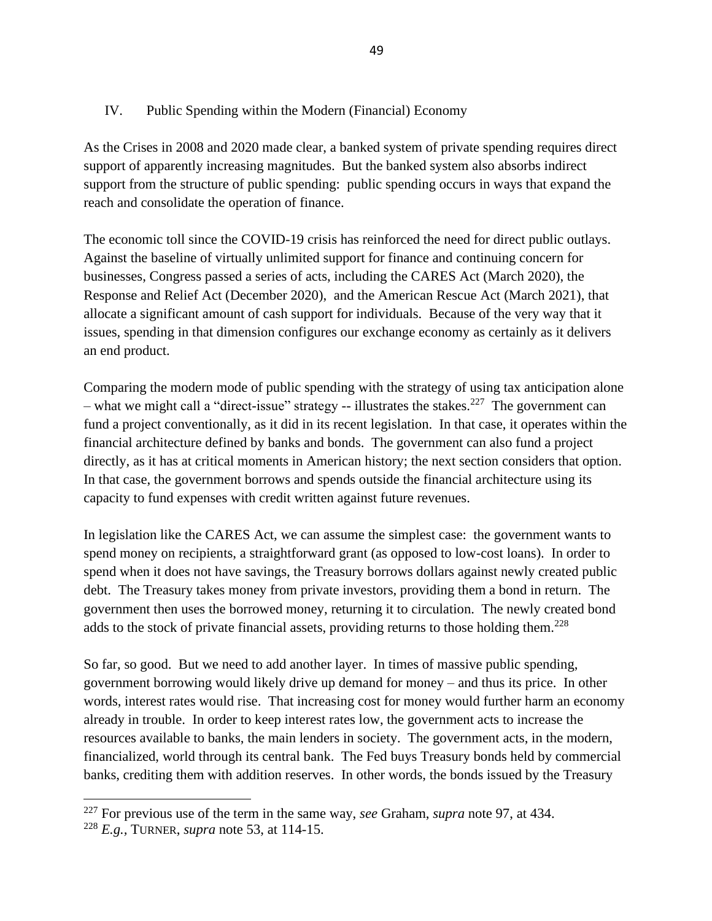## IV. Public Spending within the Modern (Financial) Economy

As the Crises in 2008 and 2020 made clear, a banked system of private spending requires direct support of apparently increasing magnitudes. But the banked system also absorbs indirect support from the structure of public spending: public spending occurs in ways that expand the reach and consolidate the operation of finance.

The economic toll since the COVID-19 crisis has reinforced the need for direct public outlays. Against the baseline of virtually unlimited support for finance and continuing concern for businesses, Congress passed a series of acts, including the CARES Act (March 2020), the Response and Relief Act (December 2020), and the American Rescue Act (March 2021), that allocate a significant amount of cash support for individuals. Because of the very way that it issues, spending in that dimension configures our exchange economy as certainly as it delivers an end product.

Comparing the modern mode of public spending with the strategy of using tax anticipation alone  $-$  what we might call a "direct-issue" strategy  $-$  illustrates the stakes.<sup>227</sup> The government can fund a project conventionally, as it did in its recent legislation. In that case, it operates within the financial architecture defined by banks and bonds. The government can also fund a project directly, as it has at critical moments in American history; the next section considers that option. In that case, the government borrows and spends outside the financial architecture using its capacity to fund expenses with credit written against future revenues.

In legislation like the CARES Act, we can assume the simplest case: the government wants to spend money on recipients, a straightforward grant (as opposed to low-cost loans). In order to spend when it does not have savings, the Treasury borrows dollars against newly created public debt. The Treasury takes money from private investors, providing them a bond in return. The government then uses the borrowed money, returning it to circulation. The newly created bond adds to the stock of private financial assets, providing returns to those holding them.<sup>228</sup>

So far, so good. But we need to add another layer. In times of massive public spending, government borrowing would likely drive up demand for money – and thus its price. In other words, interest rates would rise. That increasing cost for money would further harm an economy already in trouble. In order to keep interest rates low, the government acts to increase the resources available to banks, the main lenders in society. The government acts, in the modern, financialized, world through its central bank. The Fed buys Treasury bonds held by commercial banks, crediting them with addition reserves. In other words, the bonds issued by the Treasury

<sup>227</sup> For previous use of the term in the same way, *see* Graham, *supra* note 97, at 434.

<sup>228</sup> *E.g.,* TURNER, *supra* note [53,](#page-13-0) at 114-15.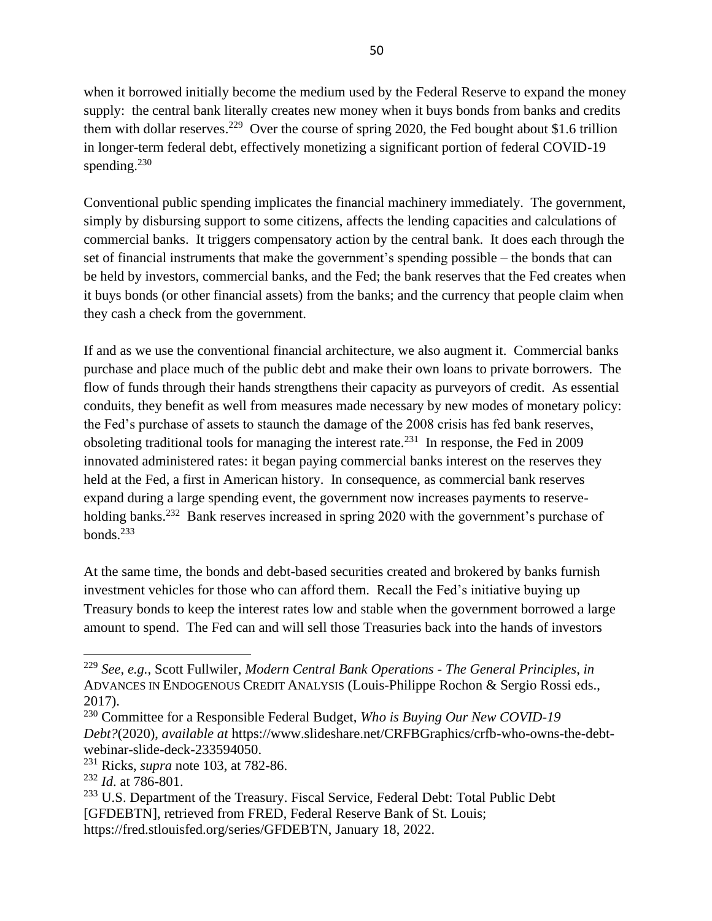when it borrowed initially become the medium used by the Federal Reserve to expand the money supply: the central bank literally creates new money when it buys bonds from banks and credits them with dollar reserves.<sup>229</sup> Over the course of spring 2020, the Fed bought about \$1.6 trillion in longer-term federal debt, effectively monetizing a significant portion of federal COVID-19 spending. $230$ 

Conventional public spending implicates the financial machinery immediately. The government, simply by disbursing support to some citizens, affects the lending capacities and calculations of commercial banks. It triggers compensatory action by the central bank. It does each through the set of financial instruments that make the government's spending possible – the bonds that can be held by investors, commercial banks, and the Fed; the bank reserves that the Fed creates when it buys bonds (or other financial assets) from the banks; and the currency that people claim when they cash a check from the government.

If and as we use the conventional financial architecture, we also augment it. Commercial banks purchase and place much of the public debt and make their own loans to private borrowers. The flow of funds through their hands strengthens their capacity as purveyors of credit. As essential conduits, they benefit as well from measures made necessary by new modes of monetary policy: the Fed's purchase of assets to staunch the damage of the 2008 crisis has fed bank reserves, obsoleting traditional tools for managing the interest rate.<sup>231</sup> In response, the Fed in 2009 innovated administered rates: it began paying commercial banks interest on the reserves they held at the Fed, a first in American history. In consequence, as commercial bank reserves expand during a large spending event, the government now increases payments to reserveholding banks.<sup>232</sup> Bank reserves increased in spring 2020 with the government's purchase of bonds.<sup>233</sup>

<span id="page-49-0"></span>At the same time, the bonds and debt-based securities created and brokered by banks furnish investment vehicles for those who can afford them. Recall the Fed's initiative buying up Treasury bonds to keep the interest rates low and stable when the government borrowed a large amount to spend. The Fed can and will sell those Treasuries back into the hands of investors

<sup>229</sup> *See, e.g.,* Scott Fullwiler, *Modern Central Bank Operations - The General Principles*, *in*  ADVANCES IN ENDOGENOUS CREDIT ANALYSIS (Louis-Philippe Rochon & Sergio Rossi eds., 2017).

<sup>230</sup> Committee for a Responsible Federal Budget, *Who is Buying Our New COVID-19 Debt?*(2020), *available at* https://www.slideshare.net/CRFBGraphics/crfb-who-owns-the-debtwebinar-slide-deck-233594050.

<sup>231</sup> Ricks, *supra* note 103, at 782-86.

<sup>232</sup> *Id*. at 786-801.

<sup>&</sup>lt;sup>233</sup> U.S. Department of the Treasury. Fiscal Service, Federal Debt: Total Public Debt [GFDEBTN], retrieved from FRED, Federal Reserve Bank of St. Louis;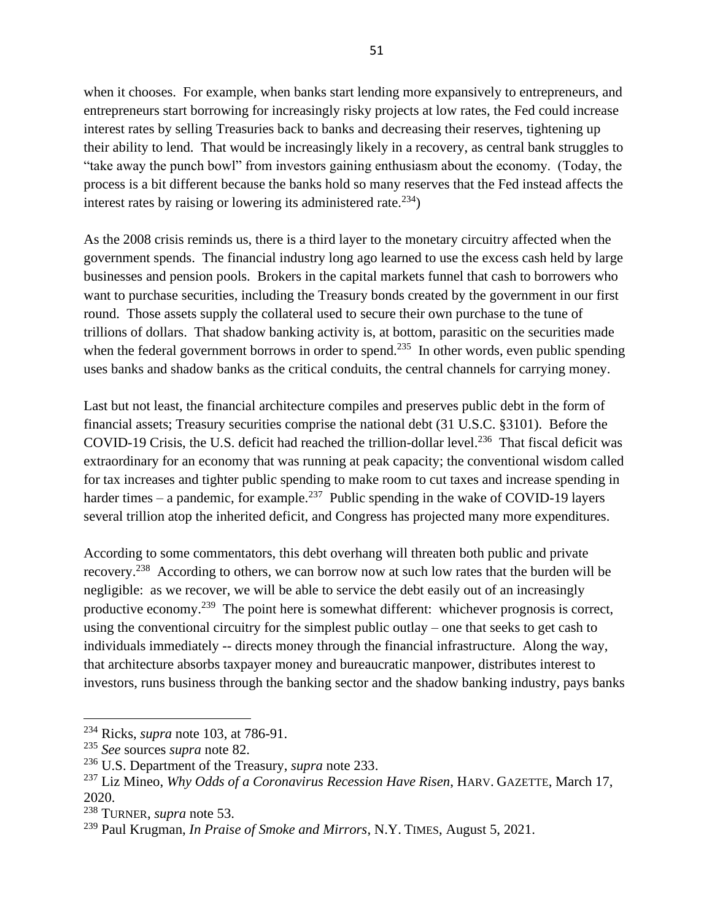when it chooses. For example, when banks start lending more expansively to entrepreneurs, and entrepreneurs start borrowing for increasingly risky projects at low rates, the Fed could increase interest rates by selling Treasuries back to banks and decreasing their reserves, tightening up their ability to lend. That would be increasingly likely in a recovery, as central bank struggles to "take away the punch bowl" from investors gaining enthusiasm about the economy. (Today, the process is a bit different because the banks hold so many reserves that the Fed instead affects the interest rates by raising or lowering its administered rate.<sup>234</sup>)

As the 2008 crisis reminds us, there is a third layer to the monetary circuitry affected when the government spends. The financial industry long ago learned to use the excess cash held by large businesses and pension pools. Brokers in the capital markets funnel that cash to borrowers who want to purchase securities, including the Treasury bonds created by the government in our first round. Those assets supply the collateral used to secure their own purchase to the tune of trillions of dollars. That shadow banking activity is, at bottom, parasitic on the securities made when the federal government borrows in order to spend.<sup>235</sup> In other words, even public spending uses banks and shadow banks as the critical conduits, the central channels for carrying money.

Last but not least, the financial architecture compiles and preserves public debt in the form of financial assets; Treasury securities comprise the national debt (31 U.S.C. §3101). Before the COVID-19 Crisis, the U.S. deficit had reached the trillion-dollar level.<sup>236</sup> That fiscal deficit was extraordinary for an economy that was running at peak capacity; the conventional wisdom called for tax increases and tighter public spending to make room to cut taxes and increase spending in harder times – a pandemic, for example.<sup>237</sup> Public spending in the wake of COVID-19 layers several trillion atop the inherited deficit, and Congress has projected many more expenditures.

According to some commentators, this debt overhang will threaten both public and private recovery.<sup>238</sup> According to others, we can borrow now at such low rates that the burden will be negligible: as we recover, we will be able to service the debt easily out of an increasingly productive economy.<sup>239</sup> The point here is somewhat different: whichever prognosis is correct, using the conventional circuitry for the simplest public outlay – one that seeks to get cash to individuals immediately -- directs money through the financial infrastructure. Along the way, that architecture absorbs taxpayer money and bureaucratic manpower, distributes interest to investors, runs business through the banking sector and the shadow banking industry, pays banks

<sup>234</sup> Ricks, *supra* note 103, at 786-91.

<sup>235</sup> *See* sources *supra* note [82.](#page-19-0)

<sup>236</sup> U.S. Department of the Treasury, *supra* note [233.](#page-49-0)

<sup>237</sup> Liz Mineo, *Why Odds of a Coronavirus Recession Have Risen*, HARV. GAZETTE, March 17, 2020.

<sup>238</sup> TURNER, *supra* note [53.](#page-13-0)

<sup>239</sup> Paul Krugman, *In Praise of Smoke and Mirrors*, N.Y. TIMES, August 5, 2021.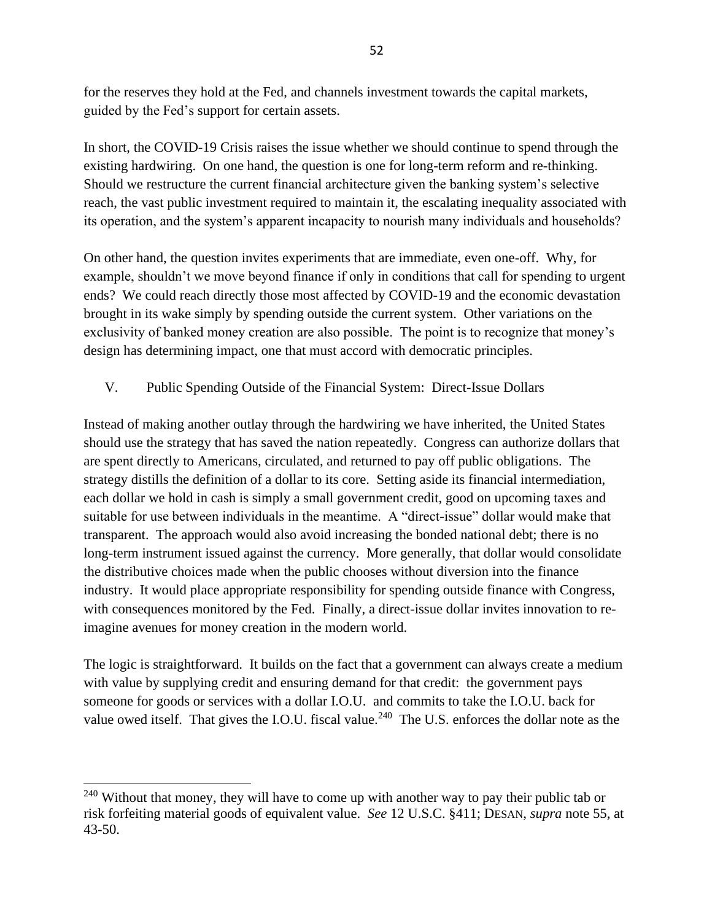for the reserves they hold at the Fed, and channels investment towards the capital markets, guided by the Fed's support for certain assets.

In short, the COVID-19 Crisis raises the issue whether we should continue to spend through the existing hardwiring. On one hand, the question is one for long-term reform and re-thinking. Should we restructure the current financial architecture given the banking system's selective reach, the vast public investment required to maintain it, the escalating inequality associated with its operation, and the system's apparent incapacity to nourish many individuals and households?

On other hand, the question invites experiments that are immediate, even one-off. Why, for example, shouldn't we move beyond finance if only in conditions that call for spending to urgent ends? We could reach directly those most affected by COVID-19 and the economic devastation brought in its wake simply by spending outside the current system. Other variations on the exclusivity of banked money creation are also possible. The point is to recognize that money's design has determining impact, one that must accord with democratic principles.

# V. Public Spending Outside of the Financial System: Direct-Issue Dollars

Instead of making another outlay through the hardwiring we have inherited, the United States should use the strategy that has saved the nation repeatedly. Congress can authorize dollars that are spent directly to Americans, circulated, and returned to pay off public obligations. The strategy distills the definition of a dollar to its core. Setting aside its financial intermediation, each dollar we hold in cash is simply a small government credit, good on upcoming taxes and suitable for use between individuals in the meantime. A "direct-issue" dollar would make that transparent. The approach would also avoid increasing the bonded national debt; there is no long-term instrument issued against the currency. More generally, that dollar would consolidate the distributive choices made when the public chooses without diversion into the finance industry. It would place appropriate responsibility for spending outside finance with Congress, with consequences monitored by the Fed. Finally, a direct-issue dollar invites innovation to reimagine avenues for money creation in the modern world.

The logic is straightforward. It builds on the fact that a government can always create a medium with value by supplying credit and ensuring demand for that credit: the government pays someone for goods or services with a dollar I.O.U. and commits to take the I.O.U. back for value owed itself. That gives the I.O.U. fiscal value.<sup>240</sup> The U.S. enforces the dollar note as the

 $240$  Without that money, they will have to come up with another way to pay their public tab or risk forfeiting material goods of equivalent value. *See* 12 U.S.C. §411; DESAN, *supra* note [55,](#page-14-0) at 43-50.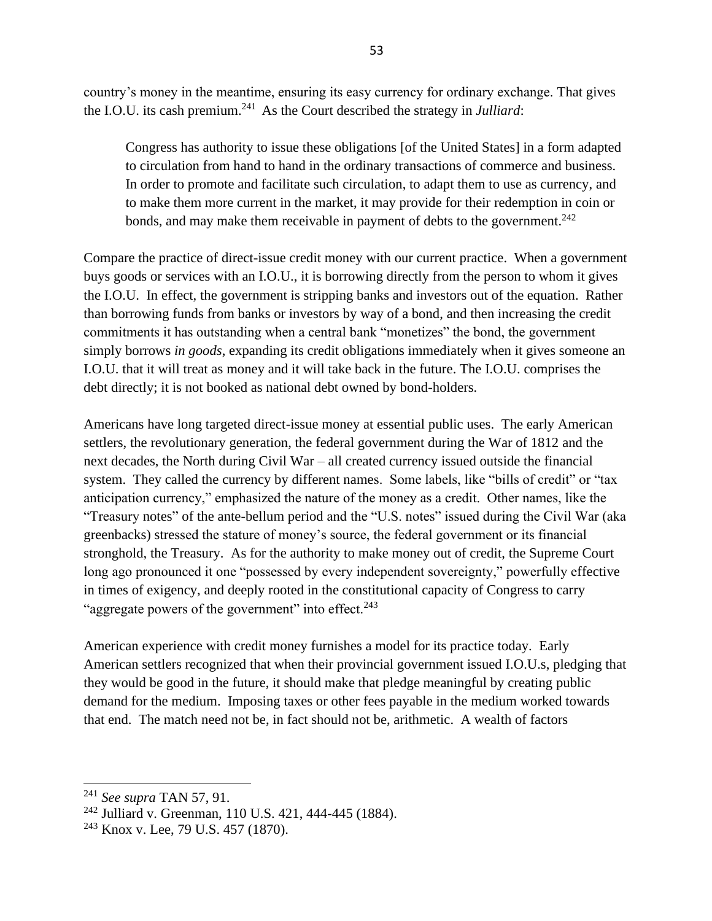country's money in the meantime, ensuring its easy currency for ordinary exchange. That gives the I.O.U. its cash premium.<sup>241</sup> As the Court described the strategy in *Julliard*:

Congress has authority to issue these obligations [of the United States] in a form adapted to circulation from hand to hand in the ordinary transactions of commerce and business. In order to promote and facilitate such circulation, to adapt them to use as currency, and to make them more current in the market, it may provide for their redemption in coin or bonds, and may make them receivable in payment of debts to the government.<sup>242</sup>

Compare the practice of direct-issue credit money with our current practice. When a government buys goods or services with an I.O.U., it is borrowing directly from the person to whom it gives the I.O.U. In effect, the government is stripping banks and investors out of the equation. Rather than borrowing funds from banks or investors by way of a bond, and then increasing the credit commitments it has outstanding when a central bank "monetizes" the bond, the government simply borrows *in goods*, expanding its credit obligations immediately when it gives someone an I.O.U. that it will treat as money and it will take back in the future. The I.O.U. comprises the debt directly; it is not booked as national debt owned by bond-holders.

Americans have long targeted direct-issue money at essential public uses. The early American settlers, the revolutionary generation, the federal government during the War of 1812 and the next decades, the North during Civil War – all created currency issued outside the financial system. They called the currency by different names. Some labels, like "bills of credit" or "tax anticipation currency," emphasized the nature of the money as a credit. Other names, like the "Treasury notes" of the ante-bellum period and the "U.S. notes" issued during the Civil War (aka greenbacks) stressed the stature of money's source, the federal government or its financial stronghold, the Treasury. As for the authority to make money out of credit, the Supreme Court long ago pronounced it one "possessed by every independent sovereignty," powerfully effective in times of exigency, and deeply rooted in the constitutional capacity of Congress to carry "aggregate powers of the government" into effect. $243$ 

American experience with credit money furnishes a model for its practice today. Early American settlers recognized that when their provincial government issued I.O.U.s, pledging that they would be good in the future, it should make that pledge meaningful by creating public demand for the medium. Imposing taxes or other fees payable in the medium worked towards that end. The match need not be, in fact should not be, arithmetic. A wealth of factors

<sup>241</sup> *See supra* TAN [57,](#page-14-3) [91.](#page-22-0)

<sup>242</sup> Julliard v. Greenman, 110 U.S. 421, 444-445 (1884).

<sup>&</sup>lt;sup>243</sup> Knox v. Lee, 79 U.S. 457 (1870).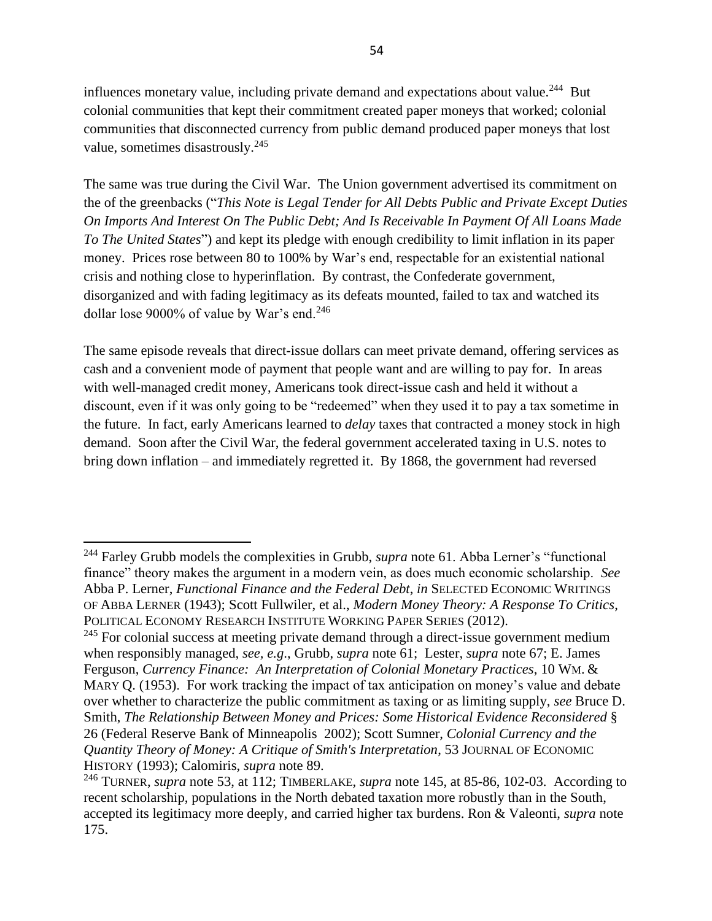influences monetary value, including private demand and expectations about value.<sup>244</sup> But colonial communities that kept their commitment created paper moneys that worked; colonial communities that disconnected currency from public demand produced paper moneys that lost value, sometimes disastrously.<sup>245</sup>

<span id="page-53-0"></span>The same was true during the Civil War. The Union government advertised its commitment on the of the greenbacks ("*This Note is Legal Tender for All Debts Public and Private Except Duties On Imports And Interest On The Public Debt; And Is Receivable In Payment Of All Loans Made To The United States*") and kept its pledge with enough credibility to limit inflation in its paper money. Prices rose between 80 to 100% by War's end, respectable for an existential national crisis and nothing close to hyperinflation. By contrast, the Confederate government, disorganized and with fading legitimacy as its defeats mounted, failed to tax and watched its dollar lose 9000% of value by War's end.<sup>246</sup>

<span id="page-53-1"></span>The same episode reveals that direct-issue dollars can meet private demand, offering services as cash and a convenient mode of payment that people want and are willing to pay for. In areas with well-managed credit money, Americans took direct-issue cash and held it without a discount, even if it was only going to be "redeemed" when they used it to pay a tax sometime in the future. In fact, early Americans learned to *delay* taxes that contracted a money stock in high demand. Soon after the Civil War, the federal government accelerated taxing in U.S. notes to bring down inflation – and immediately regretted it. By 1868, the government had reversed

<sup>244</sup> Farley Grubb models the complexities in Grubb, *supra* note [61.](#page-15-1) Abba Lerner's "functional finance" theory makes the argument in a modern vein, as does much economic scholarship. *See* Abba P. Lerner, *Functional Finance and the Federal Debt*, *in* SELECTED ECONOMIC WRITINGS OF ABBA LERNER (1943); Scott Fullwiler, et al., *Modern Money Theory: A Response To Critics*, POLITICAL ECONOMY RESEARCH INSTITUTE WORKING PAPER SERIES (2012).

 $245$  For colonial success at meeting private demand through a direct-issue government medium when responsibly managed, *see, e.g*., Grubb, *supra* note [61;](#page-15-1) Lester, *supra* note [67;](#page-16-0) E. James Ferguson, *Currency Finance: An Interpretation of Colonial Monetary Practices*, 10 WM. & MARY Q. (1953). For work tracking the impact of tax anticipation on money's value and debate over whether to characterize the public commitment as taxing or as limiting supply, *see* Bruce D. Smith, *The Relationship Between Money and Prices: Some Historical Evidence Reconsidered* § 26 (Federal Reserve Bank of Minneapolis 2002); Scott Sumner, *Colonial Currency and the Quantity Theory of Money: A Critique of Smith's Interpretation*, 53 JOURNAL OF ECONOMIC HISTORY (1993); Calomiris, *supra* note 89.

<sup>246</sup> TURNER, *supra* note [53,](#page-13-0) at 112; TIMBERLAKE, *supra* note [145,](#page-35-0) at 85-86, 102-03. According to recent scholarship, populations in the North debated taxation more robustly than in the South, accepted its legitimacy more deeply, and carried higher tax burdens. Ron & Valeonti, *supra* note 175.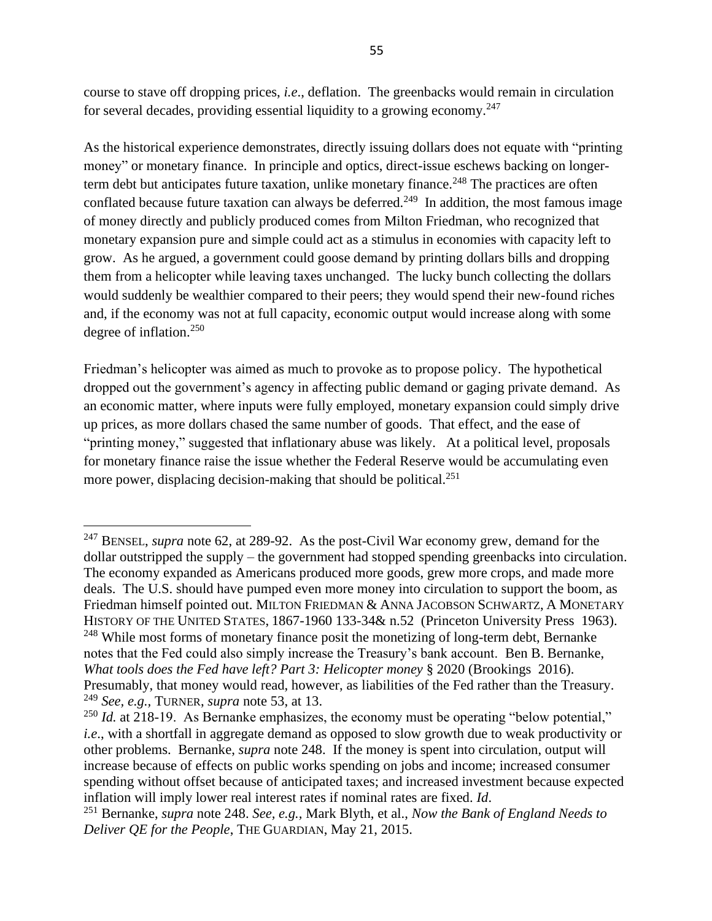<span id="page-54-0"></span>course to stave off dropping prices, *i.e*., deflation. The greenbacks would remain in circulation for several decades, providing essential liquidity to a growing economy.<sup>247</sup>

As the historical experience demonstrates, directly issuing dollars does not equate with "printing money" or monetary finance. In principle and optics, direct-issue eschews backing on longerterm debt but anticipates future taxation, unlike monetary finance.<sup>248</sup> The practices are often conflated because future taxation can always be deferred.<sup>249</sup> In addition, the most famous image of money directly and publicly produced comes from Milton Friedman, who recognized that monetary expansion pure and simple could act as a stimulus in economies with capacity left to grow. As he argued, a government could goose demand by printing dollars bills and dropping them from a helicopter while leaving taxes unchanged. The lucky bunch collecting the dollars would suddenly be wealthier compared to their peers; they would spend their new-found riches and, if the economy was not at full capacity, economic output would increase along with some degree of inflation.<sup>250</sup>

Friedman's helicopter was aimed as much to provoke as to propose policy. The hypothetical dropped out the government's agency in affecting public demand or gaging private demand. As an economic matter, where inputs were fully employed, monetary expansion could simply drive up prices, as more dollars chased the same number of goods. That effect, and the ease of "printing money," suggested that inflationary abuse was likely. At a political level, proposals for monetary finance raise the issue whether the Federal Reserve would be accumulating even more power, displacing decision-making that should be political.<sup>251</sup>

<sup>247</sup> BENSEL, *supra* note [62,](#page-15-0) at 289-92. As the post-Civil War economy grew, demand for the dollar outstripped the supply – the government had stopped spending greenbacks into circulation. The economy expanded as Americans produced more goods, grew more crops, and made more deals. The U.S. should have pumped even more money into circulation to support the boom, as Friedman himself pointed out. MILTON FRIEDMAN & ANNA JACOBSON SCHWARTZ, A MONETARY HISTORY OF THE UNITED STATES, 1867-1960 133-34& n.52 (Princeton University Press 1963).  $^{248}$  While most forms of monetary finance posit the monetizing of long-term debt, Bernanke notes that the Fed could also simply increase the Treasury's bank account. Ben B. Bernanke, *What tools does the Fed have left? Part 3: Helicopter money* § 2020 (Brookings 2016). Presumably, that money would read, however, as liabilities of the Fed rather than the Treasury. <sup>249</sup> *See, e.g.,* TURNER, *supra* note [53,](#page-13-0) at 13.

<sup>&</sup>lt;sup>250</sup> *Id.* at 218-19. As Bernanke emphasizes, the economy must be operating "below potential," *i.e.*, with a shortfall in aggregate demand as opposed to slow growth due to weak productivity or other problems. Bernanke, *supra* note 248. If the money is spent into circulation, output will increase because of effects on public works spending on jobs and income; increased consumer spending without offset because of anticipated taxes; and increased investment because expected inflation will imply lower real interest rates if nominal rates are fixed. *Id*.

<sup>251</sup> Bernanke, *supra* note 248. *See, e.g.,* Mark Blyth, et al., *Now the Bank of England Needs to Deliver QE for the People*, THE GUARDIAN, May 21, 2015.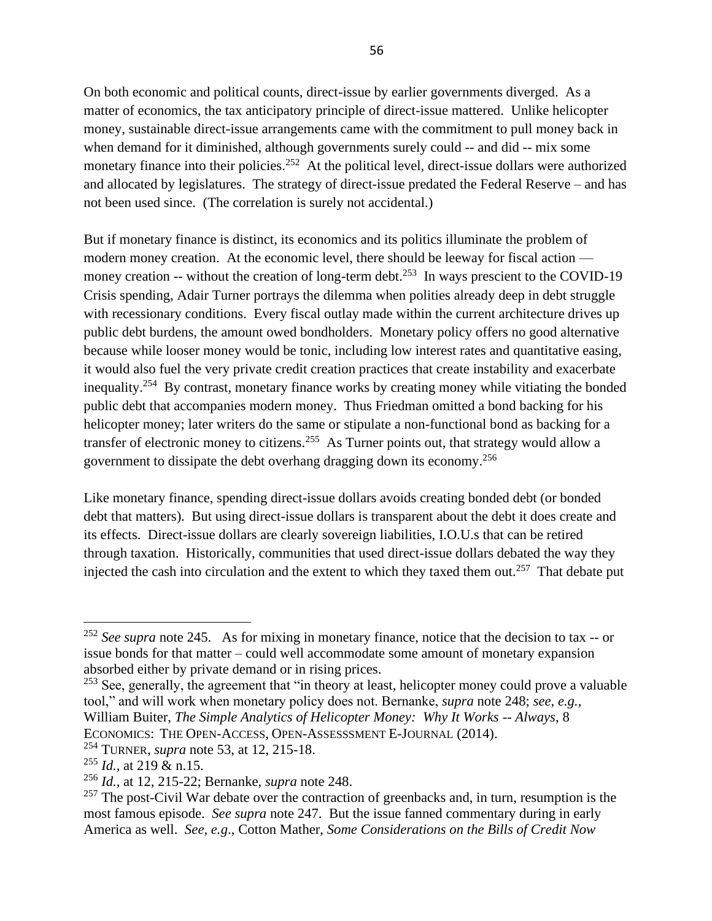On both economic and political counts, direct-issue by earlier governments diverged. As a matter of economics, the tax anticipatory principle of direct-issue mattered. Unlike helicopter money, sustainable direct-issue arrangements came with the commitment to pull money back in when demand for it diminished, although governments surely could -- and did -- mix some monetary finance into their policies.<sup>252</sup> At the political level, direct-issue dollars were authorized and allocated by legislatures. The strategy of direct-issue predated the Federal Reserve – and has not been used since. (The correlation is surely not accidental.)

But if monetary finance is distinct, its economics and its politics illuminate the problem of modern money creation. At the economic level, there should be leeway for fiscal action money creation  $-$ - without the creation of long-term debt.<sup>253</sup> In ways prescient to the COVID-19 Crisis spending, Adair Turner portrays the dilemma when polities already deep in debt struggle with recessionary conditions. Every fiscal outlay made within the current architecture drives up public debt burdens, the amount owed bondholders. Monetary policy offers no good alternative because while looser money would be tonic, including low interest rates and quantitative easing, it would also fuel the very private credit creation practices that create instability and exacerbate inequality.<sup>254</sup> By contrast, monetary finance works by creating money while vitiating the bonded public debt that accompanies modern money. Thus Friedman omitted a bond backing for his helicopter money; later writers do the same or stipulate a non-functional bond as backing for a transfer of electronic money to citizens.<sup>255</sup> As Turner points out, that strategy would allow a government to dissipate the debt overhang dragging down its economy.<sup>256</sup>

<span id="page-55-0"></span>Like monetary finance, spending direct-issue dollars avoids creating bonded debt (or bonded debt that matters). But using direct-issue dollars is transparent about the debt it does create and its effects. Direct-issue dollars are clearly sovereign liabilities, I.O.U.s that can be retired through taxation. Historically, communities that used direct-issue dollars debated the way they injected the cash into circulation and the extent to which they taxed them out.<sup>257</sup> That debate put

<sup>252</sup> *See supra* note [245.](#page-53-0) As for mixing in monetary finance, notice that the decision to tax -- or issue bonds for that matter – could well accommodate some amount of monetary expansion absorbed either by private demand or in rising prices.

 $253$  See, generally, the agreement that "in theory at least, helicopter money could prove a valuable tool," and will work when monetary policy does not. Bernanke, *supra* note 248; *see, e.g.,* William Buiter, *The Simple Analytics of Helicopter Money: Why It Works -- Always*, 8 ECONOMICS: THE OPEN-ACCESS, OPEN-ASSESSSMENT E-JOURNAL (2014).

<sup>254</sup> TURNER, *supra* note [53,](#page-13-0) at 12, 215-18.

<sup>255</sup> *Id.,* at 219 & n.15.

<sup>256</sup> *Id.*, at 12, 215-22; Bernanke, *supra* note 248.

 $257$  The post-Civil War debate over the contraction of greenbacks and, in turn, resumption is the most famous episode. *See supra* note [247.](#page-54-0) But the issue fanned commentary during in early America as well. *See, e.g*., Cotton Mather, *Some Considerations on the Bills of Credit Now*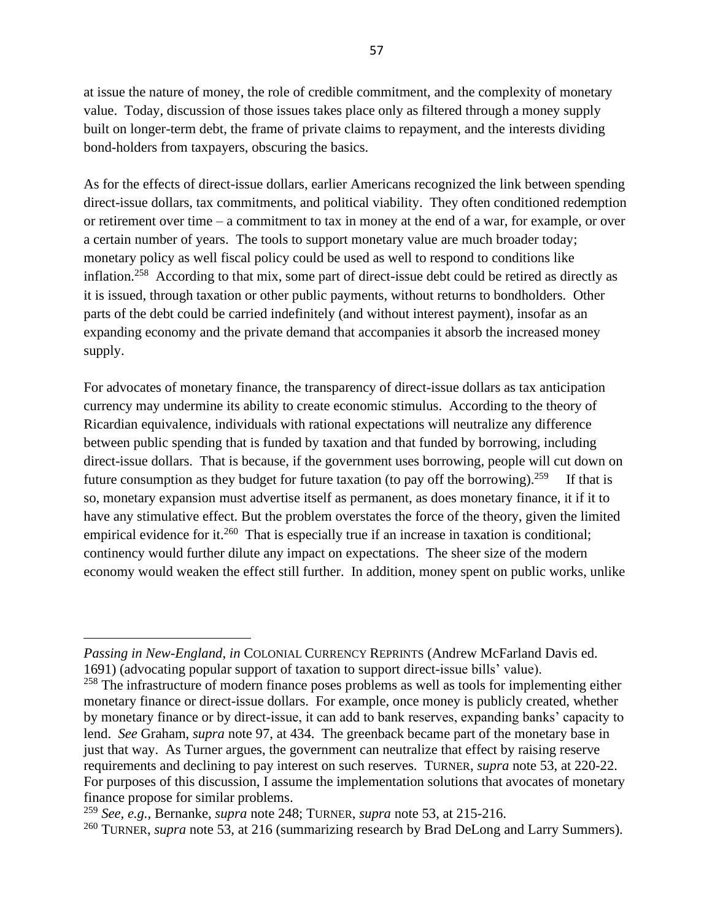at issue the nature of money, the role of credible commitment, and the complexity of monetary value. Today, discussion of those issues takes place only as filtered through a money supply built on longer-term debt, the frame of private claims to repayment, and the interests dividing bond-holders from taxpayers, obscuring the basics.

As for the effects of direct-issue dollars, earlier Americans recognized the link between spending direct-issue dollars, tax commitments, and political viability. They often conditioned redemption or retirement over time – a commitment to tax in money at the end of a war, for example, or over a certain number of years. The tools to support monetary value are much broader today; monetary policy as well fiscal policy could be used as well to respond to conditions like inflation.<sup>258</sup> According to that mix, some part of direct-issue debt could be retired as directly as it is issued, through taxation or other public payments, without returns to bondholders. Other parts of the debt could be carried indefinitely (and without interest payment), insofar as an expanding economy and the private demand that accompanies it absorb the increased money supply.

For advocates of monetary finance, the transparency of direct-issue dollars as tax anticipation currency may undermine its ability to create economic stimulus. According to the theory of Ricardian equivalence, individuals with rational expectations will neutralize any difference between public spending that is funded by taxation and that funded by borrowing, including direct-issue dollars. That is because, if the government uses borrowing, people will cut down on future consumption as they budget for future taxation (to pay off the borrowing).<sup>259</sup> If that is so, monetary expansion must advertise itself as permanent, as does monetary finance, it if it to have any stimulative effect. But the problem overstates the force of the theory, given the limited empirical evidence for it.<sup>260</sup> That is especially true if an increase in taxation is conditional; continency would further dilute any impact on expectations. The sheer size of the modern economy would weaken the effect still further. In addition, money spent on public works, unlike

*Passing in New-England*, *in* COLONIAL CURRENCY REPRINTS (Andrew McFarland Davis ed. 1691) (advocating popular support of taxation to support direct-issue bills' value). <sup>258</sup> The infrastructure of modern finance poses problems as well as tools for implementing either monetary finance or direct-issue dollars. For example, once money is publicly created, whether by monetary finance or by direct-issue, it can add to bank reserves, expanding banks' capacity to lend. *See* Graham, *supra* note 97, at 434. The greenback became part of the monetary base in just that way. As Turner argues, the government can neutralize that effect by raising reserve requirements and declining to pay interest on such reserves. TURNER, *supra* note [53,](#page-13-0) at 220-22. For purposes of this discussion, I assume the implementation solutions that avocates of monetary finance propose for similar problems.

<sup>259</sup> *See, e.g.,* Bernanke, *supra* note 248; TURNER, *supra* note [53,](#page-13-0) at 215-216.

<sup>&</sup>lt;sup>260</sup> TURNER, *supra* note [53,](#page-13-0) at 216 (summarizing research by Brad DeLong and Larry Summers).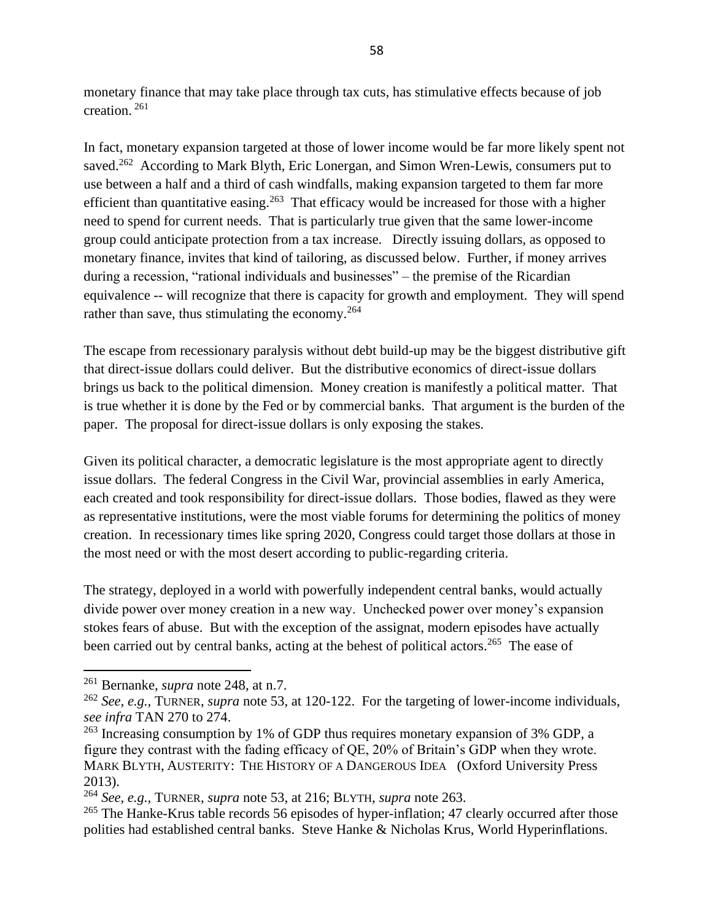monetary finance that may take place through tax cuts, has stimulative effects because of job creation. <sup>261</sup>

In fact, monetary expansion targeted at those of lower income would be far more likely spent not saved.<sup>262</sup> According to Mark Blyth, Eric Lonergan, and Simon Wren-Lewis, consumers put to use between a half and a third of cash windfalls, making expansion targeted to them far more efficient than quantitative easing.<sup>263</sup> That efficacy would be increased for those with a higher need to spend for current needs. That is particularly true given that the same lower-income group could anticipate protection from a tax increase. Directly issuing dollars, as opposed to monetary finance, invites that kind of tailoring, as discussed below. Further, if money arrives during a recession, "rational individuals and businesses" – the premise of the Ricardian equivalence -- will recognize that there is capacity for growth and employment. They will spend rather than save, thus stimulating the economy. $264$ 

The escape from recessionary paralysis without debt build-up may be the biggest distributive gift that direct-issue dollars could deliver. But the distributive economics of direct-issue dollars brings us back to the political dimension. Money creation is manifestly a political matter. That is true whether it is done by the Fed or by commercial banks. That argument is the burden of the paper. The proposal for direct-issue dollars is only exposing the stakes.

Given its political character, a democratic legislature is the most appropriate agent to directly issue dollars. The federal Congress in the Civil War, provincial assemblies in early America, each created and took responsibility for direct-issue dollars. Those bodies, flawed as they were as representative institutions, were the most viable forums for determining the politics of money creation. In recessionary times like spring 2020, Congress could target those dollars at those in the most need or with the most desert according to public-regarding criteria.

The strategy, deployed in a world with powerfully independent central banks, would actually divide power over money creation in a new way. Unchecked power over money's expansion stokes fears of abuse. But with the exception of the assignat, modern episodes have actually been carried out by central banks, acting at the behest of political actors.<sup>265</sup> The ease of

<sup>261</sup> Bernanke, *supra* note 248, at n.7.

<sup>262</sup> *See, e.g.,* TURNER, *supra* note [53,](#page-13-0) at 120-122. For the targeting of lower-income individuals, *see infra* TAN [270](#page-59-0) to [274.](#page-60-0)

<sup>&</sup>lt;sup>263</sup> Increasing consumption by 1% of GDP thus requires monetary expansion of 3% GDP, a figure they contrast with the fading efficacy of QE, 20% of Britain's GDP when they wrote. MARK BLYTH, AUSTERITY: THE HISTORY OF A DANGEROUS IDEA (Oxford University Press 2013).

<sup>264</sup> *See*, *e.g.,* TURNER, *supra* note [53,](#page-13-0) at 216; BLYTH, *supra* note 263.

<sup>&</sup>lt;sup>265</sup> The Hanke-Krus table records 56 episodes of hyper-inflation; 47 clearly occurred after those polities had established central banks. Steve Hanke & Nicholas Krus, World Hyperinflations.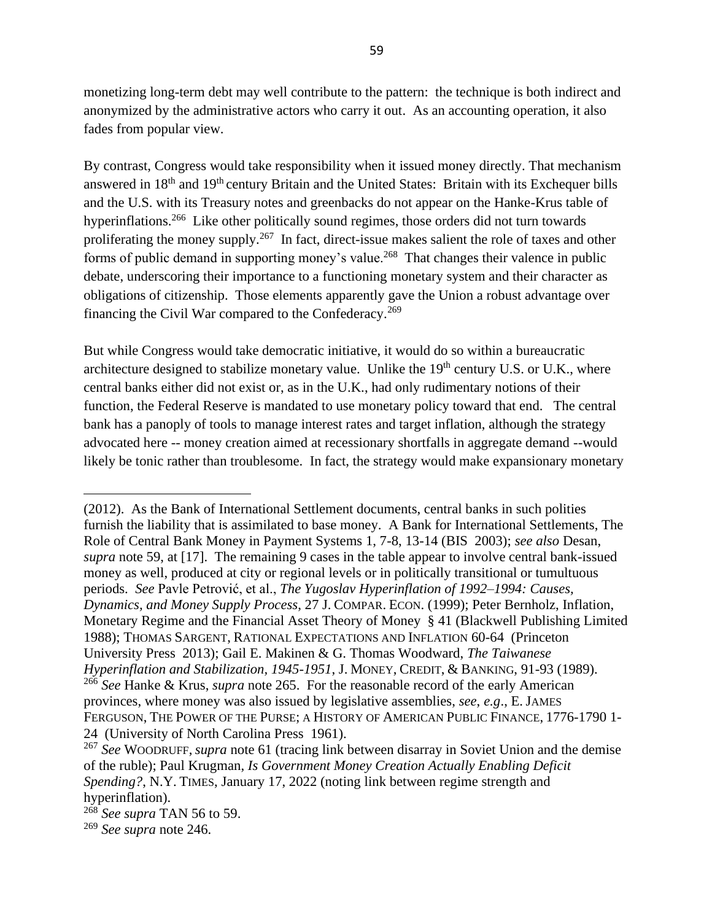monetizing long-term debt may well contribute to the pattern: the technique is both indirect and anonymized by the administrative actors who carry it out. As an accounting operation, it also fades from popular view.

By contrast, Congress would take responsibility when it issued money directly. That mechanism answered in 18th and 19th century Britain and the United States: Britain with its Exchequer bills and the U.S. with its Treasury notes and greenbacks do not appear on the Hanke-Krus table of hyperinflations.<sup>266</sup> Like other politically sound regimes, those orders did not turn towards proliferating the money supply.<sup>267</sup> In fact, direct-issue makes salient the role of taxes and other forms of public demand in supporting money's value.<sup>268</sup> That changes their valence in public debate, underscoring their importance to a functioning monetary system and their character as obligations of citizenship. Those elements apparently gave the Union a robust advantage over financing the Civil War compared to the Confederacy.<sup>269</sup>

But while Congress would take democratic initiative, it would do so within a bureaucratic architecture designed to stabilize monetary value. Unlike the  $19<sup>th</sup>$  century U.S. or U.K., where central banks either did not exist or, as in the U.K., had only rudimentary notions of their function, the Federal Reserve is mandated to use monetary policy toward that end. The central bank has a panoply of tools to manage interest rates and target inflation, although the strategy advocated here -- money creation aimed at recessionary shortfalls in aggregate demand --would likely be tonic rather than troublesome. In fact, the strategy would make expansionary monetary

<sup>(2012).</sup> As the Bank of International Settlement documents, central banks in such polities furnish the liability that is assimilated to base money. A Bank for International Settlements, The Role of Central Bank Money in Payment Systems 1, 7-8, 13-14 (BIS 2003); *see also* Desan, *supra* note [59,](#page-14-2) at [17]. The remaining 9 cases in the table appear to involve central bank-issued money as well, produced at city or regional levels or in politically transitional or tumultuous periods. *See* Pavle Petrović, et al., *The Yugoslav Hyperinflation of 1992–1994: Causes, Dynamics, and Money Supply Process*, 27 J. COMPAR. ECON. (1999); Peter Bernholz, Inflation, Monetary Regime and the Financial Asset Theory of Money § 41 (Blackwell Publishing Limited 1988); THOMAS SARGENT, RATIONAL EXPECTATIONS AND INFLATION 60-64 (Princeton University Press 2013); Gail E. Makinen & G. Thomas Woodward, *The Taiwanese Hyperinflation and Stabilization, 1945-1951*, J. MONEY, CREDIT, & BANKING, 91-93 (1989). <sup>266</sup> *See* Hanke & Krus, *supra* note 265. For the reasonable record of the early American provinces, where money was also issued by legislative assemblies, *see*, *e.g*., E. JAMES FERGUSON, THE POWER OF THE PURSE; A HISTORY OF AMERICAN PUBLIC FINANCE, 1776-1790 1- 24 (University of North Carolina Press 1961).

<sup>267</sup> *See* WOODRUFF, *supra* note [61](#page-15-1) (tracing link between disarray in Soviet Union and the demise of the ruble); Paul Krugman, *Is Government Money Creation Actually Enabling Deficit Spending?*, N.Y. TIMES, January 17, 2022 (noting link between regime strength and hyperinflation).

<sup>268</sup> *See supra* TAN [56](#page-14-1) to [59.](#page-14-2)

<sup>269</sup> *See supra* note [246.](#page-53-1)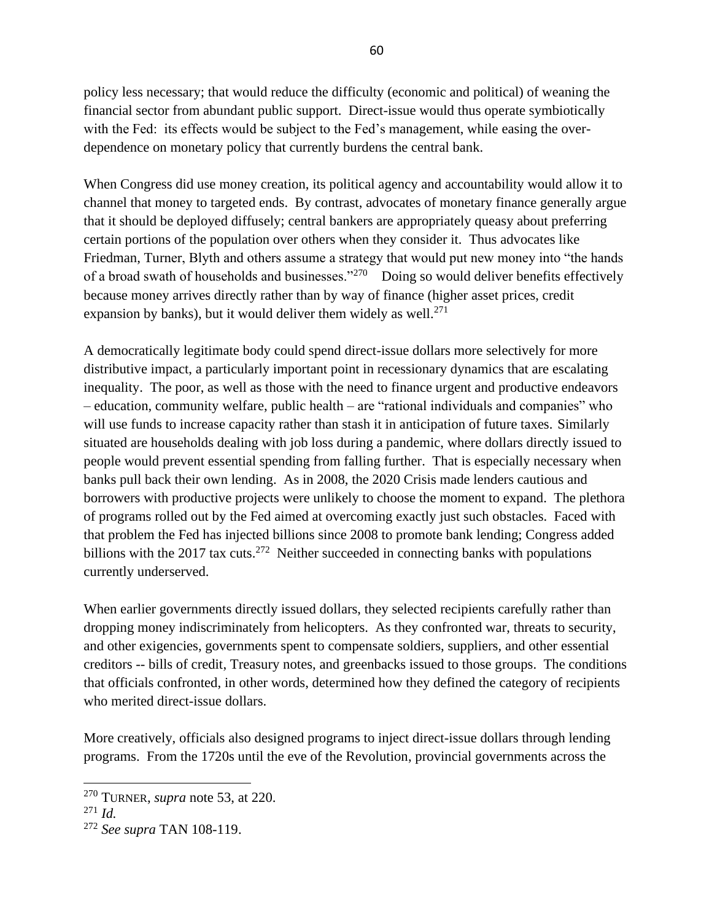policy less necessary; that would reduce the difficulty (economic and political) of weaning the financial sector from abundant public support. Direct-issue would thus operate symbiotically with the Fed: its effects would be subject to the Fed's management, while easing the overdependence on monetary policy that currently burdens the central bank.

When Congress did use money creation, its political agency and accountability would allow it to channel that money to targeted ends. By contrast, advocates of monetary finance generally argue that it should be deployed diffusely; central bankers are appropriately queasy about preferring certain portions of the population over others when they consider it. Thus advocates like Friedman, Turner, Blyth and others assume a strategy that would put new money into "the hands of a broad swath of households and businesses."<sup>270</sup> Doing so would deliver benefits effectively because money arrives directly rather than by way of finance (higher asset prices, credit expansion by banks), but it would deliver them widely as well. $^{271}$ 

<span id="page-59-0"></span>A democratically legitimate body could spend direct-issue dollars more selectively for more distributive impact, a particularly important point in recessionary dynamics that are escalating inequality. The poor, as well as those with the need to finance urgent and productive endeavors – education, community welfare, public health – are "rational individuals and companies" who will use funds to increase capacity rather than stash it in anticipation of future taxes. Similarly situated are households dealing with job loss during a pandemic, where dollars directly issued to people would prevent essential spending from falling further. That is especially necessary when banks pull back their own lending. As in 2008, the 2020 Crisis made lenders cautious and borrowers with productive projects were unlikely to choose the moment to expand. The plethora of programs rolled out by the Fed aimed at overcoming exactly just such obstacles. Faced with that problem the Fed has injected billions since 2008 to promote bank lending; Congress added billions with the 2017 tax cuts.<sup>272</sup> Neither succeeded in connecting banks with populations currently underserved.

When earlier governments directly issued dollars, they selected recipients carefully rather than dropping money indiscriminately from helicopters. As they confronted war, threats to security, and other exigencies, governments spent to compensate soldiers, suppliers, and other essential creditors -- bills of credit, Treasury notes, and greenbacks issued to those groups. The conditions that officials confronted, in other words, determined how they defined the category of recipients who merited direct-issue dollars.

More creatively, officials also designed programs to inject direct-issue dollars through lending programs. From the 1720s until the eve of the Revolution, provincial governments across the

<sup>270</sup> TURNER, *supra* note [53,](#page-13-0) at 220.

<sup>271</sup> *Id.*

<sup>272</sup> *See supra* TAN [108](#page-26-1)[-119.](#page-28-0)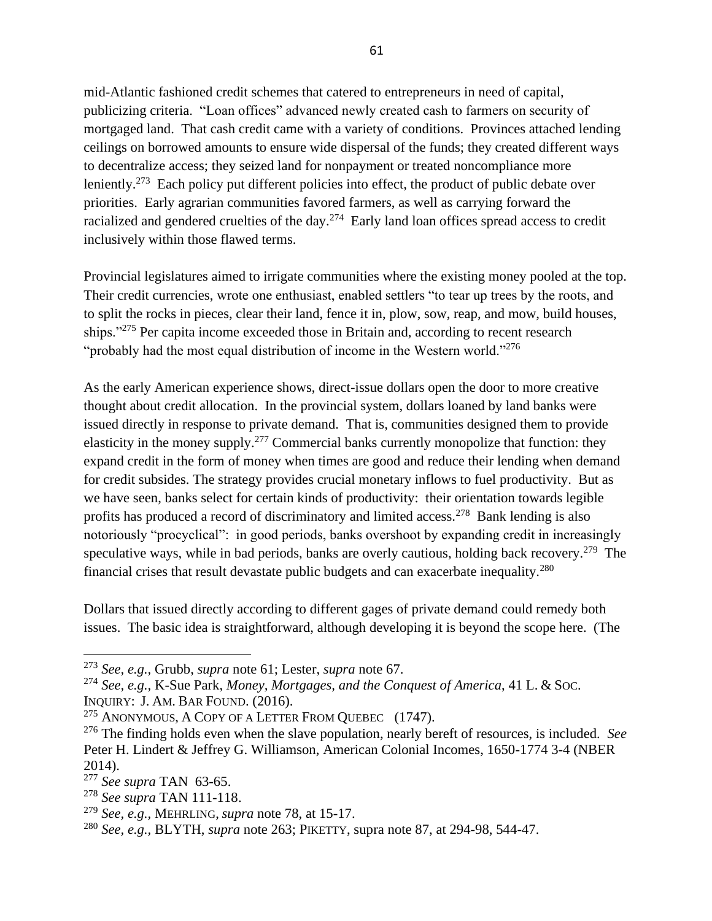mid-Atlantic fashioned credit schemes that catered to entrepreneurs in need of capital, publicizing criteria. "Loan offices" advanced newly created cash to farmers on security of mortgaged land. That cash credit came with a variety of conditions. Provinces attached lending ceilings on borrowed amounts to ensure wide dispersal of the funds; they created different ways to decentralize access; they seized land for nonpayment or treated noncompliance more leniently.<sup>273</sup> Each policy put different policies into effect, the product of public debate over priorities. Early agrarian communities favored farmers, as well as carrying forward the racialized and gendered cruelties of the day.<sup>274</sup> Early land loan offices spread access to credit inclusively within those flawed terms.

<span id="page-60-0"></span>Provincial legislatures aimed to irrigate communities where the existing money pooled at the top. Their credit currencies, wrote one enthusiast, enabled settlers "to tear up trees by the roots, and to split the rocks in pieces, clear their land, fence it in, plow, sow, reap, and mow, build houses, ships."<sup>275</sup> Per capita income exceeded those in Britain and, according to recent research "probably had the most equal distribution of income in the Western world."<sup>276</sup>

As the early American experience shows, direct-issue dollars open the door to more creative thought about credit allocation. In the provincial system, dollars loaned by land banks were issued directly in response to private demand. That is, communities designed them to provide elasticity in the money supply.<sup>277</sup> Commercial banks currently monopolize that function: they expand credit in the form of money when times are good and reduce their lending when demand for credit subsides. The strategy provides crucial monetary inflows to fuel productivity. But as we have seen, banks select for certain kinds of productivity: their orientation towards legible profits has produced a record of discriminatory and limited access.<sup>278</sup> Bank lending is also notoriously "procyclical": in good periods, banks overshoot by expanding credit in increasingly speculative ways, while in bad periods, banks are overly cautious, holding back recovery.<sup>279</sup> The financial crises that result devastate public budgets and can exacerbate inequality.<sup>280</sup>

Dollars that issued directly according to different gages of private demand could remedy both issues. The basic idea is straightforward, although developing it is beyond the scope here. (The

<sup>273</sup> *See, e.g.,* Grubb, *supra* note [61;](#page-15-1) Lester, *supra* note [67.](#page-16-0)

<sup>274</sup> *See, e.g.,* K-Sue Park, *Money, Mortgages, and the Conquest of America*, 41 L. & SOC.

INQUIRY: J. AM. BAR FOUND. (2016).

<sup>&</sup>lt;sup>275</sup> ANONYMOUS, A COPY OF A LETTER FROM OUEBEC  $(1747)$ .

<sup>276</sup> The finding holds even when the slave population, nearly bereft of resources, is included. *See* Peter H. Lindert & Jeffrey G. Williamson, American Colonial Incomes, 1650-1774 3-4 (NBER 2014).

<sup>277</sup> *See supra* TAN [63](#page-15-2)[-65.](#page-15-3)

<sup>278</sup> *See supra* TAN [111](#page-27-0)[-118.](#page-28-1)

<sup>279</sup> *See, e.g.,* MEHRLING, *supra* note [78,](#page-18-0) at 15-17.

<sup>280</sup> *See, e.g.,* BLYTH, *supra* note 263; PIKETTY, supra note 87, at 294-98, 544-47.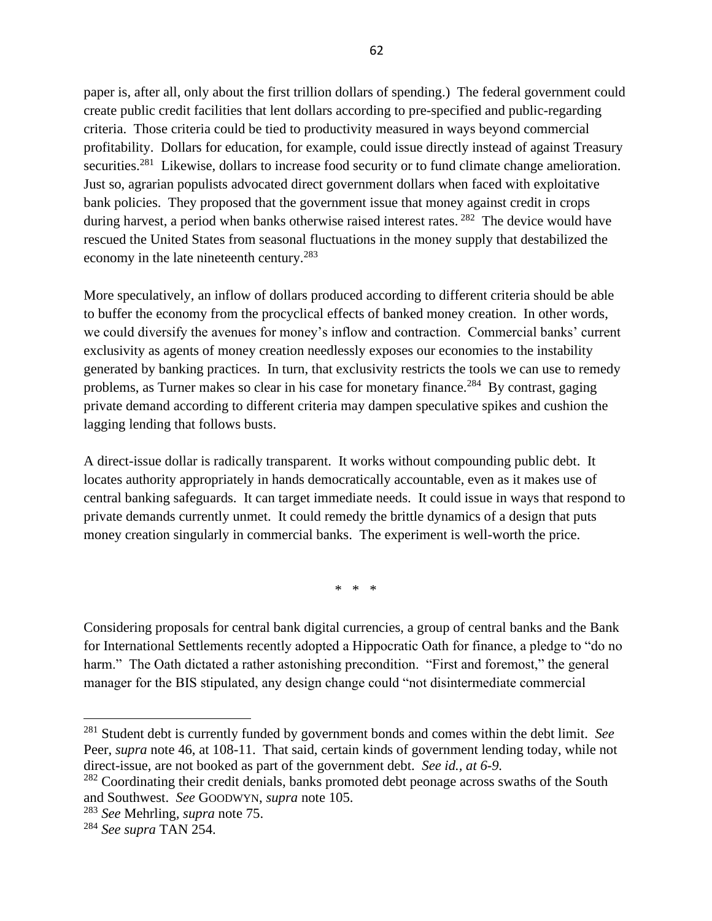paper is, after all, only about the first trillion dollars of spending.) The federal government could create public credit facilities that lent dollars according to pre-specified and public-regarding criteria. Those criteria could be tied to productivity measured in ways beyond commercial profitability. Dollars for education, for example, could issue directly instead of against Treasury securities.<sup>281</sup> Likewise, dollars to increase food security or to fund climate change amelioration. Just so, agrarian populists advocated direct government dollars when faced with exploitative bank policies. They proposed that the government issue that money against credit in crops during harvest, a period when banks otherwise raised interest rates.<sup>282</sup> The device would have rescued the United States from seasonal fluctuations in the money supply that destabilized the economy in the late nineteenth century.<sup>283</sup>

More speculatively, an inflow of dollars produced according to different criteria should be able to buffer the economy from the procyclical effects of banked money creation. In other words, we could diversify the avenues for money's inflow and contraction. Commercial banks' current exclusivity as agents of money creation needlessly exposes our economies to the instability generated by banking practices. In turn, that exclusivity restricts the tools we can use to remedy problems, as Turner makes so clear in his case for monetary finance.<sup>284</sup> By contrast, gaging private demand according to different criteria may dampen speculative spikes and cushion the lagging lending that follows busts.

A direct-issue dollar is radically transparent. It works without compounding public debt. It locates authority appropriately in hands democratically accountable, even as it makes use of central banking safeguards. It can target immediate needs. It could issue in ways that respond to private demands currently unmet. It could remedy the brittle dynamics of a design that puts money creation singularly in commercial banks. The experiment is well-worth the price.

\* \* \*

Considering proposals for central bank digital currencies, a group of central banks and the Bank for International Settlements recently adopted a Hippocratic Oath for finance, a pledge to "do no harm." The Oath dictated a rather astonishing precondition. "First and foremost," the general manager for the BIS stipulated, any design change could "not disintermediate commercial

<sup>281</sup> Student debt is currently funded by government bonds and comes within the debt limit. *See* Peer, *supra* note [46,](#page-9-0) at 108-11. That said, certain kinds of government lending today, while not direct-issue, are not booked as part of the government debt. *See id., at 6-9.* 

<sup>&</sup>lt;sup>282</sup> Coordinating their credit denials, banks promoted debt peonage across swaths of the South and Southwest. *See* GOODWYN, *supra* note 105.

<sup>283</sup> *See* Mehrling*, supra* note [75.](#page-18-2)

<sup>284</sup> *See supra* TAN [254.](#page-55-0)